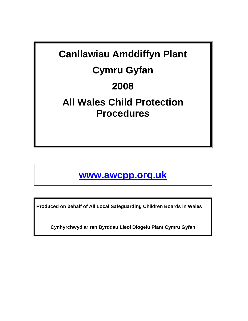# **Canllawiau Amddiffyn Plant Cymru Gyfan 2008 All Wales Child Protection Procedures**

# **www.awcpp.org.uk**

**Produced on behalf of All Local Safeguarding Children Boards in Wales** 

**Cynhyrchwyd ar ran Byrddau Lleol Diogelu Plant Cymru Gyfan**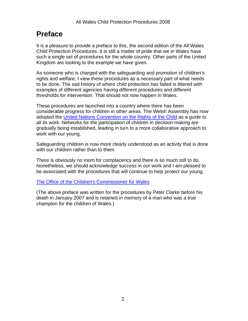# **Preface**

It is a pleasure to provide a preface to this, the second edition of the All Wales Child Protection Procedures. It is still a matter of pride that we in Wales have such a single set of procedures for the whole country. Other parts of the United Kingdom are looking to the example we have given.

As someone who is charged with the safeguarding and promotion of children's rights and welfare, I view these procedures as a necessary part of what needs to be done. The sad history of where child protection has failed is littered with examples of different agencies having different procedures and different thresholds for intervention. That should not now happen in Wales.

These procedures are launched into a country where there has been considerable progress for children in other areas. The Welsh Assembly has now adopted the [United Nations Convention on the Rights of the Child](http://www.unicef.org/crc/) as a guide to all its work. Networks for the participation of children in decision-making are gradually being established, leading in turn to a more collaborative approach to work with our young.

Safeguarding children is now more clearly understood as an activity that is done with our children rather than to them.

There is obviously no room for complacency and there is so much still to do. Nonetheless, we should acknowledge success in our work and I am pleased to be associated with the procedures that will continue to help protect our young.

#### [The Office of the Children's Commissioner for Wales](http://www.childcom.org.uk/)

(The above preface was written for the procedures by Peter Clarke before his death in January 2007 and is retained in memory of a man who was a true champion for the children of Wales.)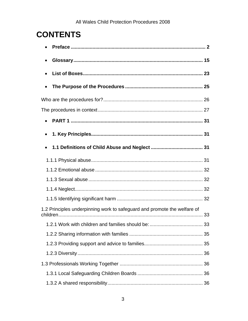# **CONTENTS**

| $\bullet$                                                                |  |
|--------------------------------------------------------------------------|--|
| $\bullet$                                                                |  |
| $\bullet$                                                                |  |
|                                                                          |  |
|                                                                          |  |
|                                                                          |  |
| $\bullet$                                                                |  |
| $\bullet$                                                                |  |
|                                                                          |  |
|                                                                          |  |
|                                                                          |  |
|                                                                          |  |
|                                                                          |  |
| 1.2 Principles underpinning work to safeguard and promote the welfare of |  |
| 1.2.1 Work with children and families should be:<br>33                   |  |
|                                                                          |  |
|                                                                          |  |
|                                                                          |  |
|                                                                          |  |
|                                                                          |  |
|                                                                          |  |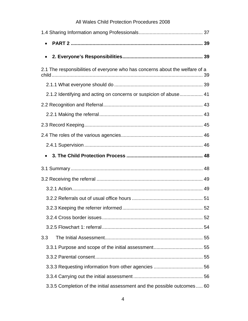| All Wales Child Protection Procedures 2008                                   |  |
|------------------------------------------------------------------------------|--|
|                                                                              |  |
|                                                                              |  |
|                                                                              |  |
|                                                                              |  |
| 2.1 The responsibilities of everyone who has concerns about the welfare of a |  |
|                                                                              |  |
| 2.1.2 Identifying and acting on concerns or suspicion of abuse 41            |  |
|                                                                              |  |
|                                                                              |  |
|                                                                              |  |
|                                                                              |  |
|                                                                              |  |
|                                                                              |  |
|                                                                              |  |
|                                                                              |  |
|                                                                              |  |
|                                                                              |  |
|                                                                              |  |
|                                                                              |  |
|                                                                              |  |
| 3.3                                                                          |  |
|                                                                              |  |
|                                                                              |  |
|                                                                              |  |
|                                                                              |  |
|                                                                              |  |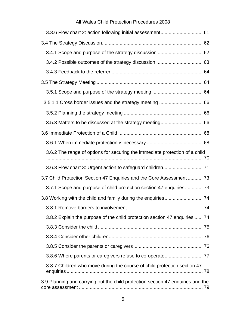| 3.5.3 Matters to be discussed at the strategy meeting 66                        |
|---------------------------------------------------------------------------------|
|                                                                                 |
|                                                                                 |
| 3.6.2 The range of options for securing the immediate protection of a child     |
|                                                                                 |
| 3.7 Child Protection Section 47 Enquiries and the Core Assessment  73           |
| 3.7.1 Scope and purpose of child protection section 47 enquiries 73             |
|                                                                                 |
|                                                                                 |
| 3.8.2 Explain the purpose of the child protection section 47 enquiries  74      |
|                                                                                 |
|                                                                                 |
|                                                                                 |
|                                                                                 |
| 3.8.7 Children who move during the course of child protection section 47        |
| 3.9 Planning and carrying out the child protection section 47 enquiries and the |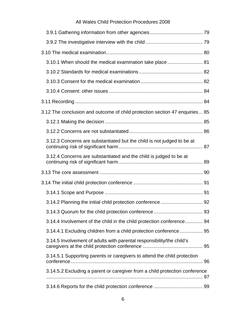| 3.10.1 When should the medical examination take place  81                   |  |
|-----------------------------------------------------------------------------|--|
|                                                                             |  |
|                                                                             |  |
|                                                                             |  |
|                                                                             |  |
| 3.12 The conclusion and outcome of child protection section 47 enquiries 85 |  |
|                                                                             |  |
|                                                                             |  |
| 3.12.3 Concerns are substantiated but the child is not judged to be at      |  |
| 3.12.4 Concerns are substantiated and the child is judged to be at          |  |
|                                                                             |  |
|                                                                             |  |
|                                                                             |  |
|                                                                             |  |
|                                                                             |  |
| 3.14.4 Involvement of the child in the child protection conference 94       |  |
| 3.14.4.1 Excluding children from a child protection conference 95           |  |
| 3.14.5 Involvement of adults with parental responsibility/the child's       |  |
| 3.14.5.1 Supporting parents or caregivers to attend the child protection    |  |
| 3.14.5.2 Excluding a parent or caregiver from a child protection conference |  |
|                                                                             |  |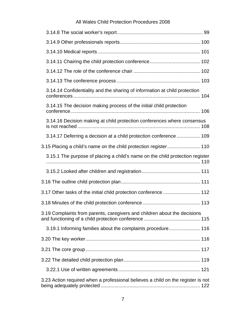| 3.14.14 Confidentiality and the sharing of information at child protection       |
|----------------------------------------------------------------------------------|
| 3.14.15 The decision making process of the initial child protection              |
| 3.14.16 Decision making at child protection conferences where consensus          |
| 3.14.17 Deferring a decision at a child protection conference  109               |
| 3.15 Placing a child's name on the child protection register 110                 |
| 3.15.1 The purpose of placing a child's name on the child protection register    |
|                                                                                  |
|                                                                                  |
| 3.17 Other tasks of the initial child protection conference  112                 |
|                                                                                  |
| 3.19 Complaints from parents, caregivers and children about the decisions        |
| 3.19.1 Informing families about the complaints procedure 116                     |
|                                                                                  |
|                                                                                  |
|                                                                                  |
|                                                                                  |
| 3.23 Action required when a professional believes a child on the register is not |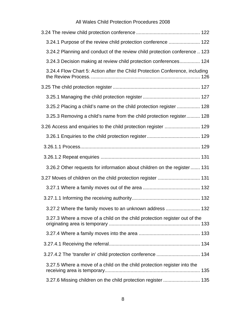| 3.24.1 Purpose of the review child protection conference  122                |
|------------------------------------------------------------------------------|
| 3.24.2 Planning and conduct of the review child protection conference  123   |
| 3.24.3 Decision making at review child protection conferences 124            |
| 3.24.4 Flow Chart 5: Action after the Child Protection Conference, including |
|                                                                              |
|                                                                              |
| 3.25.2 Placing a child's name on the child protection register  128          |
| 3.25.3 Removing a child's name from the child protection register 128        |
|                                                                              |
|                                                                              |
|                                                                              |
|                                                                              |
| 3.26.2 Other requests for information about children on the register 131     |
| 3.27 Moves of children on the child protection register  131                 |
|                                                                              |
|                                                                              |
| 3.27.2 Where the family moves to an unknown address  132                     |
| 3.27.3 Where a move of a child on the child protection register out of the   |
|                                                                              |
|                                                                              |
|                                                                              |
| 3.27.5 Where a move of a child on the child protection register into the     |
| 3.27.6 Missing children on the child protection register  135                |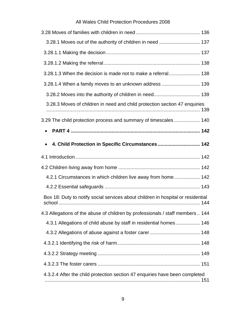| 3.28.1.4 When a family moves to an unknown address  139                          |  |
|----------------------------------------------------------------------------------|--|
|                                                                                  |  |
| 3.28.3 Moves of children in need and child protection section 47 enquiries       |  |
| 3.29 The child protection process and summary of timescales  140                 |  |
| $\bullet$                                                                        |  |
| 4. Child Protection in Specific Circumstances  142                               |  |
|                                                                                  |  |
|                                                                                  |  |
| 4.2.1 Circumstances in which children live away from home 142                    |  |
|                                                                                  |  |
| Box 18: Duty to notify social services about children in hospital or residential |  |
| 4.3 Allegations of the abuse of children by professionals / staff members  144   |  |
| 4.3.1 Allegations of child abuse by staff in residential homes 146               |  |
|                                                                                  |  |
|                                                                                  |  |
|                                                                                  |  |
|                                                                                  |  |
| 4.3.2.4 After the child protection section 47 enquiries have been completed      |  |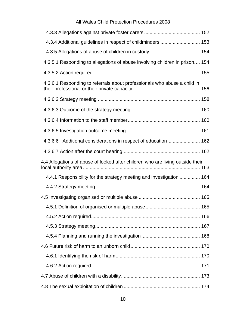| 4.3.4 Additional guidelines in respect of childminders  153                    |
|--------------------------------------------------------------------------------|
|                                                                                |
| 4.3.5.1 Responding to allegations of abuse involving children in prison 154    |
|                                                                                |
| 4.3.6.1 Responding to referrals about professionals who abuse a child in       |
|                                                                                |
|                                                                                |
|                                                                                |
|                                                                                |
| 4.3.6.6 Additional considerations in respect of education 162                  |
|                                                                                |
| 4.4 Allegations of abuse of looked after children who are living outside their |
| 4.4.1 Responsibility for the strategy meeting and investigation  164           |
|                                                                                |
|                                                                                |
|                                                                                |
|                                                                                |
|                                                                                |
|                                                                                |
|                                                                                |
|                                                                                |
|                                                                                |
|                                                                                |
|                                                                                |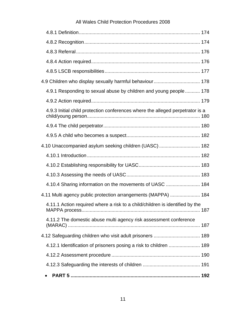| 4.9.1 Responding to sexual abuse by children and young people 178             |
|-------------------------------------------------------------------------------|
|                                                                               |
| 4.9.3 Initial child protection conferences where the alleged perpetrator is a |
|                                                                               |
|                                                                               |
| 4.10 Unaccompanied asylum seeking children (UASC)  182                        |
|                                                                               |
|                                                                               |
|                                                                               |
| 4.10.4 Sharing information on the movements of UASC  184                      |
| 4.11 Multi agency public protection arrangements (MAPPA)  184                 |
| 4.11.1 Action required where a risk to a child/children is identified by the  |
| 4.11.2 The domestic abuse multi agency risk assessment conference             |
| 4.12 Safeguarding children who visit adult prisoners  189                     |
|                                                                               |
|                                                                               |
|                                                                               |
|                                                                               |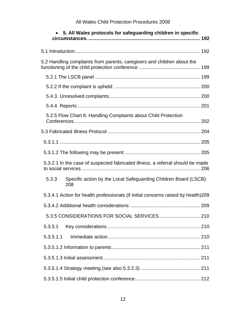| 5. All Wales protocols for safeguarding children in specific                       |
|------------------------------------------------------------------------------------|
|                                                                                    |
| 5.2 Handling complaints from parents, caregivers and children about the            |
|                                                                                    |
|                                                                                    |
|                                                                                    |
|                                                                                    |
| 5.2.5 Flow Chart 6: Handling Complaints about Child Protection                     |
|                                                                                    |
|                                                                                    |
|                                                                                    |
| 5.3.2.1 In the case of suspected fabricated illness, a referral should be made     |
| 5.3.3<br>Specific action by the Local Safeguarding Children Board (LSCB):<br>208   |
| 5.3.4.1 Action for health professionals (if initial concerns raised by health) 209 |
|                                                                                    |
|                                                                                    |
| 5.3.5.1                                                                            |
| 5.3.5.1.1                                                                          |
|                                                                                    |
|                                                                                    |
|                                                                                    |
|                                                                                    |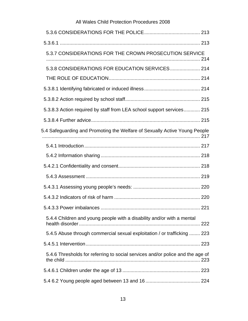| All Wales Child Protection Procedures 2008                                     |
|--------------------------------------------------------------------------------|
|                                                                                |
|                                                                                |
| 5.3.7 CONSIDERATIONS FOR THE CROWN PROSECUTION SERVICE                         |
| 5.3.8 CONSIDERATIONS FOR EDUCATION SERVICES 214                                |
|                                                                                |
|                                                                                |
|                                                                                |
| 5.3.8.3 Action required by staff from LEA school support services 215          |
|                                                                                |
| 5.4 Safeguarding and Promoting the Welfare of Sexually Active Young People     |
|                                                                                |
|                                                                                |
|                                                                                |
|                                                                                |
|                                                                                |
|                                                                                |
|                                                                                |
| 5.4.4 Children and young people with a disability and/or with a mental         |
| 5.4.5 Abuse through commercial sexual exploitation / or trafficking  223       |
|                                                                                |
| 5.4.6 Thresholds for referring to social services and/or police and the age of |
|                                                                                |
|                                                                                |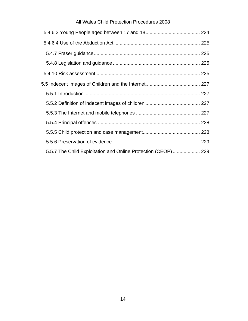| 5.5.7 The Child Exploitation and Online Protection (CEOP) 229 |  |
|---------------------------------------------------------------|--|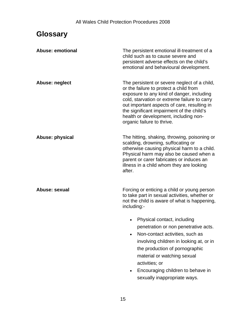# **Glossary**

| <b>Abuse: emotional</b> | The persistent emotional ill-treatment of a<br>child such as to cause severe and<br>persistent adverse effects on the child's<br>emotional and behavioural development.                                                                                                                                                                                |
|-------------------------|--------------------------------------------------------------------------------------------------------------------------------------------------------------------------------------------------------------------------------------------------------------------------------------------------------------------------------------------------------|
| Abuse: neglect          | The persistent or severe neglect of a child,<br>or the failure to protect a child from<br>exposure to any kind of danger, including<br>cold, starvation or extreme failure to carry<br>out important aspects of care, resulting in<br>the significant impairment of the child's<br>health or development, including non-<br>organic failure to thrive. |
| Abuse: physical         | The hitting, shaking, throwing, poisoning or<br>scalding, drowning, suffocating or<br>otherwise causing physical harm to a child.<br>Physical harm may also be caused when a<br>parent or carer fabricates or induces an<br>illness in a child whom they are looking<br>after.                                                                         |
| Abuse: sexual           | Forcing or enticing a child or young person<br>to take part in sexual activities, whether or<br>not the child is aware of what is happening,<br>including:-                                                                                                                                                                                            |
|                         | Physical contact, including<br>penetration or non penetrative acts.<br>Non-contact activities, such as<br>involving children in looking at, or in<br>the production of pornographic<br>material or watching sexual<br>activities; or                                                                                                                   |
|                         | Encouraging children to behave in<br>sexually inappropriate ways.                                                                                                                                                                                                                                                                                      |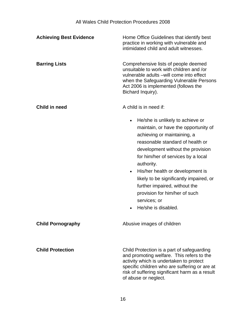| <b>Achieving Best Evidence</b> | Home Office Guidelines that identify best<br>practice in working with vulnerable and<br>intimidated child and adult witnesses.                                                                                                                                                                                                                                                                                                                         |
|--------------------------------|--------------------------------------------------------------------------------------------------------------------------------------------------------------------------------------------------------------------------------------------------------------------------------------------------------------------------------------------------------------------------------------------------------------------------------------------------------|
| <b>Barring Lists</b>           | Comprehensive lists of people deemed<br>unsuitable to work with children and /or<br>vulnerable adults -will come into effect<br>when the Safeguarding Vulnerable Persons<br>Act 2006 is implemented (follows the<br>Bichard Inquiry).                                                                                                                                                                                                                  |
| Child in need                  | A child is in need if:                                                                                                                                                                                                                                                                                                                                                                                                                                 |
|                                | He/she is unlikely to achieve or<br>$\bullet$<br>maintain, or have the opportunity of<br>achieving or maintaining, a<br>reasonable standard of health or<br>development without the provision<br>for him/her of services by a local<br>authority.<br>His/her health or development is<br>$\bullet$<br>likely to be significantly impaired, or<br>further impaired, without the<br>provision for him/her of such<br>services; or<br>He/she is disabled. |
| <b>Child Pornography</b>       | Abusive images of children                                                                                                                                                                                                                                                                                                                                                                                                                             |
| <b>Child Protection</b>        | Child Protection is a part of safeguarding<br>and promoting welfare. This refers to the<br>activity which is undertaken to protect<br>specific children who are suffering or are at<br>risk of suffering significant harm as a result<br>of abuse or neglect.                                                                                                                                                                                          |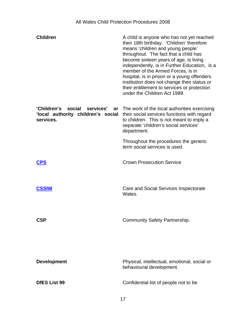| <b>Children</b>                                                                                    | A child is anyone who has not yet reached<br>their 18th birthday. 'Children' therefore<br>means 'children and young people'<br>throughout. The fact that a child has<br>become sixteen years of age, is living<br>independently, is in Further Education, is a<br>member of the Armed Forces, is in<br>hospital, is in prison or a young offenders<br>institution does not change their status or<br>their entitlement to services or protection<br>under the Children Act 1989. |
|----------------------------------------------------------------------------------------------------|----------------------------------------------------------------------------------------------------------------------------------------------------------------------------------------------------------------------------------------------------------------------------------------------------------------------------------------------------------------------------------------------------------------------------------------------------------------------------------|
| social<br>services'<br><b>'Children's</b><br>or<br>'local authority children's social<br>services. | The work of the local authorities exercising<br>their social services functions with regard<br>to children. This is not meant to imply a<br>separate 'children's social services'<br>department.                                                                                                                                                                                                                                                                                 |
|                                                                                                    | Throughout the procedures the generic<br>term social services is used.                                                                                                                                                                                                                                                                                                                                                                                                           |
| <u>CPS</u>                                                                                         | <b>Crown Prosecution Service</b>                                                                                                                                                                                                                                                                                                                                                                                                                                                 |
| <b>CSSIW</b>                                                                                       | Care and Social Services Inspectorate<br>Wales.                                                                                                                                                                                                                                                                                                                                                                                                                                  |
| CSP                                                                                                | Community Safety Partnership.                                                                                                                                                                                                                                                                                                                                                                                                                                                    |
| <b>Development</b>                                                                                 | Physical, intellectual, emotional, social or<br>behavioural development.                                                                                                                                                                                                                                                                                                                                                                                                         |
| <b>DfES List 99</b>                                                                                | Confidential list of people not to be                                                                                                                                                                                                                                                                                                                                                                                                                                            |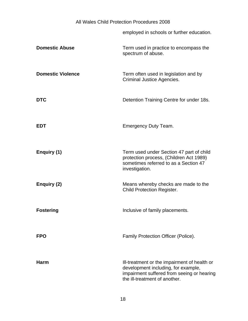| All Wales Child Protection Procedures 2008 |                                                                                                                                                                    |
|--------------------------------------------|--------------------------------------------------------------------------------------------------------------------------------------------------------------------|
|                                            | employed in schools or further education.                                                                                                                          |
| <b>Domestic Abuse</b>                      | Term used in practice to encompass the<br>spectrum of abuse.                                                                                                       |
| <b>Domestic Violence</b>                   | Term often used in legislation and by<br>Criminal Justice Agencies.                                                                                                |
| <b>DTC</b>                                 | Detention Training Centre for under 18s.                                                                                                                           |
| <b>EDT</b>                                 | <b>Emergency Duty Team.</b>                                                                                                                                        |
| Enquiry (1)                                | Term used under Section 47 part of child<br>protection process, (Children Act 1989)<br>sometimes referred to as a Section 47<br>investigation.                     |
| Enguiry (2)                                | Means whereby checks are made to the<br><b>Child Protection Register.</b>                                                                                          |
| <b>Fostering</b>                           | Inclusive of family placements.                                                                                                                                    |
| <b>FPO</b>                                 | Family Protection Officer (Police).                                                                                                                                |
| <b>Harm</b>                                | Ill-treatment or the impairment of health or<br>development including, for example,<br>impairment suffered from seeing or hearing<br>the ill-treatment of another. |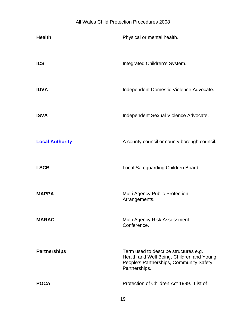| <b>Health</b>          | Physical or mental health.                                                                                                                     |
|------------------------|------------------------------------------------------------------------------------------------------------------------------------------------|
| <b>ICS</b>             | Integrated Children's System.                                                                                                                  |
| <b>IDVA</b>            | Independent Domestic Violence Advocate.                                                                                                        |
| <b>ISVA</b>            | Independent Sexual Violence Advocate.                                                                                                          |
| <b>Local Authority</b> | A county council or county borough council.                                                                                                    |
| <b>LSCB</b>            | Local Safeguarding Children Board.                                                                                                             |
| <b>MAPPA</b>           | Multi Agency Public Protection<br>Arrangements.                                                                                                |
| <b>MARAC</b>           | Multi Agency Risk Assessment<br>Conference.                                                                                                    |
| <b>Partnerships</b>    | Term used to describe structures e.g.<br>Health and Well Being, Children and Young<br>People's Partnerships, Community Safety<br>Partnerships. |
| <b>POCA</b>            | Protection of Children Act 1999. List of                                                                                                       |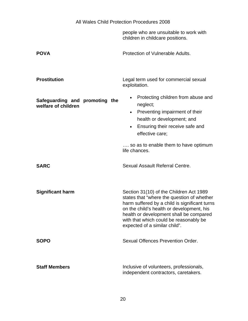| All Wales Child Protection Procedures 2008            |                                                                                                                                                                                                                                                                                                           |
|-------------------------------------------------------|-----------------------------------------------------------------------------------------------------------------------------------------------------------------------------------------------------------------------------------------------------------------------------------------------------------|
|                                                       | people who are unsuitable to work with<br>children in childcare positions.                                                                                                                                                                                                                                |
| <b>POVA</b>                                           | Protection of Vulnerable Adults.                                                                                                                                                                                                                                                                          |
| <b>Prostitution</b>                                   | Legal term used for commercial sexual<br>exploitation.                                                                                                                                                                                                                                                    |
| Safeguarding and promoting the<br>welfare of children | Protecting children from abuse and<br>$\bullet$<br>neglect;<br>Preventing impairment of their<br>$\bullet$<br>health or development; and<br>Ensuring their receive safe and<br>$\bullet$<br>effective care;                                                                                               |
|                                                       | so as to enable them to have optimum<br>life chances.                                                                                                                                                                                                                                                     |
| <b>SARC</b>                                           | Sexual Assault Referral Centre.                                                                                                                                                                                                                                                                           |
| <b>Significant harm</b>                               | Section 31(10) of the Children Act 1989<br>states that "where the question of whether<br>harm suffered by a child is significant turns<br>on the child's health or development, his<br>health or development shall be compared<br>with that which could be reasonably be<br>expected of a similar child". |
| <b>SOPO</b>                                           | Sexual Offences Prevention Order.                                                                                                                                                                                                                                                                         |
| <b>Staff Members</b>                                  | Inclusive of volunteers, professionals,<br>independent contractors, caretakers.                                                                                                                                                                                                                           |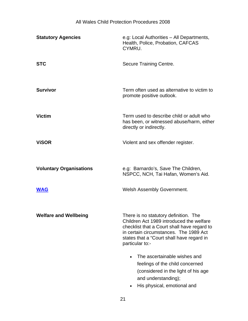| <b>Statutory Agencies</b>      | e.g: Local Authorities - All Departments,<br>Health, Police, Probation, CAFCAS<br>CYMRU.                                                                                                                                                   |
|--------------------------------|--------------------------------------------------------------------------------------------------------------------------------------------------------------------------------------------------------------------------------------------|
| <b>STC</b>                     | Secure Training Centre.                                                                                                                                                                                                                    |
| <b>Survivor</b>                | Term often used as alternative to victim to<br>promote positive outlook.                                                                                                                                                                   |
| <b>Victim</b>                  | Term used to describe child or adult who<br>has been, or witnessed abuse/harm, either<br>directly or indirectly.                                                                                                                           |
| <b>VISOR</b>                   | Violent and sex offender register.                                                                                                                                                                                                         |
| <b>Voluntary Organisations</b> | e.g: Barnardo's, Save The Children,<br>NSPCC, NCH, Tai Hafan, Women's Aid.                                                                                                                                                                 |
| <b>WAG</b>                     | <b>Welsh Assembly Government.</b>                                                                                                                                                                                                          |
| <b>Welfare and Wellbeing</b>   | There is no statutory definition. The<br>Children Act 1989 introduced the welfare<br>checklist that a Court shall have regard to<br>in certain circumstances. The 1989 Act<br>states that a "Court shall have regard in<br>particular to:- |
|                                | The ascertainable wishes and<br>feelings of the child concerned<br>(considered in the light of his age<br>and understanding);<br>His physical, emotional and                                                                               |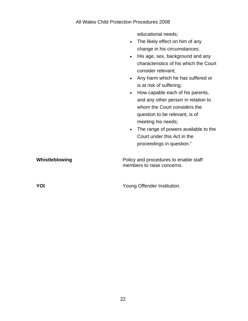educational needs;

- The likely effect on him of any change in his circumstances;
	- His age, sex, background and any characteristics of his which the Court consider relevant;
	- Any harm which he has suffered or is at risk of suffering;
	- How capable each of his parents, and any other person in relation to whom the Court considers the question to be relevant, is of meeting his needs;
	- The range of powers available to the Court under this Act in the proceedings in question."

**Whistleblowing The Policy and procedures to enable staff** members to raise concerns.

**YOI YOI YOI** *YOI*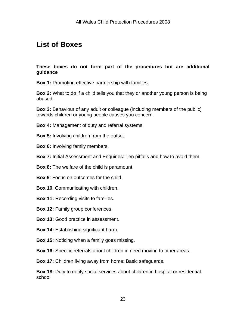## **List of Boxes**

**These boxes do not form part of the procedures but are additional guidance** 

**Box 1:** Promoting effective partnership with families.

**Box 2:** What to do if a child tells you that they or another young person is being abused.

**Box 3:** Behaviour of any adult or colleague (including members of the public) towards children or young people causes you concern.

**Box 4:** Management of duty and referral systems.

**Box 5:** Involving children from the outset.

**Box 6:** Involving family members.

**Box 7:** Initial Assessment and Enquiries: Ten pitfalls and how to avoid them.

**Box 8:** The welfare of the child is paramount

**Box 9**: Focus on outcomes for the child.

**Box 10**: Communicating with children.

**Box 11:** Recording visits to families.

**Box 12:** Family group conferences.

**Box 13:** Good practice in assessment.

**Box 14:** Establishing significant harm.

**Box 15:** Noticing when a family goes missing.

**Box 16:** Specific referrals about children in need moving to other areas.

**Box 17:** Children living away from home: Basic safeguards.

**Box 18:** Duty to notify social services about children in hospital or residential school.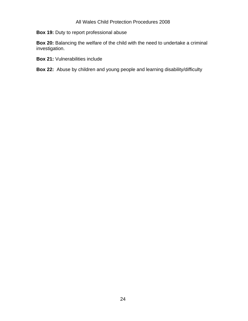**Box 19:** Duty to report professional abuse

**Box 20:** Balancing the welfare of the child with the need to undertake a criminal investigation.

- **Box 21: Vulnerabilities include**
- **Box 22:** Abuse by children and young people and learning disability/difficulty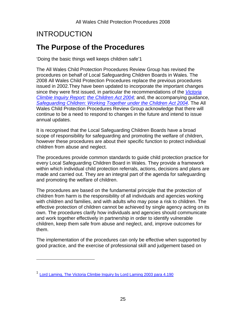# INTRODUCTION

# **The Purpose of the Procedures**

'Doing the basic things well keeps children safe'1

The All Wales Child Protection Procedures Review Group has revised the procedures on behalf of Local Safeguarding Children Boards in Wales. The 2008 All Wales Child Protection Procedures replace the previous procedures issued in 2002.They have been updated to incorporate the important changes [since they were first issued, in particular the recommendations of the](http://www.publications.parliament.uk/pa/cm200203/cmselect/cmhealth/570/570.pdf) *Victoria Climbie Inquiry Report; [the Children Act 2004;](http://www.opsi.gov.uk/acts/acts2004/ukpga_20040031_en_1)* and, the accompanying guidance, *[Safeguarding Children: Working Together under the Children Act 2004](http://wales.gov.uk/topics/childrenyoungpeople/publications/safeguardingunder2004act/?lang=en)*. The All Wales Child Protection Procedures Review Group acknowledge that there will continue to be a need to respond to changes in the future and intend to issue annual updates.

It is recognised that the Local Safeguarding Children Boards have a broad scope of responsibility for safeguarding and promoting the welfare of children, however these procedures are about their specific function to protect individual children from abuse and neglect.

The procedures provide common standards to guide child protection practice for every Local Safeguarding Children Board in Wales. They provide a framework within which individual child protection referrals, actions, decisions and plans are made and carried out. They are an integral part of the agenda for safeguarding and promoting the welfare of children.

The procedures are based on the fundamental principle that the protection of children from harm is the responsibility of all individuals and agencies working with children and families, and with adults who may pose a risk to children. The effective protection of children cannot be achieved by single agency acting on its own. The procedures clarify how individuals and agencies should communicate and work together effectively in partnership in order to identify vulnerable children, keep them safe from abuse and neglect, and, improve outcomes for them.

The implementation of the procedures can only be effective when supported by good practice, and the exercise of professional skill and judgement based on

l

<sup>&</sup>lt;sup>1</sup> [Lord Laming, The Victoria Climbie Inquiry by Lord Laming 2003 para 4.190](http://www.publications.parliament.uk/pa/cm200203/cmselect/cmhealth/570/570.pdf)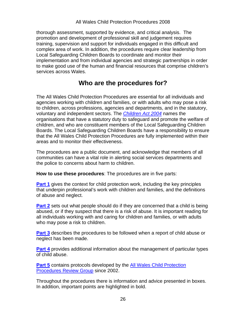thorough assessment, supported by evidence, and critical analysis. The promotion and development of professional skill and judgement requires training, supervision and support for individuals engaged in this difficult and complex area of work. In addition, the procedures require clear leadership from Local Safeguarding Children Boards to coordinate and monitor their implementation and from individual agencies and strategic partnerships in order to make good use of the human and financial resources that comprise children's services across Wales.

### **Who are the procedures for?**

The All Wales Child Protection Procedures are essential for all individuals and agencies working with children and families, or with adults who may pose a risk to children, across professions, agencies and departments, and in the statutory, voluntary and independent sectors. The *[Children Act 2004](http://www.opsi.gov.uk/acts/acts2004/ukpga_20040031_en_1)* names the organisations that have a statutory duty to safeguard and promote the welfare of children, and who are constituent members of the Local Safeguarding Children Boards. The Local Safeguarding Children Boards have a responsibility to ensure that the All Wales Child Protection Procedures are fully implemented within their areas and to monitor their effectiveness.

The procedures are a public document, and acknowledge that members of all communities can have a vital role in alerting social services departments and the police to concerns about harm to children.

**How to use these procedures**: The procedures are in five parts:

**Part 1** gives the context for child protection work, including the key principles that underpin professional's work with children and families, and the definitions of abuse and neglect.

**Part 2** sets out what people should do if they are concerned that a child is being abused, or if they suspect that there is a risk of abuse. It is important reading for all individuals working with and caring for children and families, or with adults who may pose a risk to children.

**Part 3** describes the procedures to be followed when a report of child abuse or neglect has been made.

**Part 4** provides additional information about the management of particular types of child abuse.

**Part 5** [contains protocols developed by the All Wales Child Protection](http://www.awcpp.org.uk/areasofwork/safeguardingchildren/awcpprg/index.html) Procedures Review Group since 2002.

Throughout the procedures there is information and advice presented in boxes. In addition, important points are highlighted in bold.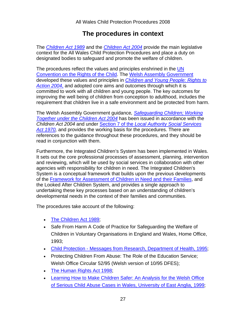### **The procedures in context**

The *[Children Act 1989](http://www.opsi.gov.uk/acts/acts1989/ukpga_19890041_en_1)* and the *[Children Act 2004](http://www.opsi.gov.uk/acts/acts2004/ukpga_20040031_en_1)* provide the main legislative context for the All Wales Child Protection Procedures and place a duty on designated bodies to safeguard and promote the welfare of children.

The procedures reflect the values and principles enshrined in the UN Convention on the Rights of the Child. The [Welsh Assembly Government](http://wales.gov.uk/?skip=1&lang=en) developed these values and principles in *Children and Young People: Rights to Action 2004*[, and adopted core aims and outcomes through which it is](http://www.assemblywales.org/N0000000000000000000000000016990.pdf)  committed to work with all children and young people. The key outcomes for improving the well being of children from conception to adulthood, includes the requirement that children live in a safe environment and be protected from harm.

[The Welsh Assembly Government guidance](http://wales.gov.uk/topics/childrenyoungpeople/publications/safeguardingunder2004act/?lang=en)*, Safeguarding Children; Working Together under the Children Act 2004* has been issued in accordance with the *Children Act 2004* and under Section 7 of the *Local Authority Social Services*  Act 1970, and provides the working basis for the procedures. There are references to the guidance throughout these procedures, and they should be read in conjunction with them.

Furthermore, the Integrated Children's System has been implemented in Wales. It sets out the core professional processes of assessment, planning, intervention and reviewing, which will be used by social services in collaboration with other agencies with responsibility for children in need. The Integrated Children's System is a conceptual framework that builds upon the previous developments of the [Framework for Assessment of Children in Need and their Families](http://www.dh.gov.uk/en/Publicationsandstatistics/Publications/PublicationsPolicyAndGuidance/DH_4003256), and the Looked After Children System, and provides a single approach to undertaking these key processes based on an understanding of children's developmental needs in the context of their families and communities.

The procedures take account of the following:

- The Children Act 1989;
- Safe From Harm A Code of Practice for Safeguarding the Welfare of Children in Voluntary Organisations in England and Wales, Home Office, 1993;
- [Child Protection Messages from Research, Department of Health, 1995;](http://www.dh.gov.uk/en/Publicationsandstatistics/Lettersandcirculars/Chiefinspectorletters/DH_4004741)
- Protecting Children From Abuse: The Role of the Education Service; Welsh Office Circular 52/95 (Welsh version of 10/95 DFES);
- [The Human Rights Act 1998;](http://www.opsi.gov.uk/acts/acts1998/ukpga_19980042_en_1)
- Learning How to Make Children Safer: An Analysis for the Welsh Office [of Serious Child Abuse Cases in Wales, University of East Anglia, 1999;](http://www.scie-socialcareonline.org.uk/profile.asp?guid=16d766f0-5936-44d3-b055-c719858fe5ad)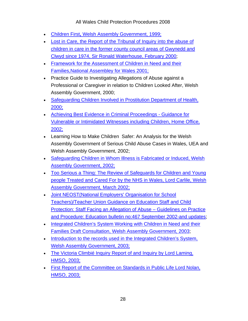- Children First**,** [Welsh Assembly Government, 1999;](http://wales.gov.uk/publications/circular/circulars2001/nafwc042001?lang=en)
- [Lost in Care, the Report of the Tribunal of Inquiry into the abuse of](http://www.nkmr.org/english/lost_in_care_the_waterhouse_report.htm)  children in care in the former county council areas of Gwynedd and Clwyd since 1974, Sir Ronald Waterhouse, February 2000;
- [Framework for the Assessment of Children in Need and their](http://wales.gov.uk/topics/childrenyoungpeople/publications/childreninneed/;jsessionid=310PLHyfQfQJdfCwt2C9pGy2NZv05f1tBT1yzP2ZvKvXbyJhrNtW!200562741?lang=en) Families,National Assembley for Wales 2001;
- Practice Guide to Investigating Allegations of Abuse against a Professional or Caregiver in relation to Children Looked After, Welsh Assembly Government, 2000;
- [Safeguarding Children Involved in Prostitution Department of Health,](http://www.dh.gov.uk/en/Publicationsandstatistics/Publications/PublicationsPolicyAndGuidance/DH_4006037) 2000;
- Achieving Best Evidence in Criminal Proceedings Guidance for [Vulnerable or Intimidated Witnesses including Children, Home Office,](http://www.cps.gov.uk/publications/docs/achieving_best_evidence_final.pdf) 2002;
- Learning How to Make Children Safer: An Analysis for the Welsh Assembly Government of Serious Child Abuse Cases in Wales, UEA and Welsh Assembly Government, 2002;
- [Safeguarding Children in Whom Illness is Fabricated or Induced, Welsh](http://wales.gov.uk/topics/childrenyoungpeople/publications/illnessfabricated/?lang=en) Assembly Government, 2002;
- [Too Serious a Thing: The Review of Safeguards for Children and Young](http://www.childreninwales.org.uk/policy/documents/researchandreports/4514.html)  people Treated and Cared For by the NHS in Wales, Lord Carlile, Welsh Assembly Government, March 2002;
- Joint NEOST(National Employers' Organisation for School Teachers)/Teacher Union Guidance on Education Staff and Child Protection: Staff Facing an Allegation of Abuse – Guidelines on Practice [and Procedure: Education bulletin no:467 September 2002-and updates;](http://www.lge.gov.uk/lge/core/page.do?pageId=123338)
- Integrated Children's System Working with Children in Need and their Families Draft Consultation, Welsh Assembly Government, 2003;
- Introduction to the records used in the Integrated Children's System, Welsh Assembly Government, 2003;
- The Victoria Climbié Inquiry Report of and Inquiry by Lord Laming, HMSO, 2003;
- [First Report of the Committee on Standards in Public Life Lord Nolan,](http://www.public-standards.gov.uk/Library/OurWork/QuinnennialReview.pdf)  HMSO, 2003;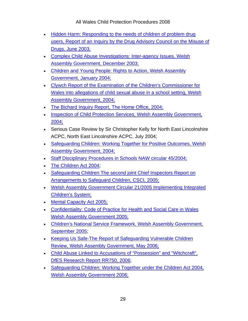- Hidden Harm: Responding to the needs of children of problem drug [users, Report of an Inquiry by the Drug Advisory Council on the Misuse of](http://drugs.homeoffice.gov.uk/publication-search/acmd/acmd-annual-report-03-04.pdf?view=Binary)  Drugs, June 2003;
- [Complex Child Abuse Investigations: Inter-agency Issues, Welsh](http://www.cambslscb.org.uk/leaflets/Working%20Together%20to%20Safeguard%20Children.pdf) Assembly Government, December 2003;
- [Children and Young People: Rights to Action, Welsh Assembly](http://wales.gov.uk/docs/caecd/publications/090415rightstoactionen.pdf)  Government, January 2004;
- [Clywch Report of the Examination of the Children's Commissioner for](http://wales.gov.uk/about/cabinet/cabinetstatements/2004/060704JDclywch?lang=en)  Wales into allegations of child sexual abuse in a school setting, Welsh Assembly Government, 2004;
- [The Bichard Inquiry Report, The Home Office, 2004;](http://police.homeoffice.gov.uk/publications/operational-policing/bichard-inquiry-report?view=Binary)
- [Inspection of Child Protection Services, Welsh Assembly Government,](http://cymru.gov.uk/news/archivepress/educationpress/edpress2006/778661/;jsessionid=vVsYKdFG2CmzTj8q0YGwT1ynflyBnPTQ5DsDxvBgSGTGyTTp7cQm!-1895006922?lang=en&skip=1) 2004;
- Serious Case Review by Sir Christopher Kelly for North East Lincolnshire ACPC, North East Lincolnshire ACPC, July 2004;
- [Safeguarding Children: Working Together for Positive Outcomes, Welsh](http://wales.gov.uk/topics/childrenyoungpeople/publications/safeguardingchildrenpositive;jsessionid=RJvCKydbY6xdtL6pb4KGwkc7lx8Bm0htDstlL42PqT3KyF023WYb!-826231897?lang=en) Assembly Government, 2004;
- [Staff Disciplinary Procedures in Schools NAW circular 45/2004;](http://wales.gov.uk/pubs/circulars/2007/1949006/schoolsandmodelpolicy.pdf;jsessionid=L4mnJKpYpMpvB8CYd5bjMkCqK7G26dRLmKrvzYDjKyxM6qQGdNs3!-1868201774?lang=en)
- The Children Act 2004;
- Safeguarding Children The second joint Chief Inspectors Report on Arrangements to Safeguard Children, CSCI, 2005;
- [Welsh Assembly Government Circular 21/2005 Implementing Integrated](http://wales.gov.uk/publications/circular/circulars05/1560152/?lang=en)  Children's System;
- [Mental Capacity Act 2005;](http://www.opsi.gov.uk/acts/acts2005/ukpga_20050009_en_1)
- [Confidentiality: Code of Practice for Health and Social Care in Wales](http://wales.gov.uk/cssiwsubsite/newcssiw/publications/ourfindings/allwales/2005/;jsessionid=pJDJKJ0J5MLj7xFtghhJhBd1QSyZT2J2k54QVGKdvXFNQKTsxB5T!514291769?lang=en) Welsh Assembly Government 2005;
- [Children's National Service Framework, Welsh Assembly Government,](http://wales.gov.uk/topics/childrenyoungpeople/careandprotection/nsf/?lang=en) September 2005;
- [Keeping Us Safe-The Report of Safeguarding Vulnerable Children](http://wales.gov.uk/topics/childrenyoungpeople/publications/?lang=en)  Review, Welsh Assembly Government, May 2006;
- [Child Abuse Linked to Accusations of "Possession" and "Witchcraft",](http://www.dcsf.gov.uk/research/data/uploadfiles/RR750.pdf) DfES Research Report RR750, 2006;
- [Safeguarding Children: Working Together under the Children Act 2004,](http://wales.gov.uk/publications/circular/2008/safeguardingchildren/?lang=en) Welsh Assembly Government 2006;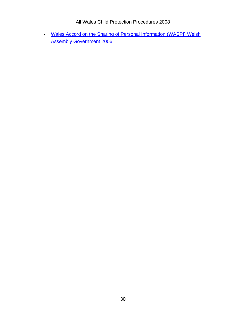• [Wales Accord on the Sharing of Personal Information \(WASPI\) Welsh](http://wales.gov.uk/cssiwsubsite/cssiw/publications/general/WASPI?lang=en) Assembly Government 2006.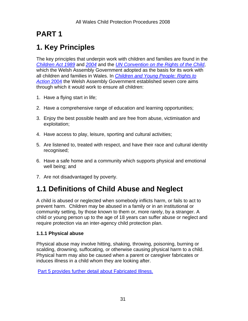# **PART 1**

# **1. Key Principles**

The key principles that underpin work with children and families are found in the *[Children Act 1989](http://www.opsi.gov.uk/acts/acts1989/ukpga_19890041_en_1)* and *[2004](http://www.opsi.gov.uk/acts/acts2004/ukpga_20040031_en_1)* and the *[UN Convention on the Rights of the Child](http://www.unicef.org/crc/)*, which the Welsh Assembly Government adopted as the basis for its work with all children and families in Wales. In *Children and Young People: Rights to Action* [2004 the Welsh Assembly Government established seven core aims](http://www.assemblywales.org/N0000000000000000000000000016990.pdf) through which it would work to ensure all children:

- 1. Have a flying start in life;
- 2. Have a comprehensive range of education and learning opportunities;
- 3. Enjoy the best possible health and are free from abuse, victimisation and exploitation;
- 4. Have access to play, leisure, sporting and cultural activities;
- 5. Are listened to, treated with respect, and have their race and cultural identity recognised;
- 6. Have a safe home and a community which supports physical and emotional well being; and
- 7. Are not disadvantaged by poverty.

# **1.1 Definitions of Child Abuse and Neglect**

A child is abused or neglected when somebody inflicts harm, or fails to act to prevent harm. Children may be abused in a family or in an institutional or community setting, by those known to them or, more rarely, by a stranger. A child or young person up to the age of 18 years can suffer abuse or neglect and require protection via an inter-agency child protection plan.

#### **1.1.1 Physical abuse**

Physical abuse may involve hitting, shaking, throwing, poisoning, burning or scalding, drowning, suffocating, or otherwise causing physical harm to a child. Physical harm may also be caused when a parent or caregiver fabricates or induces illness in a child whom they are looking after.

Part 5 provides further detail about Fabricated Illness.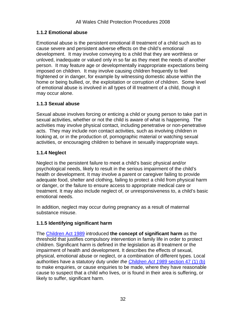#### **1.1.2 Emotional abuse**

Emotional abuse is the persistent emotional ill treatment of a child such as to cause severe and persistent adverse effects on the child's emotional development. It may involve conveying to a child that they are worthless or unloved, inadequate or valued only in so far as they meet the needs of another person. It may feature age or developmentally inappropriate expectations being imposed on children. It may involve causing children frequently to feel frightened or in danger, for example by witnessing domestic abuse within the home or being bullied, or, the exploitation or corruption of children. Some level of emotional abuse is involved in all types of ill treatment of a child, though it may occur alone.

#### **1.1.3 Sexual abuse**

Sexual abuse involves forcing or enticing a child or young person to take part in sexual activities, whether or not the child is aware of what is happening. The activities may involve physical contact, including penetrative or non-penetrative acts. They may include non contact activities, such as involving children in looking at, or in the production of, pornographic material or watching sexual activities, or encouraging children to behave in sexually inappropriate ways.

#### **1.1.4 Neglect**

Neglect is the persistent failure to meet a child's basic physical and/or psychological needs, likely to result in the serious impairment of the child's health or development. It may involve a parent or caregiver failing to provide adequate food, shelter and clothing, failing to protect a child from physical harm or danger, or the failure to ensure access to appropriate medical care or treatment. It may also include neglect of, or unresponsiveness to, a child's basic emotional needs.

In addition, neglect may occur during pregnancy as a result of maternal substance misuse.

#### **1.1.5 Identifying significant harm**

The [Children Act 1989](http://www.opsi.gov.uk/acts/acts1989/ukpga_19890041_en_1) introduced **the concept of significant harm** as the threshold that justifies compulsory intervention in family life in order to protect children. Significant harm is defined in the legislation as ill treatment or the impairment of health and development. It describes the effects of sexual, physical, emotional abuse or neglect, or a combination of different types. Local authorities have a statutory duty under *the [Children Act 1989](http://www.opsi.gov.uk/acts/acts1989/ukpga_19890041_en_7)* section 47 (1) (b) to make enquiries, or cause enquiries to be made, where they have reasonable cause to suspect that a child who lives, or is found in their area is suffering, or likely to suffer, significant harm.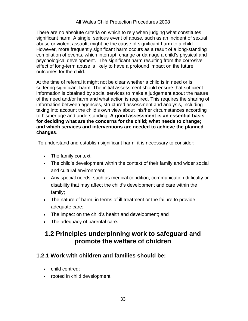There are no absolute criteria on which to rely when judging what constitutes significant harm. A single, serious event of abuse, such as an incident of sexual abuse or violent assault, might be the cause of significant harm to a child. However, more frequently significant harm occurs as a result of a long-standing compilation of events, which interrupt, change or damage a child's physical and psychological development. The significant harm resulting from the corrosive effect of long-term abuse is likely to have a profound impact on the future outcomes for the child.

At the time of referral it might not be clear whether a child is in need or is suffering significant harm. The initial assessment should ensure that sufficient information is obtained by social services to make a judgement about the nature of the need and/or harm and what action is required. This requires the sharing of information between agencies, structured assessment and analysis, including taking into account the child's own view about his/her circumstances according to his/her age and understanding. **A good assessment is an essential basis for deciding what are the concerns for the child; what needs to change; and which services and interventions are needed to achieve the planned changes**.

To understand and establish significant harm, it is necessary to consider:

- The family context;
- The child's development within the context of their family and wider social and cultural environment;
- Any special needs, such as medical condition, communication difficulty or disability that may affect the child's development and care within the family;
- The nature of harm, in terms of ill treatment or the failure to provide adequate care;
- The impact on the child's health and development; and
- The adequacy of parental care.

### **1.2 Principles underpinning work to safeguard and promote the welfare of children**

#### **1.2.1 Work with children and families should be:**

- child centred;
- rooted in child development;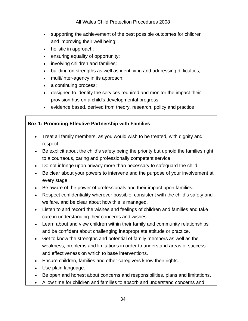- supporting the achievement of the best possible outcomes for children and improving their well being;
- holistic in approach;
- ensuring equality of opportunity;
- involving children and families;
- building on strengths as well as identifying and addressing difficulties;
- multi/inter-agency in its approach;
- a continuing process;
- designed to identify the services required and monitor the impact their provision has on a child's developmental progress;
- evidence based, derived from theory, research, policy and practice

#### **Box 1: Promoting Effective Partnership with Families**

- Treat all family members, as you would wish to be treated, with dignity and respect.
- Be explicit about the child's safety being the priority but uphold the families right to a courteous, caring and professionally competent service.
- Do not infringe upon privacy more than necessary to safeguard the child.
- Be clear about your powers to intervene and the purpose of your involvement at every stage.
- Be aware of the power of professionals and their impact upon families.
- Respect confidentiality wherever possible, consistent with the child's safety and welfare, and be clear about how this is managed.
- Listen to and record the wishes and feelings of children and families and take care in understanding their concerns and wishes.
- Learn about and view children within their family and community relationships and be confident about challenging inappropriate attitude or practice.
- Get to know the strengths and potential of family members as well as the weakness, problems and limitations in order to understand areas of success and effectiveness on which to base interventions.
- Ensure children, families and other caregivers know their rights.
- Use plain language.
- Be open and honest about concerns and responsibilities, plans and limitations.
- Allow time for children and families to absorb and understand concerns and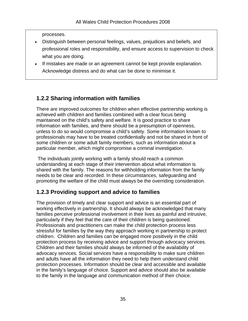processes.

- Distinguish between personal feelings, values, prejudices and beliefs, and professional roles and responsibility, and ensure access to supervision to check what you are doing.
- If mistakes are made or an agreement cannot be kept provide explanation. Acknowledge distress and do what can be done to minimise it.

### **1.2.2 Sharing information with families**

There are improved outcomes for children when effective partnership working is achieved with children and families combined with a clear focus being maintained on the child's safety and welfare. It is good practice to share information with families, and there should be a presumption of openness, unless to do so would compromise a child's safety. Some information known to professionals may have to be treated confidentially and not be shared in front of some children or some adult family members, such as information about a particular member, which might compromise a criminal investigation.

 The individuals jointly working with a family should reach a common understanding at each stage of their intervention about what information is shared with the family. The reasons for withholding information from the family needs to be clear and recorded. In these circumstances, safeguarding and promoting the welfare of the child must always be the overriding consideration.

### **1.2.3 Providing support and advice to families**

The provision of timely and clear support and advice is an essential part of working effectively in partnership. It should always be acknowledged that many families perceive professional involvement in their lives as painful and intrusive, particularly if they feel that the care of their children is being questioned. Professionals and practitioners can make the child protection process less stressful for families by the way they approach working in partnership to protect children. Children and families can be engaged more positively in the child protection process by receiving advice and support through advocacy services. Children and their families should always be informed of the availability of advocacy services. Social services have a responsibility to make sure children and adults have all the information they need to help them understand child protection processes. Information should be clear and accessible and available in the family's language of choice. Support and advice should also be available to the family in the language and communication method of their choice.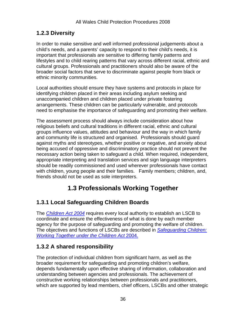### **1.2.3 Diversity**

In order to make sensitive and well informed professional judgements about a child's needs, and a parents' capacity to respond to their child's needs, it is important that professionals are sensitive to differing family patterns and lifestyles and to child rearing patterns that vary across different racial, ethnic and cultural groups. Professionals and practitioners should also be aware of the broader social factors that serve to discriminate against people from black or ethnic minority communities.

Local authorities should ensure they have systems and protocols in place for identifying children placed in their areas including asylum seeking and unaccompanied children and children placed under private fostering arrangements. These children can be particularly vulnerable, and protocols need to emphasise the importance of safeguarding and promoting their welfare.

The assessment process should always include consideration about how religious beliefs and cultural traditions in different racial, ethnic and cultural groups influence values, attitudes and behaviour and the way in which family and community life is structured and organised. Professionals should guard against myths and stereotypes, whether positive or negative, and anxiety about being accused of oppressive and discriminatory practice should not prevent the necessary action being taken to safeguard a child. When required, independent, appropriate interpreting and translation services and sign language interpreters should be readily commissioned and used wherever professionals have contact with children, young people and their families. Family members; children, and, friends should not be used as sole interpreters.

### **1.3 Professionals Working Together**

### **1.3.1 Local Safeguarding Children Boards**

The *[Children Act 2004](http://www.opsi.gov.uk/acts/acts2004/ukpga_20040031_en_1)* requires every local authority to establish an LSCB to coordinate and ensure the effectiveness of what is done by each member agency for the purpose of safeguarding and promoting the welfare of children. [The objectives and functions of LSCBs are described in](http://wales.gov.uk/topics/childrenyoungpeople/publications/safeguardingunder2004act;jsessionid=RJvCKydbY6xdtL6pb4KGwkc7lx8Bm0htDstlL42PqT3KyF023WYb!-826231897?lang=en) *Safeguarding Children: Working Together under the Children Act* 2004.

### **1.3.2 A shared responsibility**

The protection of individual children from significant harm, as well as the broader requirement for safeguarding and promoting children's welfare, depends fundamentally upon effective sharing of information, collaboration and understanding between agencies and professionals. The achievement of constructive working relationships between professionals and practitioners, which are supported by lead members, chief officers, LSCBs and other strategic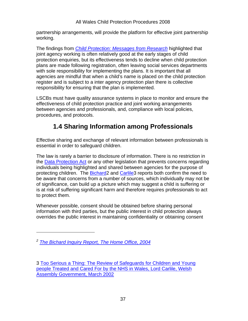partnership arrangements, will provide the platform for effective joint partnership working.

The findings from *[Child Protection: Messages from Research](http://www.dh.gov.uk/en/Publicationsandstatistics/Lettersandcirculars/Chiefinspectorletters/DH_4004741)* highlighted that joint agency working is often relatively good at the early stages of child protection enquiries, but its effectiveness tends to decline when child protection plans are made following registration, often leaving social services departments with sole responsibility for implementing the plans. It is important that all agencies are mindful that when a child's name is placed on the child protection register and is subject to a inter agency protection plan there is collective responsibility for ensuring that the plan is implemented.

LSCBs must have quality assurance systems in place to monitor and ensure the effectiveness of child protection practice and joint working arrangements between agencies and professionals, and, compliance with local policies, procedures, and protocols.

# **1.4 Sharing Information among Professionals**

Effective sharing and exchange of relevant information between professionals is essential in order to safeguard children.

The law is rarely a barrier to disclosure of information. There is no restriction in the [Data Protection Act](http://www.ico.gov.uk/what_we_cover/data_protection.aspx) or any other legislation that prevents concerns regarding individuals being highlighted and shared between agencies for the purpose of protecting children. The [Bichard2](http://police.homeoffice.gov.uk/publications/operational-policing/bichard-inquiry-report?view=Binary) and [Carlile](http://security.homeoffice.gov.uk/news-publications/news-speeches/Lord-carlile-report)3 reports both confirm the need to be aware that concerns from a number of sources, which individually may not be of significance, can build up a picture which may suggest a child is suffering or is at risk of suffering significant harm and therefore requires professionals to act to protect them.

Whenever possible, consent should be obtained before sharing personal information with third parties, but the public interest in child protection always overrides the public interest in maintaining confidentiality or obtaining consent

l

*<sup>2</sup> [The Bichard Inquiry Report, The Home Office, 2004](http://police.homeoffice.gov.uk/publications/operational-policing/bichard-inquiry-report?view=Binary)*

[<sup>3</sup> Too Serious a Thing: The Review of Safeguards for Children and Young](http://wales.gov.uk/topics/childrenyoungpeople/careandprotection/childprotection/carlile1/?lang=en)  people Treated and Cared For by the NHS in Wales, Lord Carlile, Welsh Assembly Government, March 2002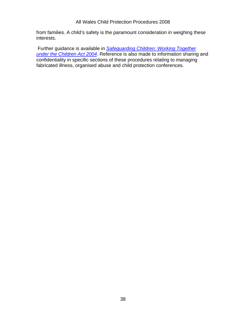from families. A child's safety is the paramount consideration in weighing these interests.

 Further guidance is available in *Safeguarding Children: Working Together under the Children Act 2004*[. Reference is also made to information sharin](http://wales.gov.uk/topics/childrenyoungpeople/publications/safeguardingunder2004act;jsessionid=RJvCKydbY6xdtL6pb4KGwkc7lx8Bm0htDstlL42PqT3KyF023WYb!-826231897?lang=en)g and confidentiality in specific sections of these procedures relating to managing fabricated illness, organised abuse and child protection conferences.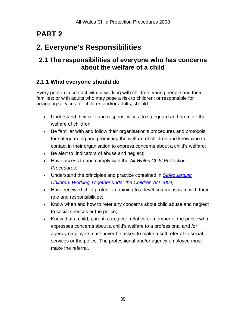# **PART 2**

# **2. Everyone's Responsibilities**

## **2.1 The responsibilities of everyone who has concerns about the welfare of a child**

## **2.1.1 What everyone should do**

Every person in contact with or working with children, young people and their families; or with adults who may pose a risk to children; or responsible for arranging services for children and/or adults, should:

- Understand their role and responsibilities to safeguard and promote the welfare of children;
- Be familiar with and follow their organisation's procedures and protocols for safeguarding and promoting the welfare of children and know who to contact in their organisation to express concerns about a child's welfare;
- Be alert to indicators of abuse and neglect;
- Have access to and comply with the *All Wales Child Protection Procedures;*
- Understand the principles and practice contained in *Safeguarding [Children: Working Together under the Children Act 2004;](http://wales.gov.uk/topics/childrenyoungpeople/publications/safeguardingunder2004act;jsessionid=RJvCKydbY6xdtL6pb4KGwkc7lx8Bm0htDstlL42PqT3KyF023WYb!-826231897?lang=en)*
- Have received child protection training to a level commensurate with their role and responsibilities;
- Know when and how to refer any concerns about child abuse and neglect to social services or the police;
- Know that a child, parent, caregiver, relative or member of the public who expresses concerns about a child's welfare to a professional and /or agency employee must never be asked to make a self referral to social services or the police. The professional and/or agency employee must make the referral.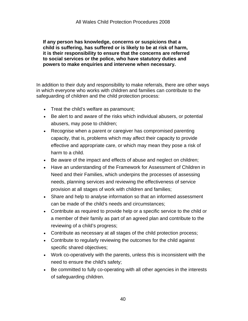#### **If any person has knowledge, concerns or suspicions that a child is suffering, has suffered or is likely to be at risk of harm, it is their responsibility to ensure that the concerns are referred to social services or the police, who have statutory duties and powers to make enquiries and intervene when necessary.**

In addition to their duty and responsibility to make referrals, there are other ways in which everyone who works with children and families can contribute to the safeguarding of children and the child protection process:

- Treat the child's welfare as paramount;
- Be alert to and aware of the risks which individual abusers, or potential abusers, may pose to children;
- Recognise when a parent or caregiver has compromised parenting capacity, that is, problems which may affect their capacity to provide effective and appropriate care, or which may mean they pose a risk of harm to a child.
- Be aware of the impact and effects of abuse and neglect on children;
- Have an understanding of the Framework for Assessment of Children in Need and their Families, which underpins the processes of assessing needs, planning services and reviewing the effectiveness of service provision at all stages of work with children and families;
- Share and help to analyse information so that an informed assessment can be made of the child's needs and circumstances;
- Contribute as required to provide help or a specific service to the child or a member of their family as part of an agreed plan and contribute to the reviewing of a child's progress;
- Contribute as necessary at all stages of the child protection process;
- Contribute to regularly reviewing the outcomes for the child against specific shared objectives;
- Work co-operatively with the parents, unless this is inconsistent with the need to ensure the child's safety;
- Be committed to fully co-operating with all other agencies in the interests of safeguarding children.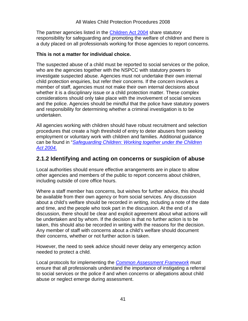The partner agencies listed in the [Children Act 2004](http://www.opsi.gov.uk/acts/acts2004/ukpga_20040031_en_1) share statutory responsibility for safeguarding and promoting the welfare of children and there is a duty placed on all professionals working for those agencies to report concerns.

#### **This is not a matter for individual choice.**

The suspected abuse of a child must be reported to social services or the police, who are the agencies together with the NSPCC with statutory powers to investigate suspected abuse. Agencies must not undertake their own internal child protection enquiries, but refer their concerns. If the concern involves a member of staff, agencies must not make their own internal decisions about whether it is a disciplinary issue or a child protection matter. These complex considerations should only take place with the involvement of social services and the police. Agencies should be mindful that the police have statutory powers and responsibility for determining whether a criminal investigation is to be undertaken.

All agencies working with children should have robust recruitment and selection procedures that create a high threshold of entry to deter abusers from seeking employment or voluntary work with children and families. Additional guidance can be found in "*[Safeguarding Children: Working together under the Children](http://wales.gov.uk/topics/childrenyoungpeople/publications/safeguardingunder2004act;jsessionid=RJvCKydbY6xdtL6pb4KGwkc7lx8Bm0htDstlL42PqT3KyF023WYb!-826231897?lang=en)  Act 2004.* 

#### **2.1.2 Identifying and acting on concerns or suspicion of abuse**

Local authorities should ensure effective arrangements are in place to allow other agencies and members of the public to report concerns about children, including outside of core office hours.

Where a staff member has concerns, but wishes for further advice, this should be available from their own agency or from social services. Any discussion about a child's welfare should be recorded in writing, including a note of the date and time, and the people who took part in the discussion. At the end of a discussion, there should be clear and explicit agreement about what actions will be undertaken and by whom. If the decision is that no further action is to be taken, this should also be recorded in writing with the reasons for the decision. Any member of staff with concerns about a child's welfare should document their concerns, whether or not further action is taken.

However, the need to seek advice should never delay any emergency action needed to protect a child.

Local protocols for implementing the *[Common Assessment Framework](http://www.dcsf.gov.uk/everychildmatters/strategy/deliveringservices1/caf/cafframework/)* must ensure that all professionals understand the importance of instigating a referral to social services or the police if and when concerns or allegations about child abuse or neglect emerge during assessment.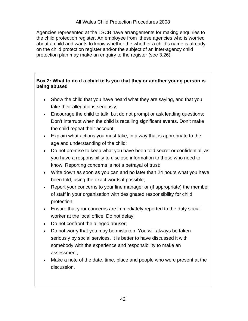Agencies represented at the LSCB have arrangements for making enquiries to the child protection register. An employee from these agencies who is worried about a child and wants to know whether the whether a child's name is already on the child protection register and/or the subject of an inter-agency child protection plan may make an enquiry to the register (see 3.26).

#### **Box 2: What to do if a child tells you that they or another young person is being abused**

- Show the child that you have heard what they are saying, and that you take their allegations seriously;
- Encourage the child to talk, but do not prompt or ask leading questions; Don't interrupt when the child is recalling significant events. Don't make the child repeat their account;
- Explain what actions you must take, in a way that is appropriate to the age and understanding of the child;
- Do not promise to keep what you have been told secret or confidential, as you have a responsibility to disclose information to those who need to know. Reporting concerns is not a betrayal of trust;
- Write down as soon as you can and no later than 24 hours what you have been told, using the exact words if possible;
- Report your concerns to your line manager or (if appropriate) the member of staff in your organisation with designated responsibility for child protection;
- Ensure that your concerns are immediately reported to the duty social worker at the local office. Do not delay;
- Do not confront the alleged abuser;
- Do not worry that you may be mistaken. You will always be taken seriously by social services. It is better to have discussed it with somebody with the experience and responsibility to make an assessment;
- Make a note of the date, time, place and people who were present at the discussion.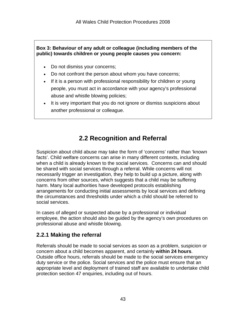#### **Box 3: Behaviour of any adult or colleague (including members of the public) towards children or young people causes you concern:**

- Do not dismiss your concerns;
- Do not confront the person about whom you have concerns;
- If it is a person with professional responsibility for children or young people, you must act in accordance with your agency's professional abuse and whistle blowing policies;
- It is very important that you do not ignore or dismiss suspicions about another professional or colleague.

# **2.2 Recognition and Referral**

Suspicion about child abuse may take the form of 'concerns' rather than 'known facts'. Child welfare concerns can arise in many different contexts, including when a child is already known to the social services. Concerns can and should be shared with social services through a referral. While concerns will not necessarily trigger an investigation, they help to build up a picture, along with concerns from other sources, which suggests that a child may be suffering harm. Many local authorities have developed protocols establishing arrangements for conducting initial assessments by local services and defining the circumstances and thresholds under which a child should be referred to social services.

In cases of alleged or suspected abuse by a professional or individual employee, the action should also be guided by the agency's own procedures on professional abuse and whistle blowing.

## **2.2.1 Making the referral**

Referrals should be made to social services as soon as a problem, suspicion or concern about a child becomes apparent, and certainly **within 24 hours**. Outside office hours, referrals should be made to the social services emergency duty service or the police. Social services and the police must ensure that an appropriate level and deployment of trained staff are available to undertake child protection section 47 enquiries, including out of hours.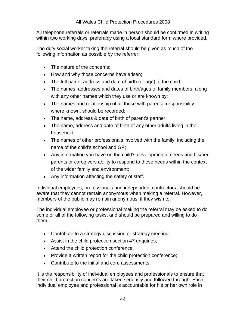All telephone referrals or referrals made in person should be confirmed in writing within two working days, preferably using a local standard form where provided.

The duty social worker taking the referral should be given as much of the following information as possible by the referrer:

- The nature of the concerns;
- How and why those concerns have arisen;
- The full name, address and date of birth (or age) of the child;
- The names, addresses and dates of birth/ages of family members, along with any other names which they use or are known by;
- The names and relationship of all those with parental responsibility, where known, should be recorded;
- The name, address & date of birth of parent's partner;
- The name, address and date of birth of any other adults living in the household;
- The names of other professionals involved with the family, including the name of the child's school and GP;
- Any information you have on the child's developmental needs and his/her parents or caregivers ability to respond to these needs within the context of the wider family and environment;
- Any information affecting the safety of staff.

Individual employees, professionals and independent contractors, should be aware that they cannot remain anonymous when making a referral. However, members of the public may remain anonymous, if they wish to.

The individual employee or professional making the referral may be asked to do some or all of the following tasks, and should be prepared and willing to do them:

- Contribute to a strategy discussion or strategy meeting;
- Assist in the child protection section 47 enquiries;
- Attend the child protection conference;
- Provide a written report for the child protection conference;
- Contribute to the initial and core assessments.

It is the responsibility of individual employees and professionals to ensure that their child protection concerns are taken seriously and followed through. Each individual employee and professional is accountable for his or her own role in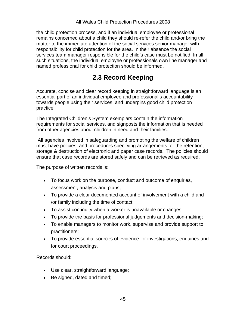the child protection process, and if an individual employee or professional remains concerned about a child they should re-refer the child and/or bring the matter to the immediate attention of the social services senior manager with responsibility for child protection for the area. In their absence the social services team manager responsible for the child's case must be notified. In all such situations, the individual employee or professionals own line manager and named professional for child protection should be informed.

# **2.3 Record Keeping**

Accurate, concise and clear record keeping in straightforward language is an essential part of an individual employee and professional's accountability towards people using their services, and underpins good child protection practice.

The Integrated Children's System exemplars contain the information requirements for social services, and signposts the information that is needed from other agencies about children in need and their families.

 All agencies involved in safeguarding and promoting the welfare of children must have policies, and procedures specifying arrangements for the retention, storage & destruction of electronic and paper case records. The policies should ensure that case records are stored safely and can be retrieved as required.

The purpose of written records is:

- To focus work on the purpose, conduct and outcome of enquiries, assessment, analysis and plans;
- To provide a clear documented account of involvement with a child and /or family including the time of contact;
- To assist continuity when a worker is unavailable or changes;
- To provide the basis for professional judgements and decision-making;
- To enable managers to monitor work, supervise and provide support to practitioners;
- To provide essential sources of evidence for investigations, enquiries and for court proceedings.

Records should:

- Use clear, straightforward language;
- Be signed, dated and timed;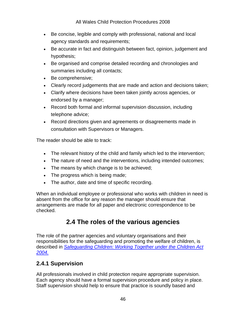- Be concise, legible and comply with professional, national and local agency standards and requirements;
- Be accurate in fact and distinguish between fact, opinion, judgement and hypothesis;
- Be organised and comprise detailed recording and chronologies and summaries including all contacts;
- Be comprehensive;
- Clearly record judgements that are made and action and decisions taken;
- Clarify where decisions have been taken jointly across agencies, or endorsed by a manager;
- Record both formal and informal supervision discussion, including telephone advice;
- Record directions given and agreements or disagreements made in consultation with Supervisors or Managers.

The reader should be able to track:

- The relevant history of the child and family which led to the intervention;
- The nature of need and the interventions, including intended outcomes;
- The means by which change is to be achieved;
- The progress which is being made;
- The author, date and time of specific recording.

When an individual employee or professional who works with children in need is absent from the office for any reason the manager should ensure that arrangements are made for all paper and electronic correspondence to be checked.

# **2.4 The roles of the various agencies**

The role of the partner agencies and voluntary organisations and their responsibilities for the safeguarding and promoting the welfare of children, is described in *[Safeguarding Children: Working Together under the Children Act](http://wales.gov.uk/topics/childrenyoungpeople/publications/safeguardingunder2004act;jsessionid=RJvCKydbY6xdtL6pb4KGwkc7lx8Bm0htDstlL42PqT3KyF023WYb!-826231897?lang=en) 2004.*

## **2.4.1 Supervision**

All professionals involved in child protection require appropriate supervision. Each agency should have a formal supervision procedure and policy in place. Staff supervision should help to ensure that practice is soundly based and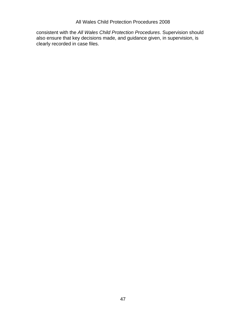consistent with the *All Wales Child Protection Procedures*. Supervision should also ensure that key decisions made, and guidance given, in supervision, is clearly recorded in case files.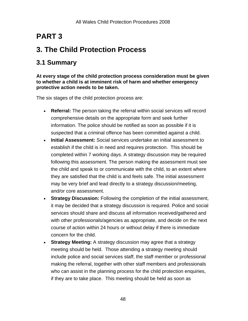# **PART 3**

# **3. The Child Protection Process**

# **3.1 Summary**

**At every stage of the child protection process consideration must be given to whether a child is at imminent risk of harm and whether emergency protective action needs to be taken.** 

The six stages of the child protection process are:

- **Referral:** The person taking the referral within social services will record comprehensive details on the appropriate form and seek further information. The police should be notified as soon as possible if it is suspected that a criminal offence has been committed against a child.
- **Initial Assessment:** Social services undertake an initial assessment to establish if the child is in need and requires protection. This should be completed within 7 working days. A strategy discussion may be required following this assessment. The person making the assessment must see the child and speak to or communicate with the child, to an extent where they are satisfied that the child is and feels safe. The initial assessment may be very brief and lead directly to a strategy discussion/meeting, and/or core assessment.
- **Strategy Discussion:** Following the completion of the initial assessment, it may be decided that a strategy discussion is required. Police and social services should share and discuss all information received/gathered and with other professionals/agencies as appropriate, and decide on the next course of action within 24 hours or without delay if there is immediate concern for the child.
- **Strategy Meeting:** A strategy discussion may agree that a strategy meeting should be held. Those attending a strategy meeting should include police and social services staff, the staff member or professional making the referral, together with other staff members and professionals who can assist in the planning process for the child protection enquiries, if they are to take place. This meeting should be held as soon as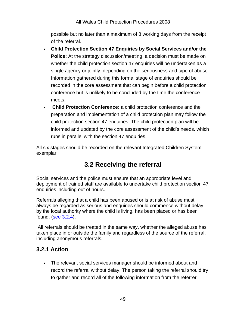possible but no later than a maximum of 8 working days from the receipt of the referral.

- **Child Protection Section 47 Enquiries by Social Services and/or the Police:** At the strategy discussion/meeting, a decision must be made on whether the child protection section 47 enquiries will be undertaken as a single agency or jointly, depending on the seriousness and type of abuse. Information gathered during this formal stage of enquiries should be recorded in the core assessment that can begin before a child protection conference but is unlikely to be concluded by the time the conference meets.
- **Child Protection Conference:** a child protection conference and the preparation and implementation of a child protection plan may follow the child protection section 47 enquiries. The child protection plan will be informed and updated by the core assessment of the child's needs, which runs in parallel with the section 47 enquiries.

All six stages should be recorded on the relevant Integrated Children System exemplar.

# **3.2 Receiving the referral**

Social services and the police must ensure that an appropriate level and deployment of trained staff are available to undertake child protection section 47 enquiries including out of hours.

Referrals alleging that a child has been abused or is at risk of abuse must always be regarded as serious and enquiries should commence without delay by the local authority where the child is living, has been placed or has been found. (see 3.2.4).

 All referrals should be treated in the same way, whether the alleged abuse has taken place in or outside the family and regardless of the source of the referral, including anonymous referrals.

#### **3.2.1 Action**

• The relevant social services manager should be informed about and record the referral without delay. The person taking the referral should try to gather and record all of the following information from the referrer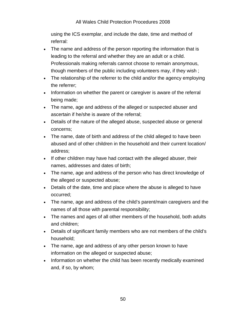using the ICS exemplar, and include the date, time and method of referral:

- The name and address of the person reporting the information that is leading to the referral and whether they are an adult or a child. Professionals making referrals cannot choose to remain anonymous, though members of the public including volunteers may, if they wish ;
- The relationship of the referrer to the child and/or the agency employing the referrer;
- Information on whether the parent or caregiver is aware of the referral being made;
- The name, age and address of the alleged or suspected abuser and ascertain if he/she is aware of the referral;
- Details of the nature of the alleged abuse, suspected abuse or general concerns;
- The name, date of birth and address of the child alleged to have been abused and of other children in the household and their current location/ address;
- If other children may have had contact with the alleged abuser, their names, addresses and dates of birth;
- The name, age and address of the person who has direct knowledge of the alleged or suspected abuse;
- Details of the date, time and place where the abuse is alleged to have occurred;
- The name, age and address of the child's parent/main caregivers and the names of all those with parental responsibility;
- The names and ages of all other members of the household, both adults and children;
- Details of significant family members who are not members of the child's household;
- The name, age and address of any other person known to have information on the alleged or suspected abuse;
- Information on whether the child has been recently medically examined and, if so, by whom;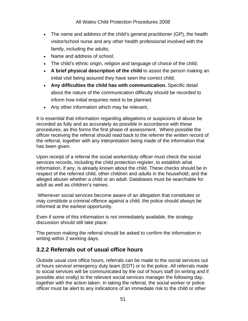- The name and address of the child's general practitioner (GP), the health visitor/school nurse and any other health professional involved with the family, including the adults;
- Name and address of school;
- The child's ethnic origin, religion and language of choice of the child;
- **A brief physical description of the child** to assist the person making an initial visit being assured they have seen the correct child;
- **Any difficulties the child has with communication.** Specific detail about the nature of the communication difficulty should be recorded to inform how initial enquiries need to be planned.
- Any other information which may be relevant,

It is essential that information regarding allegations or suspicions of abuse be recorded as fully and as accurately as possible in accordance with these procedures, as this forms the first phase of assessment. Where possible the officer receiving the referral should read back to the referrer the written record of the referral, together with any interpretation being made of the information that has been given.

Upon receipt of a referral the social worker/duty officer must check the social services records, including the child protection register, to establish what information, if any, is already known about the child. These checks should be in respect of the referred child, other children and adults in the household, and the alleged abuser whether a child or an adult. Databases must be searchable for adult as well as children's names.

 Whenever social services become aware of an allegation that constitutes or may constitute a criminal offence against a child, the police should always be informed at the earliest opportunity.

Even if some of this information is not immediately available, the strategy discussion should still take place.

The person making the referral should be asked to confirm the information in writing within 2 working days.

## **3.2.2 Referrals out of usual office hours**

Outside usual core office hours, referrals can be made to the social services out of hours service/ emergency duty team (EDT) or to the police. All referrals made to social services will be communicated by the out of hours staff (in writing and if possible also orally) to the relevant social services manager the following day, together with the action taken. In taking the referral, the social worker or police officer must be alert to any indications of an immediate risk to the child or other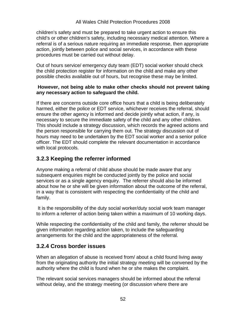children's safety and must be prepared to take urgent action to ensure this child's or other children's safety, including necessary medical attention. Where a referral is of a serious nature requiring an immediate response, then appropriate action, jointly between police and social services, in accordance with these procedures must be carried out without delay.

Out of hours service/ emergency duty team (EDT) social worker should check the child protection register for information on the child and make any other possible checks available out of hours, but recognise these may be limited.

#### **However, not being able to make other checks should not prevent taking any necessary action to safeguard the child.**

If there are concerns outside core office hours that a child is being deliberately harmed, either the police or EDT service, whichever receives the referral, should ensure the other agency is informed and decide jointly what action, if any, is necessary to secure the immediate safety of the child and any other children. This should include a strategy discussion, which records the agreed actions and the person responsible for carrying them out. The strategy discussion out of hours may need to be undertaken by the EDT social worker and a senior police officer. The EDT should complete the relevant documentation in accordance with local protocols.

## **3.2.3 Keeping the referrer informed**

Anyone making a referral of child abuse should be made aware that any subsequent enquiries might be conducted jointly by the police and social services or as a single agency enquiry. The referrer should also be informed about how he or she will be given information about the outcome of the referral, in a way that is consistent with respecting the confidentiality of the child and family.

 It is the responsibility of the duty social worker/duty social work team manager to inform a referrer of action being taken within a maximum of 10 working days.

While respecting the confidentiality of the child and family, the referrer should be given information regarding action taken, to include the safeguarding arrangements for the child and the appropriateness of the referral.

## **3.2.4 Cross border issues**

When an allegation of abuse is received from/ about a child found living away from the originating authority the initial strategy meeting will be convened by the authority where the child is found when he or she makes the complaint.

The relevant social services managers should be informed about the referral without delay, and the strategy meeting (or discussion where there are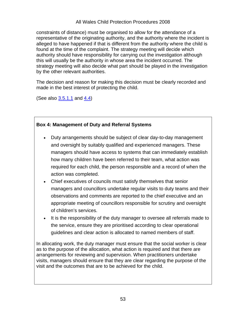constraints of distance) must be organised to allow for the attendance of a representative of the originating authority, and the authority where the incident is alleged to have happened if that is different from the authority where the child is found at the time of the complaint. The strategy meeting will decide which authority should have responsibility for carrying out the investigation although this will usually be the authority in whose area the incident occurred. The strategy meeting will also decide what part should be played in the investigation by the other relevant authorities.

The decision and reason for making this decision must be clearly recorded and made in the best interest of protecting the child.

(See also 3.5.1.1 and 4.4)

#### **Box 4: Management of Duty and Referral Systems**

- Duty arrangements should be subject of clear day-to-day management and oversight by suitably qualified and experienced managers. These managers should have access to systems that can immediately establish how many children have been referred to their team, what action was required for each child, the person responsible and a record of when the action was completed.
- Chief executives of councils must satisfy themselves that senior managers and councillors undertake regular visits to duty teams and their observations and comments are reported to the chief executive and an appropriate meeting of councillors responsible for scrutiny and oversight of children's services.
- It is the responsibility of the duty manager to oversee all referrals made to the service, ensure they are prioritised according to clear operational guidelines and clear action is allocated to named members of staff.

In allocating work, the duty manager must ensure that the social worker is clear as to the purpose of the allocation, what action is required and that there are arrangements for reviewing and supervision. When practitioners undertake visits, managers should ensure that they are clear regarding the purpose of the visit and the outcomes that are to be achieved for the child.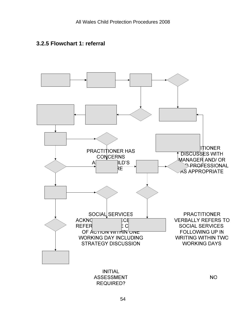## **3.2.5 Flowchart 1: referral**



**REQUIRED?**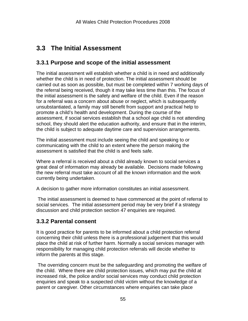# **3.3 The Initial Assessment**

### **3.3.1 Purpose and scope of the initial assessment**

The initial assessment will establish whether a child is in need and additionally whether the child is in need of protection. The initial assessment should be carried out as soon as possible, but must be completed within 7 working days of the referral being received, though it may take less time than this. The focus of the initial assessment is the safety and welfare of the child. Even if the reason for a referral was a concern about abuse or neglect, which is subsequently unsubstantiated, a family may still benefit from support and practical help to promote a child's health and development. During the course of the assessment, if social services establish that a school age child is not attending school, they should alert the education authority, and ensure that in the interim, the child is subject to adequate daytime care and supervision arrangements.

The initial assessment must include seeing the child and speaking to or communicating with the child to an extent where the person making the assessment is satisfied that the child is and feels safe.

Where a referral is received about a child already known to social services a great deal of information may already be available. Decisions made following the new referral must take account of all the known information and the work currently being undertaken.

A decision to gather more information constitutes an initial assessment.

 The initial assessment is deemed to have commenced at the point of referral to social services. The initial assessment period may be very brief if a strategy discussion and child protection section 47 enquiries are required.

## **3.3.2 Parental consent**

It is good practice for parents to be informed about a child protection referral concerning their child unless there is a professional judgement that this would place the child at risk of further harm. Normally a social services manager with responsibility for managing child protection referrals will decide whether to inform the parents at this stage.

 The overriding concern must be the safeguarding and promoting the welfare of the child. Where there are child protection issues, which may put the child at increased risk, the police and/or social services may conduct child protection enquiries and speak to a suspected child victim without the knowledge of a parent or caregiver. Other circumstances where enquiries can take place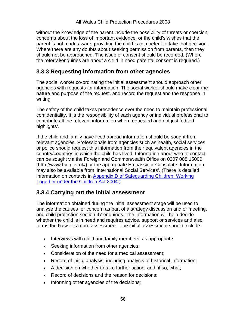without the knowledge of the parent include the possibility of threats or coercion; concerns about the loss of important evidence, or the child's wishes that the parent is not made aware, providing the child is competent to take that decision. Where there are any doubts about seeking permission from parents, then they should not be approached. The issue of consent should be recorded. (Where the referral/enquiries are about a child in need parental consent is required.)

## **3.3.3 Requesting information from other agencies**

The social worker co-ordinating the initial assessment should approach other agencies with requests for information. The social worker should make clear the nature and purpose of the request, and record the request and the response in writing.

The safety of the child takes precedence over the need to maintain professional confidentiality. It is the responsibility of each agency or individual professional to contribute all the relevant information when requested and not just 'edited highlights'.

If the child and family have lived abroad information should be sought from relevant agencies. Professionals from agencies such as health, social services or police should request this information from their equivalent agencies in the country/countries in which the child has lived. Information about who to contact can be sought via the Foreign and Commonwealth Office on 0207 008 15000 (http://www.fco.gov.uk/) or the appropriate Embassy or Consulate. Information may also be available from 'International Social Services'. (There is detailed information on contacts in Appendix D of Safeguarding Children: Working Together under the Children Act 2004.)

## **3.3.4 Carrying out the initial assessment**

The information obtained during the initial assessment stage will be used to analyse the causes for concern as part of a strategy discussion and or meeting, and child protection section 47 enquiries. The information will help decide whether the child is in need and requires advice, support or services and also forms the basis of a core assessment. The initial assessment should include:

- Interviews with child and family members, as appropriate;
- Seeking information from other agencies;
- Consideration of the need for a medical assessment;
- Record of initial analysis, including analysis of historical information;
- A decision on whether to take further action, and, if so, what;
- Record of decisions and the reason for decisions;
- Informing other agencies of the decisions;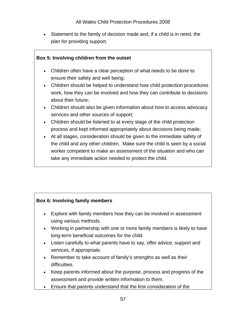• Statement to the family of decision made and, if a child is in need, the plan for providing support.

#### **Box 5: Involving children from the outset**

- Children often have a clear perception of what needs to be done to ensure their safety and well being;
- Children should be helped to understand how child protection procedures work, how they can be involved and how they can contribute to decisions about their future;
- Children should also be given information about how to access advocacy services and other sources of support;
- Children should be listened to at every stage of the child protection process and kept informed appropriately about decisions being made;
- At all stages, consideration should be given to the immediate safety of the child and any other children. Make sure the child is seen by a social worker competent to make an assessment of the situation and who can take any immediate action needed to protect the child.

#### **Box 6: Involving family members**

- Explore with family members how they can be involved in assessment using various methods.
- Working in partnership with one or more family members is likely to have long-term beneficial outcomes for the child.
- Listen carefully to what parents have to say, offer advice, support and services, if appropriate.
- Remember to take account of family's strengths as well as their difficulties.
- Keep parents informed about the purpose, process and progress of the assessment and provide written information to them.
- Ensure that parents understand that the first consideration of the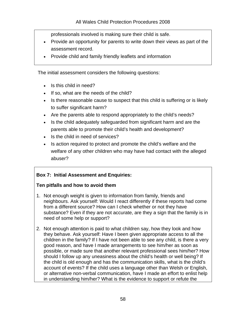professionals involved is making sure their child is safe.

- Provide an opportunity for parents to write down their views as part of the assessment record.
- Provide child and family friendly leaflets and information

The initial assessment considers the following questions:

- Is this child in need?
- If so, what are the needs of the child?
- Is there reasonable cause to suspect that this child is suffering or is likely to suffer significant harm?
- Are the parents able to respond appropriately to the child's needs?
- Is the child adequately safeguarded from significant harm and are the parents able to promote their child's health and development?
- Is the child in need of services?
- Is action required to protect and promote the child's welfare and the welfare of any other children who may have had contact with the alleged abuser?

#### **Box 7: Initial Assessment and Enquiries:**

#### **Ten pitfalls and how to avoid them**

- 1. Not enough weight is given to information from family, friends and neighbours. Ask yourself: Would I react differently if these reports had come from a different source? How can I check whether or not they have substance? Even if they are not accurate, are they a sign that the family is in need of some help or support?
- 2. Not enough attention is paid to what children say, how they look and how they behave. Ask yourself: Have I been given appropriate access to all the children in the family? If I have not been able to see any child, is there a very good reason, and have I made arrangements to see him/her as soon as possible, or made sure that another relevant professional sees him/her? How should I follow up any uneasiness about the child's health or well being? If the child is old enough and has the communication skills, what is the child's account of events? If the child uses a language other than Welsh or English, or alternative non-verbal communication, have I made an effort to enlist help in understanding him/her? What is the evidence to support or refute the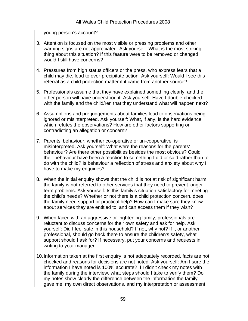young person's account?

- 3. Attention is focused on the most visible or pressing problems and other warning signs are not appreciated. Ask yourself: What is the most striking thing about this situation? If this feature were to be removed or changed, would I still have concerns?
- 4. Pressures from high status officers or the press, who express fears that a child may die, lead to over-precipitate action. Ask yourself: Would I see this referral as a child protection matter if it came from another source?
- 5. Professionals assume that they have explained something clearly, and the other person will have understood it. Ask yourself: Have I double-checked with the family and the child/ren that they understand what will happen next?
- 6. Assumptions and pre-judgements about families lead to observations being ignored or misinterpreted. Ask yourself: What, if any, is the hard evidence which refutes the observations? How are other factors supporting or contradicting an allegation or concern?
- 7. Parents' behaviour, whether co-operative or un-cooperative, is misinterpreted. Ask yourself: What were the reasons for the parents' behaviour? Are there other possibilities besides the most obvious? Could their behaviour have been a reaction to something I did or said rather than to do with the child? Is behaviour a reflection of stress and anxiety about why I have to make my enquiries?
- 8. When the initial enquiry shows that the child is not at risk of significant harm, the family is not referred to other services that they need to prevent longerterm problems. Ask yourself: Is this family's situation satisfactory for meeting the child's needs? Whether or not there is a child protection concern, does the family need support or practical help? How can I make sure they know about services they are entitled to, and can access them if they wish?
- 9. When faced with an aggressive or frightening family, professionals are reluctant to discuss concerns for their own safety and ask for help. Ask yourself: Did I feel safe in this household? If not, why not? If I, or another professional, should go back there to ensure the children's safety, what support should I ask for? If necessary, put your concerns and requests in writing to your manager.
- 10. Information taken at the first enquiry is not adequately recorded, facts are not checked and reasons for decisions are not noted. Ask yourself: Am I sure the information I have noted is 100% accurate? If I didn't check my notes with the family during the interview, what steps should I take to verify them? Do my notes show clearly the difference between the information the family gave me, my own direct observations, and my interpretation or assessment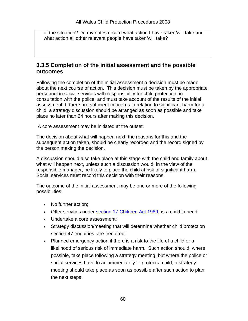of the situation? Do my notes record what action I have taken/will take and what action all other relevant people have taken/will take?

#### **3.3.5 Completion of the initial assessment and the possible outcomes**

Following the completion of the initial assessment a decision must be made about the next course of action. This decision must be taken by the appropriate personnel in social services with responsibility for child protection, in consultation with the police, and must take account of the results of the initial assessment. If there are sufficient concerns in relation to significant harm for a child, a strategy discussion should be arranged as soon as possible and take place no later than 24 hours after making this decision.

A core assessment may be initiated at the outset.

The decision about what will happen next, the reasons for this and the subsequent action taken, should be clearly recorded and the record signed by the person making the decision.

A discussion should also take place at this stage with the child and family about what will happen next, unless such a discussion would, in the view of the responsible manager, be likely to place the child at risk of significant harm. Social services must record this decision with their reasons.

The outcome of the initial assessment may be one or more of the following possibilities:

- No further action;
- Offer services under [section 17 Children Act 1989](http://www.opsi.gov.uk/acts/acts1989/ukpga_19890041_en_4) as a child in need;
- Undertake a core assessment;
- Strategy discussion/meeting that will determine whether child protection section 47 enquiries are required;
- Planned emergency action if there is a risk to the life of a child or a likelihood of serious risk of immediate harm. Such action should, where possible, take place following a strategy meeting, but where the police or social services have to act immediately to protect a child, a strategy meeting should take place as soon as possible after such action to plan the next steps.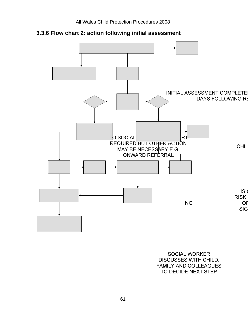

#### **3.3.6 Flow chart 2: action following initial assessment**

**SOCIAL WORKER DISCUSSES WITH CHILD, FAMILY AND COLLEAGUES** TO DECIDE NEXT STEP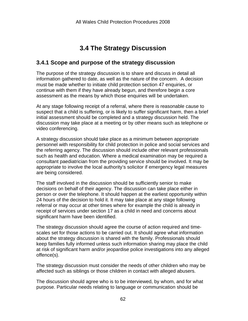# **3.4 The Strategy Discussion**

## **3.4.1 Scope and purpose of the strategy discussion**

The purpose of the strategy discussion is to share and discuss in detail all information gathered to date, as well as the nature of the concern. A decision must be made whether to initiate child protection section 47 enquiries, or continue with them if they have already begun, and therefore begin a core assessment as the means by which those enquiries will be undertaken.

At any stage following receipt of a referral, where there is reasonable cause to suspect that a child is suffering, or is likely to suffer significant harm, then a brief initial assessment should be completed and a strategy discussion held. The discussion may take place at a meeting or by other means such as telephone or video conferencing.

A strategy discussion should take place as a minimum between appropriate personnel with responsibility for child protection in police and social services and the referring agency. The discussion should include other relevant professionals such as health and education. Where a medical examination may be required a consultant paediatrician from the providing service should be involved. It may be appropriate to involve the local authority's solicitor if emergency legal measures are being considered.

The staff involved in the discussion should be sufficiently senior to make decisions on behalf of their agency. The discussion can take place either in person or over the telephone. It should happen at the earliest opportunity within 24 hours of the decision to hold it. It may take place at any stage following referral or may occur at other times where for example the child is already in receipt of services under section 17 as a child in need and concerns about significant harm have been identified.

The strategy discussion should agree the course of action required and timescales set for those actions to be carried out. It should agree what information about the strategy discussion is shared with the family. Professionals should keep families fully informed unless such information sharing may place the child at risk of significant harm and/or jeopardise police investigations into any alleged offence(s).

The strategy discussion must consider the needs of other children who may be affected such as siblings or those children in contact with alleged abusers.

The discussion should agree who is to be interviewed, by whom, and for what purpose. Particular needs relating to language or communication should be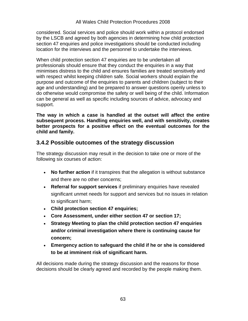considered. Social services and police should work within a protocol endorsed by the LSCB and agreed by both agencies in determining how child protection section 47 enquiries and police investigations should be conducted including location for the interviews and the personnel to undertake the interviews.

When child protection section 47 enquiries are to be undertaken all professionals should ensure that they conduct the enquiries in a way that minimises distress to the child and ensures families are treated sensitively and with respect whilst keeping children safe. Social workers should explain the purpose and outcome of the enquiries to parents and children (subject to their age and understanding) and be prepared to answer questions openly unless to do otherwise would compromise the safety or well being of the child. Information can be general as well as specific including sources of advice, advocacy and support.

**The way in which a case is handled at the outset will affect the entire subsequent process. Handling enquiries well, and with sensitivity, creates better prospects for a positive effect on the eventual outcomes for the child and family.** 

## **3.4.2 Possible outcomes of the strategy discussion**

The strategy discussion may result in the decision to take one or more of the following six courses of action:

- **No further action** if it transpires that the allegation is without substance and there are no other concerns;
- **Referral for support services** if preliminary enquiries have revealed significant unmet needs for support and services but no issues in relation to significant harm;
- **Child protection section 47 enquiries;**
- **Core Assessment, under either section 47 or section 17;**
- **Strategy Meeting to plan the child protection section 47 enquiries and/or criminal investigation where there is continuing cause for concern;**
- **Emergency action to safeguard the child if he or she is considered to be at imminent risk of significant harm.**

All decisions made during the strategy discussion and the reasons for those decisions should be clearly agreed and recorded by the people making them.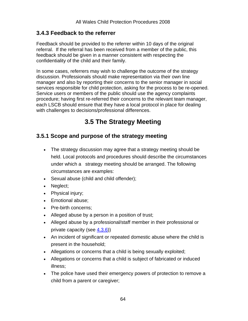### **3.4.3 Feedback to the referrer**

Feedback should be provided to the referrer within 10 days of the original referral. If the referral has been received from a member of the public, this feedback should be given in a manner consistent with respecting the confidentiality of the child and their family.

In some cases, referrers may wish to challenge the outcome of the strategy discussion. Professionals should make representation via their own line manager and also by reporting their concerns to the senior manager in social services responsible for child protection, asking for the process to be re-opened. Service users or members of the public should use the agency complaints procedure; having first re-referred their concerns to the relevant team manager, each LSCB should ensure that they have a local protocol in place for dealing with challenges to decisions/professional differences.

# **3.5 The Strategy Meeting**

## **3.5.1 Scope and purpose of the strategy meeting**

- The strategy discussion may agree that a strategy meeting should be held. Local protocols and procedures should describe the circumstances under which a strategy meeting should be arranged. The following circumstances are examples:
- Sexual abuse (child and child offender);
- Neglect;
- Physical injury;
- Emotional abuse;
- Pre-birth concerns;
- Alleged abuse by a person in a position of trust;
- Alleged abuse by a professional/staff member in their professional or private capacity (see 4.3.6))
- An incident of significant or repeated domestic abuse where the child is present in the household;
- Allegations or concerns that a child is being sexually exploited;
- Allegations or concerns that a child is subject of fabricated or induced illness;
- The police have used their emergency powers of protection to remove a child from a parent or caregiver;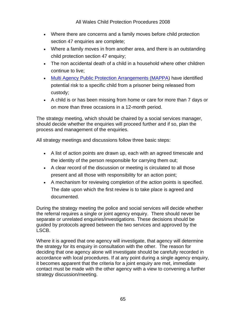- Where there are concerns and a family moves before child protection section 47 enquiries are complete;
- Where a family moves in from another area, and there is an outstanding child protection section 47 enquiry;
- The non accidental death of a child in a household where other children continue to live;
- [Multi Agency Public Protection Arrangements \(MAPPA\)](http://www.probation.homeoffice.gov.uk/output/page4.asp) have identified potential risk to a specific child from a prisoner being released from custody;
- A child is or has been missing from home or care for more than 7 days or on more than three occasions in a 12-month period.

The strategy meeting, which should be chaired by a social services manager, should decide whether the enquiries will proceed further and if so, plan the process and management of the enquiries.

All strategy meetings and discussions follow three basic steps:

- A list of action points are drawn up, each with an agreed timescale and the identity of the person responsible for carrying them out;
- A clear record of the discussion or meeting is circulated to all those present and all those with responsibility for an action point;
- A mechanism for reviewing completion of the action points is specified. The date upon which the first review is to take place is agreed and documented.

During the strategy meeting the police and social services will decide whether the referral requires a single or joint agency enquiry. There should never be separate or unrelated enquiries/investigations. These decisions should be guided by protocols agreed between the two services and approved by the LSCB.

Where it is agreed that one agency will investigate, that agency will determine the strategy for its enquiry in consultation with the other. The reason for deciding that one agency alone will investigate should be carefully recorded in accordance with local procedures. If at any point during a single agency enquiry, it becomes apparent that the criteria for a joint enquiry are met, immediate contact must be made with the other agency with a view to convening a further strategy discussion/meeting.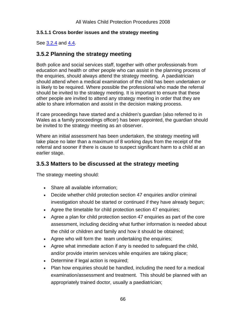#### **3.5.1.1 Cross border issues and the strategy meeting**

See 3.2.4 and 4.4.

## **3.5.2 Planning the strategy meeting**

Both police and social services staff, together with other professionals from education and health or other people who can assist in the planning process of the enquiries, should always attend the strategy meeting. A paediatrician should attend when a medical examination of the child has been undertaken or is likely to be required. Where possible the professional who made the referral should be invited to the strategy meeting. It is important to ensure that these other people are invited to attend any strategy meeting in order that they are able to share information and assist in the decision making process.

If care proceedings have started and a children's guardian (also referred to in Wales as a family proceedings officer) has been appointed, the guardian should be invited to the strategy meeting as an observer.

Where an initial assessment has been undertaken, the strategy meeting will take place no later than a maximum of 8 working days from the receipt of the referral and sooner if there is cause to suspect significant harm to a child at an earlier stage.

## **3.5.3 Matters to be discussed at the strategy meeting**

The strategy meeting should:

- Share all available information;
- Decide whether child protection section 47 enquiries and/or criminal investigation should be started or continued if they have already begun;
- Agree the timetable for child protection section 47 enquiries;
- Agree a plan for child protection section 47 enquiries as part of the core assessment, including deciding what further information is needed about the child or children and family and how it should be obtained;
- Agree who will form the team undertaking the enquiries;
- Agree what immediate action if any is needed to safeguard the child, and/or provide interim services while enquiries are taking place;
- Determine if legal action is required;
- Plan how enquiries should be handled, including the need for a medical examination/assessment and treatment. This should be planned with an appropriately trained doctor, usually a paediatrician;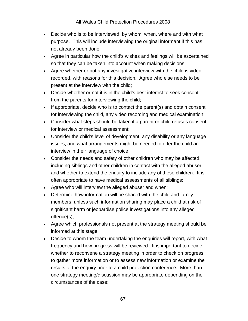- Decide who is to be interviewed, by whom, when, where and with what purpose. This will include interviewing the original informant if this has not already been done;
- Agree in particular how the child's wishes and feelings will be ascertained so that they can be taken into account when making decisions;
- Agree whether or not any investigative interview with the child is video recorded, with reasons for this decision. Agree who else needs to be present at the interview with the child;
- Decide whether or not it is in the child's best interest to seek consent from the parents for interviewing the child;
- If appropriate, decide who is to contact the parent(s) and obtain consent for interviewing the child, any video recording and medical examination;
- Consider what steps should be taken if a parent or child refuses consent for interview or medical assessment;
- Consider the child's level of development, any disability or any language issues, and what arrangements might be needed to offer the child an interview in their language of choice;
- Consider the needs and safety of other children who may be affected, including siblings and other children in contact with the alleged abuser and whether to extend the enquiry to include any of these children. It is often appropriate to have medical assessments of all siblings;
- Agree who will interview the alleged abuser and when;
- Determine how information will be shared with the child and family members, unless such information sharing may place a child at risk of significant harm or jeopardise police investigations into any alleged offence(s);
- Agree which professionals not present at the strategy meeting should be informed at this stage;
- Decide to whom the team undertaking the enquiries will report, with what frequency and how progress will be reviewed. It is important to decide whether to reconvene a strategy meeting in order to check on progress, to gather more information or to assess new information or examine the results of the enquiry prior to a child protection conference. More than one strategy meeting/discussion may be appropriate depending on the circumstances of the case;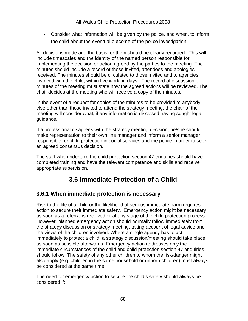• Consider what information will be given by the police, and when, to inform the child about the eventual outcome of the police investigation.

All decisions made and the basis for them should be clearly recorded. This will include timescales and the identity of the named person responsible for implementing the decision or action agreed by the parties to the meeting. The minutes should include a record of those invited, attendees and apologies received. The minutes should be circulated to those invited and to agencies involved with the child, within five working days. The record of discussion or minutes of the meeting must state how the agreed actions will be reviewed. The chair decides at the meeting who will receive a copy of the minutes.

In the event of a request for copies of the minutes to be provided to anybody else other than those invited to attend the strategy meeting, the chair of the meeting will consider what, if any information is disclosed having sought legal guidance.

If a professional disagrees with the strategy meeting decision, he/she should make representation to their own line manager and inform a senior manager responsible for child protection in social services and the police in order to seek an agreed consensus decision.

The staff who undertake the child protection section 47 enquiries should have completed training and have the relevant competence and skills and receive appropriate supervision.

# **3.6 Immediate Protection of a Child**

#### **3.6.1 When immediate protection is necessary**

Risk to the life of a child or the likelihood of serious immediate harm requires action to secure their immediate safety. Emergency action might be necessary as soon as a referral is received or at any stage of the child protection process. However, planned emergency action should normally follow immediately from the strategy discussion or strategy meeting, taking account of legal advice and the views of the children involved. Where a single agency has to act immediately to protect a child, a strategy discussion/meeting should take place as soon as possible afterwards. Emergency action addresses only the immediate circumstances of the child and child protection section 47 enquiries should follow. The safety of any other children to whom the risk/danger might also apply (e.g. children in the same household or unborn children) must always be considered at the same time.

The need for emergency action to secure the child's safety should always be considered if: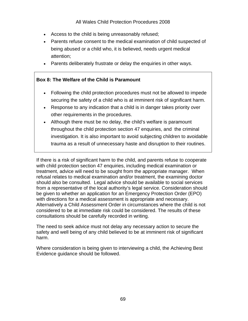- Access to the child is being unreasonably refused;
- Parents refuse consent to the medical examination of child suspected of being abused or a child who, it is believed, needs urgent medical attention;
- Parents deliberately frustrate or delay the enquiries in other ways.

#### **Box 8: The Welfare of the Child is Paramount**

- Following the child protection procedures must not be allowed to impede securing the safety of a child who is at imminent risk of significant harm.
- Response to any indication that a child is in danger takes priority over other requirements in the procedures.
- Although there must be no delay, the child's welfare is paramount throughout the child protection section 47 enquiries, and the criminal investigation. It is also important to avoid subjecting children to avoidable trauma as a result of unnecessary haste and disruption to their routines.

If there is a risk of significant harm to the child, and parents refuse to cooperate with child protection section 47 enquiries, including medical examination or treatment, advice will need to be sought from the appropriate manager. When refusal relates to medical examination and/or treatment, the examining doctor should also be consulted. Legal advice should be available to social services from a representative of the local authority's legal service. Consideration should be given to whether an application for an Emergency Protection Order (EPO) with directions for a medical assessment is appropriate and necessary. Alternatively a Child Assessment Order in circumstances where the child is not considered to be at immediate risk could be considered. The results of these consultations should be carefully recorded in writing.

The need to seek advice must not delay any necessary action to secure the safety and well being of any child believed to be at imminent risk of significant harm.

Where consideration is being given to interviewing a child, the Achieving Best Evidence guidance should be followed.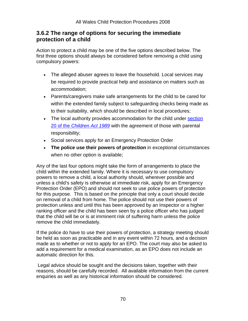## **3.6.2 The range of options for securing the immediate protection of a child**

Action to protect a child may be one of the five options described below. The first three options should always be considered before removing a child using compulsory powers:

- The alleged abuser agrees to leave the household. Local services may be required to provide practical help and assistance on matters such as accommodation;
- Parents/caregivers make safe arrangements for the child to be cared for within the extended family subject to safeguarding checks being made as to their suitability, which should be described in local procedures;
- [The local authority provides accommodation for the child under section](http://www.opsi.gov.uk/acts/acts1989/ukpga_19890041_en_4) 20 of the *Children Act 1989* with the agreement of those with parental responsibility;
- Social services apply for an Emergency Protection Order
- **The police use their powers of protection** in exceptional circumstances when no other option is available;

Any of the last four options might take the form of arrangements to place the child within the extended family. Where it is necessary to use compulsory powers to remove a child, a local authority should, wherever possible and unless a child's safety is otherwise at immediate risk, apply for an Emergency Protection Order (EPO) and should not seek to use police powers of protection for this purpose. This is based on the principle that only a court should decide on removal of a child from home. The police should not use their powers of protection unless and until this has been approved by an Inspector or a higher ranking officer and the child has been seen by a police officer who has judged that the child will be or is at imminent risk of suffering harm unless the police remove the child immediately.

If the police do have to use their powers of protection, a strategy meeting should be held as soon as practicable and in any event within 72 hours, and a decision made as to whether or not to apply for an EPO. The court may also be asked to add a requirement for a medical examination, as an EPO does not include an automatic direction for this.

 Legal advice should be sought and the decisions taken, together with their reasons, should be carefully recorded. All available information from the current enquiries as well as any historical information should be considered.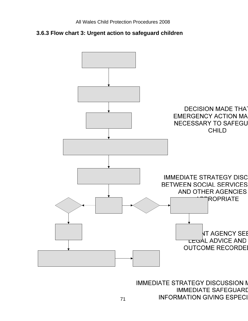## **3.6.3 Flow chart 3: Urgent action to safeguard children**



**IMMEDIATE STRATEGY DISCUSSION N IMMEDIATE SAFEGUARD INFORMATION GIVING ESPECI**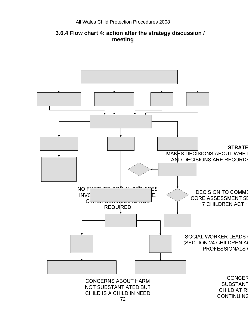## **3.6.4 Flow chart 4: action after the strategy discussion / meeting**

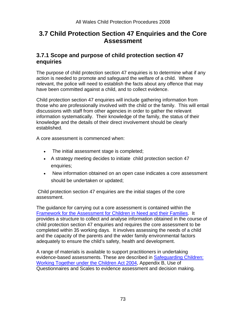# **3.7 Child Protection Section 47 Enquiries and the Core Assessment**

## **3.7.1 Scope and purpose of child protection section 47 enquiries**

The purpose of child protection section 47 enquiries is to determine what if any action is needed to promote and safeguard the welfare of a child. Where relevant, the police will need to establish the facts about any offence that may have been committed against a child, and to collect evidence.

Child protection section 47 enquiries will include gathering information from those who are professionally involved with the child or the family. This will entail discussions with staff from other agencies in order to gather the relevant information systematically. Their knowledge of the family, the status of their knowledge and the details of their direct involvement should be clearly established.

A core assessment is commenced when:

- The initial assessment stage is completed;
- A strategy meeting decides to initiate child protection section 47 enquiries;
- New information obtained on an open case indicates a core assessment should be undertaken or updated;

 Child protection section 47 enquiries are the initial stages of the core assessment.

The guidance for carrying out a core assessment is contained within the [Framework for the Assessment for Children in Need and their Families.](http://www.dh.gov.uk/en/Publicationsandstatistics/Publications/PublicationsPolicyAndGuidance/DH_4003256) It provides a structure to collect and analyse information obtained in the course of child protection section 47 enquiries and requires the core assessment to be completed within 35 working days. It involves assessing the needs of a child and the capacity of the parents and the wider family environmental factors adequately to ensure the child's safety, health and development.

A range of materials is available to support practitioners in undertaking [evidence-based assessments. These are described in Safeguarding Children:](http://wales.gov.uk/topics/childrenyoungpeople/publications/safeguardingunder2004act;jsessionid=RJvCKydbY6xdtL6pb4KGwkc7lx8Bm0htDstlL42PqT3KyF023WYb!-826231897?lang=en)  Working Together under the Children Act 2004, Appendix B, Use of Questionnaires and Scales to evidence assessment and decision making.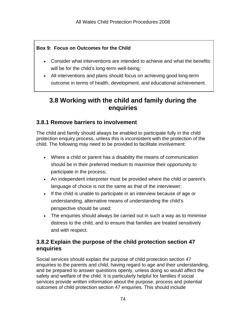### **Box 9: Focus on Outcomes for the Child**

- Consider what interventions are intended to achieve and what the benefits will be for the child's long-term well-being;
- All interventions and plans should focus on achieving good long-term outcome in terms of health, development, and educational achievement.

# **3.8 Working with the child and family during the enquiries**

## **3.8.1 Remove barriers to involvement**

The child and family should always be enabled to participate fully in the child protection enquiry process, unless this is inconsistent with the protection of the child. The following may need to be provided to facilitate involvement:

- Where a child or parent has a disability the means of communication should be in their preferred medium to maximise their opportunity to participate in the process;
- An independent interpreter must be provided where the child or parent's language of choice is not the same as that of the interviewer;
- If the child is unable to participate in an interview because of age or understanding, alternative means of understanding the child's perspective should be used;
- The enquiries should always be carried out in such a way as to minimise distress to the child, and to ensure that families are treated sensitively and with respect.

## **3.8.2 Explain the purpose of the child protection section 47 enquiries**

Social services should explain the purpose of child protection section 47 enquiries to the parents and child, having regard to age and their understanding, and be prepared to answer questions openly, unless doing so would affect the safety and welfare of the child. It is particularly helpful for families if social services provide written information about the purpose, process and potential outcomes of child protection section 47 enquiries. This should include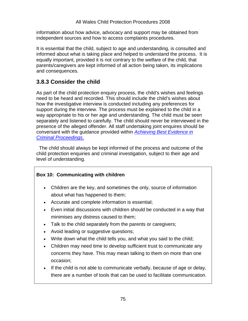information about how advice, advocacy and support may be obtained from independent sources and how to access complaints procedures.

It is essential that the child, subject to age and understanding, is consulted and informed about what is taking place and helped to understand the process. It is equally important, provided it is not contrary to the welfare of the child, that parents/caregivers are kept informed of all action being taken, its implications and consequences.

# **3.8.3 Consider the child**

As part of the child protection enquiry process, the child's wishes and feelings need to be heard and recorded. This should include the child's wishes about how the investigative interview is conducted including any preferences for support during the interview. The process must be explained to the child in a way appropriate to his or her age and understanding. The child must be seen separately and listened to carefully. The child should never be interviewed in the presence of the alleged offender. All staff undertaking joint enquires should be [conversant with the guidance provided within](http://www.homeoffice.gov.uk/documents/ach-bect-evidence/) *Achieving Best Evidence in Criminal Proceedings*.

 The child should always be kept informed of the process and outcome of the child protection enquiries and criminal investigation, subject to their age and level of understanding.

### **Box 10: Communicating with children**

- Children are the key, and sometimes the only, source of information about what has happened to them;
- Accurate and complete information is essential;
- Even initial discussions with children should be conducted in a way that minimises any distress caused to them;
- Talk to the child separately from the parents or caregivers;
- Avoid leading or suggestive questions;
- Write down what the child tells you, and what you said to the child;
- Children may need time to develop sufficient trust to communicate any concerns they have. This may mean talking to them on more than one occasion;
- If the child is not able to communicate verbally, because of age or delay, there are a number of tools that can be used to facilitate communication.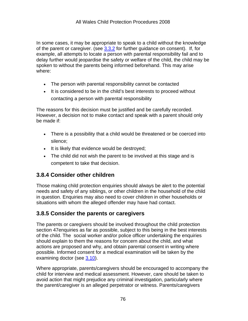In some cases, it may be appropriate to speak to a child without the knowledge of the parent or caregiver. (see 3.3.2 for further guidance on consent). If, for example, all attempts to locate a person with parental responsibility fail and to delay further would jeopardise the safety or welfare of the child, the child may be spoken to without the parents being informed beforehand. This may arise where:

- The person with parental responsibility cannot be contacted
- It is considered to be in the child's best interests to proceed without contacting a person with parental responsibility

The reasons for this decision must be justified and be carefully recorded. However, a decision not to make contact and speak with a parent should only be made if:

- There is a possibility that a child would be threatened or be coerced into silence;
- It is likely that evidence would be destroyed;
- The child did not wish the parent to be involved at this stage and is competent to take that decision.

## **3.8.4 Consider other children**

Those making child protection enquiries should always be alert to the potential needs and safety of any siblings, or other children in the household of the child in question. Enquiries may also need to cover children in other households or situations with whom the alleged offender may have had contact.

### **3.8.5 Consider the parents or caregivers**

The parents or caregivers should be involved throughout the child protection section 47enquiries as far as possible, subject to this being in the best interests of the child. The social worker and/or police officer undertaking the enquiries should explain to them the reasons for concern about the child, and what actions are proposed and why, and obtain parental consent in writing where possible. Informed consent for a medical examination will be taken by the examining doctor (see 3.10).

Where appropriate, parents/caregivers should be encouraged to accompany the child for interview and medical assessment. However, care should be taken to avoid action that might prejudice any criminal investigation, particularly where the parent/caregiver is an alleged perpetrator or witness. Parents/caregivers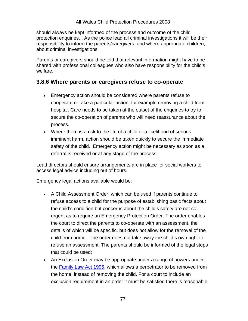should always be kept informed of the process and outcome of the child protection enquiries. . As the police lead all criminal investigations it will be their responsibility to inform the parents/caregivers, and where appropriate children, about criminal investigations.

Parents or caregivers should be told that relevant information might have to be shared with professional colleagues who also have responsibility for the child's welfare.

## **3.8.6 Where parents or caregivers refuse to co-operate**

- Emergency action should be considered where parents refuse to cooperate or take a particular action, for example removing a child from hospital. Care needs to be taken at the outset of the enquiries to try to secure the co-operation of parents who will need reassurance about the process.
- Where there is a risk to the life of a child or a likelihood of serious imminent harm, action should be taken quickly to secure the immediate safety of the child. Emergency action might be necessary as soon as a referral is received or at any stage of the process.

Lead directors should ensure arrangements are in place for social workers to access legal advice including out of hours.

Emergency legal actions available would be:

- A Child Assessment Order, which can be used if parents continue to refuse access to a child for the purpose of establishing basic facts about the child's condition but concerns about the child's safety are not so urgent as to require an Emergency Protection Order. The order enables the court to direct the parents to co-operate with an assessment, the details of which will be specific, but does not allow for the removal of the child from home. The order does not take away the child's own right to refuse an assessment. The parents should be informed of the legal steps that could be used;
- An Exclusion Order may be appropriate under a range of powers under the **Family Law Act 1996**, which allows a perpetrator to be removed from the home, instead of removing the child. For a court to include an exclusion requirement in an order it must be satisfied there is reasonable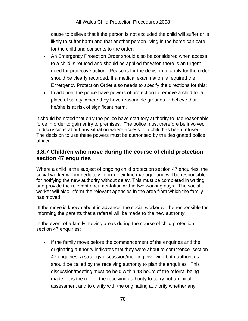cause to believe that if the person is not excluded the child will suffer or is likely to suffer harm and that another person living in the home can care for the child and consents to the order;

- An Emergency Protection Order should also be considered when access to a child is refused and should be applied for when there is an urgent need for protective action. Reasons for the decision to apply for the order should be clearly recorded. If a medical examination is required the Emergency Protection Order also needs to specify the directions for this;
- In addition, the police have powers of protection to remove a child to a place of safety, where they have reasonable grounds to believe that he/she is at risk of significant harm.

It should be noted that only the police have statutory authority to use reasonable force in order to gain entry to premises. The police must therefore be involved in discussions about any situation where access to a child has been refused. The decision to use these powers must be authorised by the designated police officer.

### **3.8.7 Children who move during the course of child protection section 47 enquiries**

Where a child is the subject of ongoing child protection section 47 enquiries, the social worker will immediately inform their line manager and will be responsible for notifying the new authority without delay. This must be completed in writing, and provide the relevant documentation within two working days. The social worker will also inform the relevant agencies in the area from which the family has moved.

 If the move is known about in advance, the social worker will be responsible for informing the parents that a referral will be made to the new authority.

In the event of a family moving areas during the course of child protection section 47 enquiries:

• If the family move before the commencement of the enquiries and the originating authority indicates that they were about to commence section 47 enquiries, a strategy discussion/meeting involving both authorities should be called by the receiving authority to plan the enquiries. This discussion/meeting must be held within 48 hours of the referral being made. It is the role of the receiving authority to carry out an initial assessment and to clarify with the originating authority whether any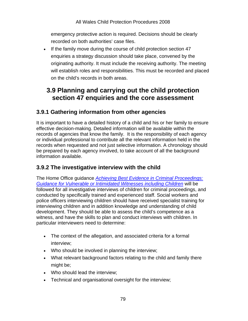emergency protective action is required. Decisions should be clearly recorded on both authorities' case files.

• If the family move during the course of child protection section 47 enquiries a strategy discussion should take place, convened by the originating authority. It must include the receiving authority. The meeting will establish roles and responsibilities. This must be recorded and placed on the child's records in both areas.

# **3.9 Planning and carrying out the child protection section 47 enquiries and the core assessment**

## **3.9.1 Gathering information from other agencies**

It is important to have a detailed history of a child and his or her family to ensure effective decision-making. Detailed information will be available within the records of agencies that know the family. It is the responsibility of each agency or individual professional to contribute all the relevant information held in the records when requested and not just selective information. A chronology should be prepared by each agency involved, to take account of all the background information available.

## **3.9.2 The investigative interview with the child**

The Home Office guidance *Achieving Best Evidence in Criminal Proceedings: [Guidance for Vulnerable or Intimidated Witnesses including Children](http://www.homeoffice.gov.uk/documents/ach-bect-evidence/)* will be followed for all investigative interviews of children for criminal proceedings, and conducted by specifically trained and experienced staff. Social workers and police officers interviewing children should have received specialist training for interviewing children and in addition knowledge and understanding of child development. They should be able to assess the child's competence as a witness, and have the skills to plan and conduct interviews with children. In particular interviewers need to determine:

- The context of the allegation, and associated criteria for a formal interview;
- Who should be involved in planning the interview;
- What relevant background factors relating to the child and family there might be;
- Who should lead the interview;
- Technical and organisational oversight for the interview;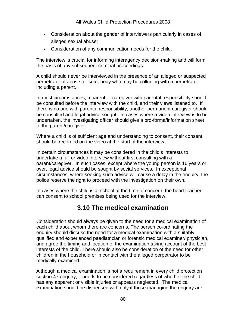- Consideration about the gender of interviewers particularly in cases of alleged sexual abuse;
- Consideration of any communication needs for the child.

The interview is crucial for informing interagency decision-making and will form the basis of any subsequent criminal proceedings.

A child should never be interviewed in the presence of an alleged or suspected perpetrator of abuse, or somebody who may be colluding with a perpetrator, including a parent.

In most circumstances, a parent or caregiver with parental responsibility should be consulted before the interview with the child, and their views listened to. If there is no one with parental responsibility, another permanent caregiver should be consulted and legal advice sought. In cases where a video interview is to be undertaken, the investigating officer should give a pro-forma/information sheet to the parent/caregiver.

Where a child is of sufficient age and understanding to consent, their consent should be recorded on the video at the start of the interview.

In certain circumstances it may be considered in the child's interests to undertake a full or video interview without first consulting with a parent/caregiver. In such cases, except where the young person is 16 years or over, legal advice should be sought by social services. In exceptional circumstances, where seeking such advice will cause a delay in the enquiry, the police reserve the right to proceed with the investigation on their own.

In cases where the child is at school at the time of concern, the head teacher can consent to school premises being used for the interview.

# **3.10 The medical examination**

Consideration should always be given to the need for a medical examination of each child about whom there are concerns. The person co-ordinating the enquiry should discuss the need for a medical examination with a suitably qualified and experienced paediatrician or forensic medical examiner/ physician, and agree the timing and location of the examination taking account of the best interests of the child. There should also be consideration of the need for other children in the household or in contact with the alleged perpetrator to be medically examined.

Although a medical examination is not a requirement in every child protection section 47 enquiry, it needs to be considered regardless of whether the child has any apparent or visible injuries or appears neglected. The medical examination should be dispensed with only if those managing the enquiry are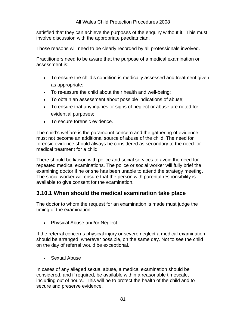satisfied that they can achieve the purposes of the enquiry without it. This must involve discussion with the appropriate paediatrician.

Those reasons will need to be clearly recorded by all professionals involved.

Practitioners need to be aware that the purpose of a medical examination or assessment is:

- To ensure the child's condition is medically assessed and treatment given as appropriate;
- To re-assure the child about their health and well-being;
- To obtain an assessment about possible indications of abuse;
- To ensure that any injuries or signs of neglect or abuse are noted for evidential purposes;
- To secure forensic evidence.

The child's welfare is the paramount concern and the gathering of evidence must not become an additional source of abuse of the child. The need for forensic evidence should always be considered as secondary to the need for medical treatment for a child.

There should be liaison with police and social services to avoid the need for repeated medical examinations. The police or social worker will fully brief the examining doctor if he or she has been unable to attend the strategy meeting. The social worker will ensure that the person with parental responsibility is available to give consent for the examination.

## **3.10.1 When should the medical examination take place**

The doctor to whom the request for an examination is made must judge the timing of the examination.

• Physical Abuse and/or Neglect

If the referral concerns physical injury or severe neglect a medical examination should be arranged, wherever possible, on the same day. Not to see the child on the day of referral would be exceptional.

• Sexual Abuse

In cases of any alleged sexual abuse, a medical examination should be considered, and if required, be available within a reasonable timescale, including out of hours. This will be to protect the health of the child and to secure and preserve evidence.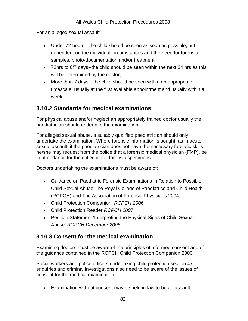For an alleged sexual assault:

- Under 72 hours—the child should be seen as soon as possible, but dependent on the individual circumstances and the need for forensic samples, photo-documentation and/or treatment;
- 72hrs to 6/7 days--the child should be seen within the next 24 hrs as this will be determined by the doctor;
- More than 7 days—the child should be seen within an appropriate timescale, usually at the first available appointment and usually within a week.

## **3.10.2 Standards for medical examinations**

For physical abuse and/or neglect an appropriately trained doctor usually the paediatrician should undertake the examination.

For alleged sexual abuse, a suitably qualified paediatrician should only undertake the examination. Where forensic information is sought, as in acute sexual assault, if the paediatrician does not have the necessary forensic skills, he/she may request from the police that a forensic medical physician (FMP), be in attendance for the collection of forensic specimens.

Doctors undertaking the examinations must be aware of:

- Guidance on Paediatric Forensic Examinations in Relation to Possible Child Sexual Abuse The Royal College of Paediatrics and Child Health (RCPCH) and The Association of Forensic Physicians 2004
- Child Protection Companion *RCPCH 2006*
- Child Protection Reader *RCPCH 2007*
- Position Statement 'Interpreting the Physical Signs of Child Sexual Abuse' *RCPCH December 2006*

## **3.10.3 Consent for the medical examination**

Examining doctors must be aware of the principles of informed consent and of the guidance contained in the RCPCH Child Protection Companion 2006.

Social workers and police officers undertaking child protection section 47 enquiries and criminal investigations also need to be aware of the issues of consent for the medical examination.

• Examination without consent may be held in law to be an assault;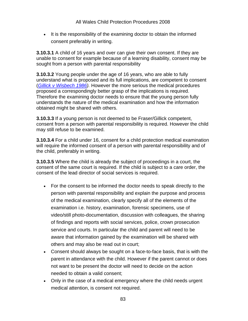• It is the responsibility of the examining doctor to obtain the informed consent preferably in writing.

**3.10.3.1** A child of 16 years and over can give their own consent. If they are unable to consent for example because of a learning disability, consent may be sought from a person with parental responsibility

**3.10.3.2** Young people under the age of 16 years, who are able to fully understand what is proposed and its full implications, are competent to consent (*[Gillick v Wisbech 1986\).](http://www.hrcr.org/safrica/childrens_rights/Gillick_WestNorfolk.htm)* However the more serious the medical procedures proposed a correspondingly better grasp of the implications is required. Therefore the examining doctor needs to ensure that the young person fully understands the nature of the medical examination and how the information obtained might be shared with others.

**3.10.3.3** If a young person is not deemed to be Fraser/Gillick competent, consent from a person with parental responsibility is required. However the child may still refuse to be examined.

**3.10.3.4** For a child under 16, consent for a child protection medical examination will require the informed consent of a person with parental responsibility and of the child, preferably in writing.

**3.10.3.5** Where the child is already the subject of proceedings in a court, the consent of the same court is required. If the child is subject to a care order, the consent of the lead director of social services is required.

- For the consent to be informed the doctor needs to speak directly to the person with parental responsibility and explain the purpose and process of the medical examination, clearly specify all of the elements of the examination i.e. history, examination, forensic specimens, use of video/still photo-documentation, discussion with colleagues, the sharing of findings and reports with social services, police, crown prosecution service and courts. In particular the child and parent will need to be aware that information gained by the examination will be shared with others and may also be read out in court;
- Consent should always be sought on a face-to-face basis, that is with the parent in attendance with the child. However if the parent cannot or does not want to be present the doctor will need to decide on the action needed to obtain a valid consent;
- Only in the case of a medical emergency where the child needs urgent medical attention, is consent not required.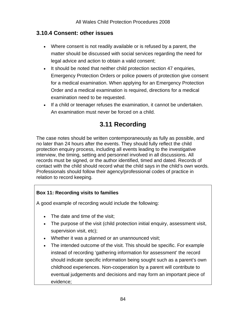## **3.10.4 Consent: other issues**

- Where consent is not readily available or is refused by a parent, the matter should be discussed with social services regarding the need for legal advice and action to obtain a valid consent;
- It should be noted that neither child protection section 47 enquiries, Emergency Protection Orders or police powers of protection give consent for a medical examination. When applying for an Emergency Protection Order and a medical examination is required, directions for a medical examination need to be requested.
- If a child or teenager refuses the examination, it cannot be undertaken. An examination must never be forced on a child.

# **3.11 Recording**

The case notes should be written contemporaneously as fully as possible, and no later than 24 hours after the events. They should fully reflect the child protection enquiry process, including all events leading to the investigative interview, the timing, setting and personnel involved in all discussions. All records must be signed, or the author identified, timed and dated. Records of contact with the child should record what the child says in the child's own words. Professionals should follow their agency/professional codes of practice in relation to record keeping.

### **Box 11: Recording visits to families**

A good example of recording would include the following:

- The date and time of the visit;
- The purpose of the visit (child protection initial enquiry, assessment visit, supervision visit, etc);
- Whether it was a planned or an unannounced visit;
- The intended outcome of the visit. This should be specific. For example instead of recording 'gathering information for assessment' the record should indicate specific information being sought such as a parent's own childhood experiences. Non-cooperation by a parent will contribute to eventual judgements and decisions and may form an important piece of evidence;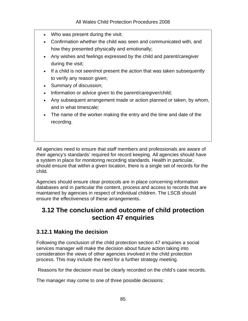- Who was present during the visit;
- Confirmation whether the child was seen and communicated with, and how they presented physically and emotionally;
- Any wishes and feelings expressed by the child and parent/caregiver during the visit;
- If a child is not seen/not present the action that was taken subsequently to verify any reason given;
- Summary of discussion;
- Information or advice given to the parent/caregiver/child;
- Any subsequent arrangement made or action planned or taken, by whom, and in what timescale;
- The name of the worker making the entry and the time and date of the recording.

All agencies need to ensure that staff members and professionals are aware of their agency's standards' required for record keeping. All agencies should have a system in place for monitoring recording standards. Health in particular, should ensure that within a given location, there is a single set of records for the child.

Agencies should ensure clear protocols are in place concerning information databases and in particular the content, process and access to records that are maintained by agencies in respect of individual children. The LSCB should ensure the effectiveness of these arrangements.

# **3.12 The conclusion and outcome of child protection section 47 enquiries**

## **3.12.1 Making the decision**

Following the conclusion of the child protection section 47 enquiries a social services manager will make the decision about future action taking into consideration the views of other agencies involved in the child protection process. This may include the need for a further strategy meeting.

Reasons for the decision must be clearly recorded on the child's case records.

The manager may come to one of three possible decisions: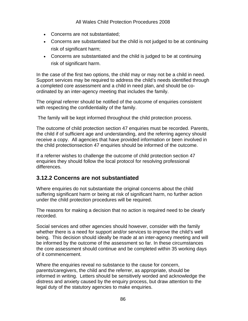- Concerns are not substantiated;
- Concerns are substantiated but the child is not judged to be at continuing risk of significant harm;
- Concerns are substantiated and the child is judged to be at continuing risk of significant harm.

In the case of the first two options, the child may or may not be a child in need. Support services may be required to address the child's needs identified through a completed core assessment and a child in need plan, and should be coordinated by an inter-agency meeting that includes the family.

The original referrer should be notified of the outcome of enquiries consistent with respecting the confidentiality of the family.

The family will be kept informed throughout the child protection process.

The outcome of child protection section 47 enquiries must be recorded. Parents, the child if of sufficient age and understanding, and the referring agency should receive a copy. All agencies that have provided information or been involved in the child protectionsection 47 enquiries should be informed of the outcome.

If a referrer wishes to challenge the outcome of child protection section 47 enquiries they should follow the local protocol for resolving professional differences.

## **3.12.2 Concerns are not substantiated**

Where enquiries do not substantiate the original concerns about the child suffering significant harm or being at risk of significant harm, no further action under the child protection procedures will be required.

The reasons for making a decision that no action is required need to be clearly recorded.

Social services and other agencies should however, consider with the family whether there is a need for support and/or services to improve the child's well being. This decision should ideally be made at an inter-agency meeting and will be informed by the outcome of the assessment so far. In these circumstances the core assessment should continue and be completed within 35 working days of it commencement.

Where the enquiries reveal no substance to the cause for concern, parents/caregivers, the child and the referrer, as appropriate, should be informed in writing. Letters should be sensitively worded and acknowledge the distress and anxiety caused by the enquiry process, but draw attention to the legal duty of the statutory agencies to make enquiries.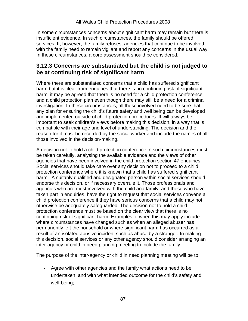In some circumstances concerns about significant harm may remain but there is insufficient evidence. In such circumstances, the family should be offered services. If, however, the family refuses, agencies that continue to be involved with the family need to remain vigilant and report any concerns in the usual way. In these circumstances, a core assessment should be considered.

### **3.12.3 Concerns are substantiated but the child is not judged to be at continuing risk of significant harm**

Where there are substantiated concerns that a child has suffered significant harm but it is clear from enquiries that there is no continuing risk of significant harm, it may be agreed that there is no need for a child protection conference and a child protection plan even though there may still be a need for a criminal investigation. In these circumstances, all those involved need to be sure that any plan for ensuring the child's future safety and well being can be developed and implemented outside of child protection procedures. It will always be important to seek children's views before making this decision, in a way that is compatible with their age and level of understanding. The decision and the reason for it must be recorded by the social worker and include the names of all those involved in the decision-making.

A decision not to hold a child protection conference in such circumstances must be taken carefully, analysing the available evidence and the views of other agencies that have been involved in the child protection section 47 enquiries. Social services should take care over any decision not to proceed to a child protection conference where it is known that a child has suffered significant harm. A suitably qualified and designated person within social services should endorse this decision, or if necessary overrule it. Those professionals and agencies who are most involved with the child and family, and those who have taken part in enquiries, have the right to request that social services convene a child protection conference if they have serious concerns that a child may not otherwise be adequately safeguarded. The decision not to hold a child protection conference must be based on the clear view that there is no continuing risk of significant harm. Examples of when this may apply include where circumstances have changed such as when an alleged abuser has permanently left the household or where significant harm has occurred as a result of an isolated abusive incident such as abuse by a stranger. In making this decision, social services or any other agency should consider arranging an inter-agency or child in need planning meeting to include the family.

The purpose of the inter-agency or child in need planning meeting will be to:

• Agree with other agencies and the family what actions need to be undertaken, and with what intended outcome for the child's safety and well-being;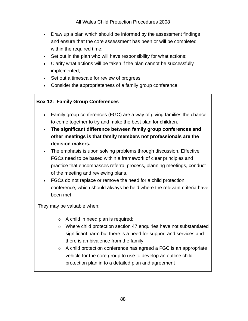- Draw up a plan which should be informed by the assessment findings and ensure that the core assessment has been or will be completed within the required time;
- Set out in the plan who will have responsibility for what actions;
- Clarify what actions will be taken if the plan cannot be successfully implemented;
- Set out a timescale for review of progress;
- Consider the appropriateness of a family group conference.

### **Box 12: Family Group Conferences**

- Family group conferences (FGC) are a way of giving families the chance to come together to try and make the best plan for children.
- **The significant difference between family group conferences and other meetings is that family members not professionals are the decision makers.**
- The emphasis is upon solving problems through discussion. Effective FGCs need to be based within a framework of clear principles and practice that encompasses referral process, planning meetings, conduct of the meeting and reviewing plans.
- FGCs do not replace or remove the need for a child protection conference, which should always be held where the relevant criteria have been met.

They may be valuable when:

- $\circ$  A child in need plan is required;
- o Where child protection section 47 enquiries have not substantiated significant harm but there is a need for support and services and there is ambivalence from the family;
- o A child protection conference has agreed a FGC is an appropriate vehicle for the core group to use to develop an outline child protection plan in to a detailed plan and agreement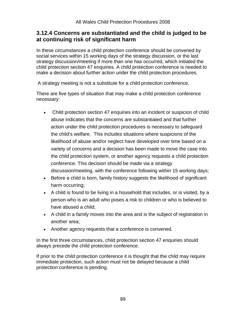## **3.12.4 Concerns are substantiated and the child is judged to be at continuing risk of significant harm**

In these circumstances a child protection conference should be convened by social services within 15 working days of the strategy discussion, or the last strategy discussion/meeting if more than one has occurred, which initiated the child protection section 47 enquiries. A child protection conference is needed to make a decision about further action under the child protection procedures.

A strategy meeting is not a substitute for a child protection conference.

There are five types of situation that may make a child protection conference necessary:

- Child protection section 47 enquiries into an incident or suspicion of child abuse indicates that the concerns are substantiated and that further action under the child protection procedures is necessary to safeguard the child's welfare. This includes situations where suspicions of the likelihood of abuse and/or neglect have developed over time based on a variety of concerns and a decision has been made to move the case into the child protection system, or another agency requests a child protection conference. This decision should be made via a strategy discussion/meeting, with the conference following within 15 working days;
- Before a child is born, family history suggests the likelihood of significant harm occurring;
- A child is found to be living in a household that includes, or is visited, by a person who is an adult who poses a risk to children or who is believed to have abused a child;
- A child in a family moves into the area and is the subject of registration in another area;
- Another agency requests that a conference is convened.

In the first three circumstances, child protection section 47 enquiries should always precede the child protection conference.

If prior to the child protection conference it is thought that the child may require immediate protection, such action must not be delayed because a child protection conference is pending.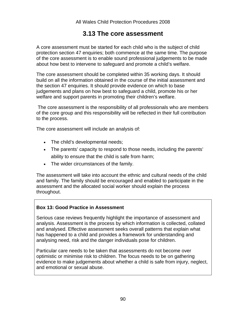# **3.13 The core assessment**

A core assessment must be started for each child who is the subject of child protection section 47 enquiries; both commence at the same time. The purpose of the core assessment is to enable sound professional judgements to be made about how best to intervene to safeguard and promote a child's welfare.

The core assessment should be completed within 35 working days. It should build on all the information obtained in the course of the initial assessment and the section 47 enquiries. It should provide evidence on which to base judgements and plans on how best to safeguard a child, promote his or her welfare and support parents in promoting their children's welfare.

 The core assessment is the responsibility of all professionals who are members of the core group and this responsibility will be reflected in their full contribution to the process.

The core assessment will include an analysis of:

- The child's developmental needs;
- The parents' capacity to respond to those needs, including the parents' ability to ensure that the child is safe from harm;
- The wider circumstances of the family.

The assessment will take into account the ethnic and cultural needs of the child and family. The family should be encouraged and enabled to participate in the assessment and the allocated social worker should explain the process throughout.

### **Box 13: Good Practice in Assessment**

Serious case reviews frequently highlight the importance of assessment and analysis. Assessment is the process by which information is collected, collated and analysed. Effective assessment seeks overall patterns that explain what has happened to a child and provides a framework for understanding and analysing need, risk and the danger individuals pose for children.

Particular care needs to be taken that assessments do not become over optimistic or minimise risk to children. The focus needs to be on gathering evidence to make judgements about whether a child is safe from injury, neglect, and emotional or sexual abuse.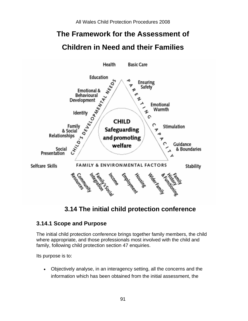# **The Framework for the Assessment of**

# **Children in Need and their Families**



# **3.14 The initial child protection conference**

# **3.14.1 Scope and Purpose**

The initial child protection conference brings together family members, the child where appropriate, and those professionals most involved with the child and family, following child protection section 47 enquiries.

Its purpose is to:

• Objectively analyse, in an interagency setting, all the concerns and the information which has been obtained from the initial assessment, the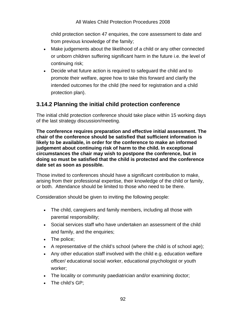child protection section 47 enquiries, the core assessment to date and from previous knowledge of the family;

- Make judgements about the likelihood of a child or any other connected or unborn children suffering significant harm in the future i.e. the level of continuing risk;
- Decide what future action is required to safeguard the child and to promote their welfare, agree how to take this forward and clarify the intended outcomes for the child (the need for registration and a child protection plan).

## **3.14.2 Planning the initial child protection conference**

The initial child protection conference should take place within 15 working days of the last strategy discussion/meeting.

**The conference requires preparation and effective initial assessment. The chair of the conference should be satisfied that sufficient information is likely to be available, in order for the conference to make an informed judgement about continuing risk of harm to the child. In exceptional circumstances the chair may wish to postpone the conference, but in doing so must be satisfied that the child is protected and the conference date set as soon as possible.** 

Those invited to conferences should have a significant contribution to make, arising from their professional expertise, their knowledge of the child or family, or both. Attendance should be limited to those who need to be there.

Consideration should be given to inviting the following people:

- The child, caregivers and family members, including all those with parental responsibility;
- Social services staff who have undertaken an assessment of the child and family, and the enquiries;
- The police;
- A representative of the child's school (where the child is of school age);
- Any other education staff involved with the child e.g. education welfare officer/ educational social worker, educational psychologist or youth worker;
- The locality or community paediatrician and/or examining doctor;
- The child's GP;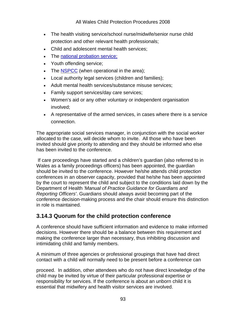- The health visiting service/school nurse/midwife/senior nurse child protection and other relevant health professionals;
- Child and adolescent mental health services;
- The national probation service:
- Youth offending service;
- The **NSPCC** (when operational in the area);
- Local authority legal services (children and families);
- Adult mental health services/substance misuse services;
- Family support services/day care services;
- Women's aid or any other voluntary or independent organisation involved;
- A representative of the armed services, in cases where there is a service connection.

The appropriate social services manager, in conjunction with the social worker allocated to the case, will decide whom to invite. All those who have been invited should give priority to attending and they should be informed who else has been invited to the conference.

 If care proceedings have started and a children's guardian (also referred to in Wales as a family proceedings officers) has been appointed, the guardian should be invited to the conference. However he/she attends child protection conferences in an observer capacity, provided that he/she has been appointed by the court to represent the child and subject to the conditions laid down by the Department of Health *'Manual of Practice Guidance for Guardians and Reporting Officers'*. Guardians should always avoid becoming part of the conference decision-making process and the chair should ensure this distinction in role is maintained.

# **3.14.3 Quorum for the child protection conference**

A conference should have sufficient information and evidence to make informed decisions. However there should be a balance between this requirement and making the conference larger than necessary, thus inhibiting discussion and intimidating child and family members.

A minimum of three agencies or professional groupings that have had direct contact with a child will normally need to be present before a conference can

proceed. In addition, other attendees who do not have direct knowledge of the child may be invited by virtue of their particular professional expertise or responsibility for services. If the conference is about an unborn child it is essential that midwifery and health visitor services are involved.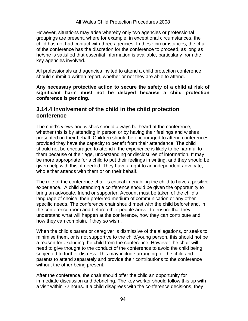However, situations may arise whereby only two agencies or professional groupings are present, where for example, in exceptional circumstances, the child has not had contact with three agencies. In these circumstances, the chair of the conference has the discretion for the conference to proceed, as long as he/she is satisfied that essential information is available, particularly from the key agencies involved.

All professionals and agencies invited to attend a child protection conference should submit a written report, whether or not they are able to attend.

**Any necessary protective action to secure the safety of a child at risk of significant harm must not be delayed because a child protection conference is pending.** 

### **3.14.4 Involvement of the child in the child protection conference**

The child's views and wishes should always be heard at the conference, whether this is by attending in person or by having their feelings and wishes presented on their behalf. Children should be encouraged to attend conferences provided they have the capacity to benefit from their attendance. The child should not be encouraged to attend if the experience is likely to be harmful to them because of their age, understanding or disclosures of information. It may be more appropriate for a child to put their feelings in writing, and they should be given help with this, if needed. They have a right to an independent advocate, who either attends with them or on their behalf.

The role of the conference chair is critical in enabling the child to have a positive experience. A child attending a conference should be given the opportunity to bring an advocate, friend or supporter. Account must be taken of the child's language of choice, their preferred medium of communication or any other specific needs. The conference chair should meet with the child beforehand, in the conference room and before other people arrive, to ensure that they understand what will happen at the conference, how they can contribute and how they can complain, if they so wish .

When the child's parent or caregiver is dismissive of the allegations, or seeks to minimise them, or is not supportive to the child/young person, this should not be a reason for excluding the child from the conference. However the chair will need to give thought to the conduct of the conference to avoid the child being subjected to further distress. This may include arranging for the child and parents to attend separately and provide their contributions to the conference without the other being present.

After the conference, the chair should offer the child an opportunity for immediate discussion and debriefing. The key worker should follow this up with a visit within 72 hours. If a child disagrees with the conference decisions, they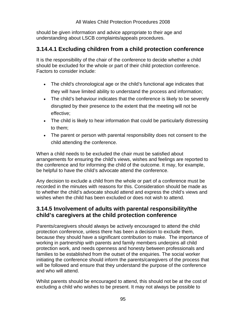should be given information and advice appropriate to their age and understanding about LSCB complaints/appeals procedures.

## **3.14.4.1 Excluding children from a child protection conference**

It is the responsibility of the chair of the conference to decide whether a child should be excluded for the whole or part of their child protection conference. Factors to consider include:

- The child's chronological age or the child's functional age indicates that they will have limited ability to understand the process and information;
- The child's behaviour indicates that the conference is likely to be severely disrupted by their presence to the extent that the meeting will not be effective;
- The child is likely to hear information that could be particularly distressing to them;
- The parent or person with parental responsibility does not consent to the child attending the conference.

When a child needs to be excluded the chair must be satisfied about arrangements for ensuring the child's views, wishes and feelings are reported to the conference and for informing the child of the outcome. It may, for example, be helpful to have the child's advocate attend the conference.

Any decision to exclude a child from the whole or part of a conference must be recorded in the minutes with reasons for this. Consideration should be made as to whether the child's advocate should attend and express the child's views and wishes when the child has been excluded or does not wish to attend.

## **3.14.5 Involvement of adults with parental responsibility/the child's caregivers at the child protection conference**

Parents/caregivers should always be actively encouraged to attend the child protection conference, unless there has been a decision to exclude them, because they should have a significant contribution to make. The importance of working in partnership with parents and family members underpins all child protection work, and needs openness and honesty between professionals and families to be established from the outset of the enquiries. The social worker initiating the conference should inform the parents/caregivers of the process that will be followed and ensure that they understand the purpose of the conference and who will attend.

Whilst parents should be encouraged to attend, this should not be at the cost of excluding a child who wishes to be present. It may not always be possible to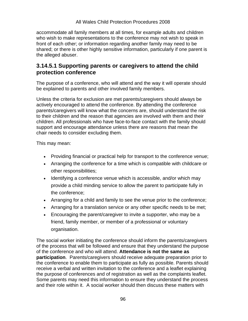accommodate all family members at all times, for example adults and children who wish to make representations to the conference may not wish to speak in front of each other; or information regarding another family may need to be shared; or there is other highly sensitive information, particularly if one parent is the alleged abuser.

### **3.14.5.1 Supporting parents or caregivers to attend the child protection conference**

The purpose of a conference, who will attend and the way it will operate should be explained to parents and other involved family members.

Unless the criteria for exclusion are met parents/caregivers should always be actively encouraged to attend the conference. By attending the conference parents/caregivers will know what the concerns are, should understand the risk to their children and the reason that agencies are involved with them and their children. All professionals who have face-to-face contact with the family should support and encourage attendance unless there are reasons that mean the chair needs to consider excluding them.

This may mean:

- Providing financial or practical help for transport to the conference venue;
- Arranging the conference for a time which is compatible with childcare or other responsibilities;
- Identifying a conference venue which is accessible, and/or which may provide a child minding service to allow the parent to participate fully in the conference;
- Arranging for a child and family to see the venue prior to the conference;
- Arranging for a translation service or any other specific needs to be met;
- Encouraging the parent/caregiver to invite a supporter, who may be a friend, family member, or member of a professional or voluntary organisation.

The social worker initiating the conference should inform the parents/caregivers of the process that will be followed and ensure that they understand the purpose of the conference and who will attend. **Attendance is not the same as participation**. Parents/caregivers should receive adequate preparation prior to the conference to enable them to participate as fully as possible. Parents should receive a verbal and written invitation to the conference and a leaflet explaining the purpose of conferences and of registration as well as the complaints leaflet. Some parents may need this information to ensure they understand the process and their role within it. A social worker should then discuss these matters with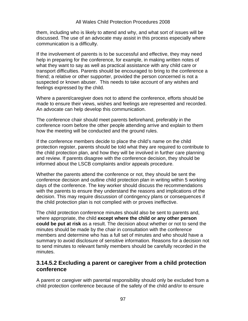them, including who is likely to attend and why, and what sort of issues will be discussed. The use of an advocate may assist in this process especially where communication is a difficulty.

If the involvement of parents is to be successful and effective, they may need help in preparing for the conference, for example, in making written notes of what they want to say as well as practical assistance with any child care or transport difficulties. Parents should be encouraged to bring to the conference a friend; a relative or other supporter, provided the person concerned is not a suspected or known abuser. This needs to take account of any wishes and feelings expressed by the child.

Where a parent/caregiver does not to attend the conference, efforts should be made to ensure their views, wishes and feelings are represented and recorded. An advocate can help develop this communication.

The conference chair should meet parents beforehand, preferably in the conference room before the other people attending arrive and explain to them how the meeting will be conducted and the ground rules.

If the conference members decide to place the child's name on the child protection register, parents should be told what they are required to contribute to the child protection plan, and how they will be involved in further care planning and review. If parents disagree with the conference decision, they should be informed about the LSCB complaints and/or appeals procedure.

Whether the parents attend the conference or not, they should be sent the conference decision and outline child protection plan in writing within 5 working days of the conference. The key worker should discuss the recommendations with the parents to ensure they understand the reasons and implications of the decision. This may require discussion of contingency plans or consequences if the child protection plan is not complied with or proves ineffective.

The child protection conference minutes should also be sent to parents and, where appropriate, the child **except where the child or any other person could be put at risk** as a result. The decision about whether or not to send the minutes should be made by the chair in consultation with the conference members and determine who has a full set of minutes and who should have a summary to avoid disclosure of sensitive information. Reasons for a decision not to send minutes to relevant family members should be carefully recorded in the minutes.

### **3.14.5.2 Excluding a parent or caregiver from a child protection conference**

A parent or caregiver with parental responsibility should only be excluded from a child protection conference because of the safety of the child and/or to ensure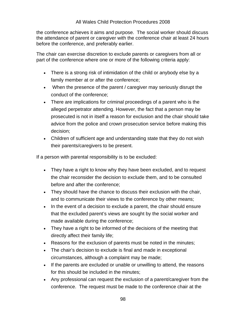the conference achieves it aims and purpose. The social worker should discuss the attendance of parent or caregiver with the conference chair at least 24 hours before the conference, and preferably earlier.

The chair can exercise discretion to exclude parents or caregivers from all or part of the conference where one or more of the following criteria apply:

- There is a strong risk of intimidation of the child or anybody else by a family member at or after the conference;
- When the presence of the parent / caregiver may seriously disrupt the conduct of the conference;
- There are implications for criminal proceedings of a parent who is the alleged perpetrator attending. However, the fact that a person may be prosecuted is not in itself a reason for exclusion and the chair should take advice from the police and crown prosecution service before making this decision;
- Children of sufficient age and understanding state that they do not wish their parents/caregivers to be present.

If a person with parental responsibility is to be excluded:

- They have a right to know why they have been excluded, and to request the chair reconsider the decision to exclude them, and to be consulted before and after the conference;
- They should have the chance to discuss their exclusion with the chair, and to communicate their views to the conference by other means;
- In the event of a decision to exclude a parent, the chair should ensure that the excluded parent's views are sought by the social worker and made available during the conference;
- They have a right to be informed of the decisions of the meeting that directly affect their family life;
- Reasons for the exclusion of parents must be noted in the minutes;
- The chair's decision to exclude is final and made in exceptional circumstances, although a complaint may be made;
- If the parents are excluded or unable or unwilling to attend, the reasons for this should be included in the minutes;
- Any professional can request the exclusion of a parent/caregiver from the conference. The request must be made to the conference chair at the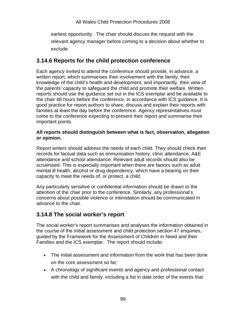earliest opportunity. The chair should discuss the request with the relevant agency manager before coming to a decision about whether to exclude.

### **3.14.6 Reports for the child protection conference**

Each agency invited to attend the conference should provide, in advance, a written report, which summarises their involvement with the family, their knowledge of the child's health and development, and importantly, their view of the parents' capacity to safeguard the child and promote their welfare. Written reports should use the guidance set out in the ICS exemplar and be available to the chair 48 hours before the conference, in accordance with ICS guidance. It is good practice for report authors to share, discuss and explain their reports with families at least the day before the conference. Agency representatives must come to the conference expecting to present their report and summarise their important points.

#### **All reports should distinguish between what is fact, observation, allegation or opinion.**

Report writers should address the needs of each child. They should check their records for factual data such as immunisation history, clinic attendance, A&E attendance and school attendance. Relevant adult records should also be scrutinised. This is especially important when there are factors such as adult mental ill health, alcohol or drug dependency, which have a bearing on their capacity to meet the needs of, or protect, a child.

Any particularly sensitive or confidential information should be drawn to the attention of the chair prior to the conference. Similarly, any professional's concerns about possible violence or intimidation should be communicated in advance to the chair.

### **3.14.8 The social worker's report**

The social worker's report summarises and analyses the information obtained in the course of the initial assessment and child protection section 47 enquiries, guided by the Framework for the Assessment of Children in Need and their Families and the ICS exemplar. The report should include:

- The initial assessment and information from the work that has been done on the core assessment so far;
- A chronology of significant events and agency and professional contact with the child and family, including a list in date order of the events that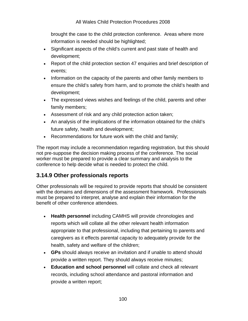brought the case to the child protection conference. Areas where more information is needed should be highlighted;

- Significant aspects of the child's current and past state of health and development;
- Report of the child protection section 47 enquiries and brief description of events;
- Information on the capacity of the parents and other family members to ensure the child's safety from harm, and to promote the child's health and development;
- The expressed views wishes and feelings of the child, parents and other family members;
- Assessment of risk and any child protection action taken;
- An analysis of the implications of the information obtained for the child's future safety, health and development;
- Recommendations for future work with the child and family;

The report may include a recommendation regarding registration, but this should not pre-suppose the decision making process of the conference. The social worker must be prepared to provide a clear summary and analysis to the conference to help decide what is needed to protect the child.

# **3.14.9 Other professionals reports**

Other professionals will be required to provide reports that should be consistent with the domains and dimensions of the assessment framework. Professionals must be prepared to interpret, analyse and explain their information for the benefit of other conference attendees.

- **Health personnel** including CAMHS will provide chronologies and reports which will collate all the other relevant health information appropriate to that professional, including that pertaining to parents and caregivers as it effects parental capacity to adequately provide for the health, safety and welfare of the children;
- **GPs** should always receive an invitation and if unable to attend should provide a written report. They should always receive minutes;
- **Education and school personnel** will collate and check all relevant records, including school attendance and pastoral information and provide a written report;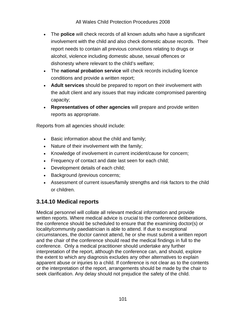- The **police** will check records of all known adults who have a significant involvement with the child and also check domestic abuse records. Their report needs to contain all previous convictions relating to drugs or alcohol, violence including domestic abuse, sexual offences or dishonesty where relevant to the child's welfare;
- The **national probation service** will check records including licence conditions and provide a written report;
- **Adult services** should be prepared to report on their involvement with the adult client and any issues that may indicate compromised parenting capacity;
- **Representatives of other agencies** will prepare and provide written reports as appropriate.

Reports from all agencies should include:

- Basic information about the child and family;
- Nature of their involvement with the family;
- Knowledge of involvement in current incident/cause for concern;
- Frequency of contact and date last seen for each child;
- Development details of each child;
- Background /previous concerns;
- Assessment of current issues/family strengths and risk factors to the child or children.

## **3.14.10 Medical reports**

Medical personnel will collate all relevant medical information and provide written reports. Where medical advice is crucial to the conference deliberations, the conference should be scheduled to ensure that the examining doctor(s) or locality/community paediatrician is able to attend. If due to exceptional circumstances, the doctor cannot attend, he or she must submit a written report and the chair of the conference should read the medical findings in full to the conference. Only a medical practitioner should undertake any further interpretation of the report, although the conference can, and should, explore the extent to which any diagnosis excludes any other alternatives to explain apparent abuse or injuries to a child. If conference is not clear as to the contents or the interpretation of the report, arrangements should be made by the chair to seek clarification. Any delay should not prejudice the safety of the child.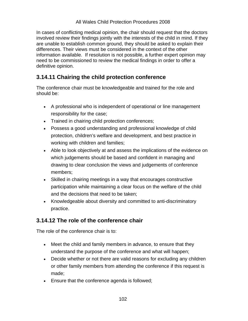In cases of conflicting medical opinion, the chair should request that the doctors involved review their findings jointly with the interests of the child in mind. If they are unable to establish common ground, they should be asked to explain their differences. Their views must be considered in the context of the other information available. If resolution is not possible, a further expert opinion may need to be commissioned to review the medical findings in order to offer a definitive opinion.

# **3.14.11 Chairing the child protection conference**

The conference chair must be knowledgeable and trained for the role and should be:

- A professional who is independent of operational or line management responsibility for the case;
- Trained in chairing child protection conferences;
- Possess a good understanding and professional knowledge of child protection, children's welfare and development, and best practice in working with children and families;
- Able to look objectively at and assess the implications of the evidence on which judgements should be based and confident in managing and drawing to clear conclusion the views and judgements of conference members;
- Skilled in chairing meetings in a way that encourages constructive participation while maintaining a clear focus on the welfare of the child and the decisions that need to be taken;
- Knowledgeable about diversity and committed to anti-discriminatory practice.

# **3.14.12 The role of the conference chair**

The role of the conference chair is to:

- Meet the child and family members in advance, to ensure that they understand the purpose of the conference and what will happen;
- Decide whether or not there are valid reasons for excluding any children or other family members from attending the conference if this request is made;
- Ensure that the conference agenda is followed;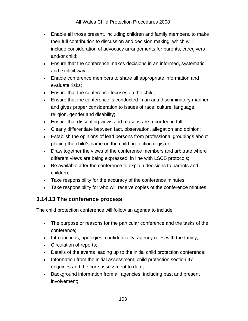- Enable **all** those present, including children and family members, to make their full contribution to discussion and decision making, which will include consideration of advocacy arrangements for parents, caregivers and/or child;
- Ensure that the conference makes decisions in an informed, systematic and explicit way;
- Enable conference members to share all appropriate information and evaluate risks;
- Ensure that the conference focuses on the child;
- Ensure that the conference is conducted in an anti-discriminatory manner and gives proper consideration to issues of race, culture, language, religion, gender and disability;
- Ensure that dissenting views and reasons are recorded in full;
- Clearly differentiate between fact, observation, allegation and opinion;
- Establish the opinions of lead persons from professional groupings about placing the child's name on the child protection register;
- Draw together the views of the conference members and arbitrate where different views are being expressed, in line with LSCB protocols;
- Be available after the conference to explain decisions to parents and children;
- Take responsibility for the accuracy of the conference minutes;
- Take responsibility for who will receive copies of the conference minutes.

# **3.14.13 The conference process**

The child protection conference will follow an agenda to include:

- The purpose or reasons for the particular conference and the tasks of the conference;
- Introductions, apologies, confidentiality, agency roles with the family;
- Circulation of reports;
- Details of the events leading up to the initial child protection conference;
- Information from the initial assessment, child protection section 47 enquiries and the core assessment to date;
- Background information from all agencies, including past and present involvement;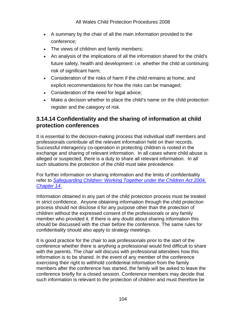- A summary by the chair of all the main information provided to the conference;
- The views of children and family members;
- An analysis of the implications of all the information shared for the child's future safety, health and development: i.e. whether the child at continuing risk of significant harm;
- Consideration of the risks of harm if the child remains at home, and explicit recommendations for how the risks can be managed;
- Consideration of the need for legal advice;
- Make a decision whether to place the child's name on the child protection register and the category of risk.

## **3.14.14 Confidentiality and the sharing of information at child protection conferences**

It is essential to the decision-making process that individual staff members and professionals contribute all the relevant information held on their records. Successful interagency co-operation in protecting children is rooted in the exchange and sharing of relevant information. In all cases where child abuse is alleged or suspected, there is a duty to share all relevant information. In all such situations the protection of the child must take precedence.

For further information on sharing information and the limits of confidentiality refer to *[Safeguarding Children: Working Together under the Children Act 2004,](http://wales.gov.uk/topics/childrenyoungpeople/publications/safeguardingunder2004act;jsessionid=RJvCKydbY6xdtL6pb4KGwkc7lx8Bm0htDstlL42PqT3KyF023WYb!-826231897?lang=en)  Chapter 14.*

Information obtained in any part of the child protection process must be treated in strict confidence. Anyone obtaining information through the child protection process should not disclose it for any purpose other than the protection of children without the expressed consent of the professionals or any family member who provided it. If there is any doubt about sharing information this should be discussed with the chair before the conference. The same rules for confidentiality should also apply to strategy meetings.

It is good practice for the chair to ask professionals prior to the start of the conference whether there is anything a professional would find difficult to share with the parents. The chair will discuss with professional attendees how this information is to be shared. In the event of any member of the conference exercising their right to withhold confidential information from the family members after the conference has started, the family will be asked to leave the conference briefly for a closed session. Conference members may decide that such information is relevant to the protection of children and must therefore be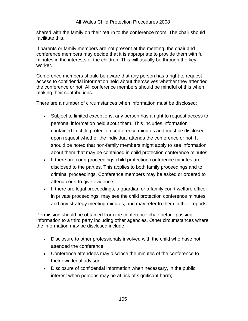shared with the family on their return to the conference room. The chair should facilitate this.

If parents or family members are not present at the meeting, the chair and conference members may decide that it is appropriate to provide them with full minutes in the interests of the children. This will usually be through the key worker.

Conference members should be aware that any person has a right to request access to confidential information held about themselves whether they attended the conference or not. All conference members should be mindful of this when making their contributions.

There are a number of circumstances when information must be disclosed:

- Subject to limited exceptions, any person has a right to request access to personal information held about them. This includes information contained in child protection conference minutes and must be disclosed upon request whether the individual attends the conference or not. It should be noted that non-family members might apply to see information about them that may be contained in child protection conference minutes;
- If there are court proceedings child protection conference minutes are disclosed to the parties. This applies to both family proceedings and to criminal proceedings. Conference members may be asked or ordered to attend court to give evidence;
- If there are legal proceedings, a guardian or a family court welfare officer in private proceedings, may see the child protection conference minutes, and any strategy meeting minutes, and may refer to them in their reports.

Permission should be obtained from the conference chair before passing information to a third party including other agencies. Other circumstances where the information may be disclosed include: -

- Disclosure to other professionals involved with the child who have not attended the conference;
- Conference attendees may disclose the minutes of the conference to their own legal advisor;
- Disclosure of confidential information when necessary, in the public interest when persons may be at risk of significant harm;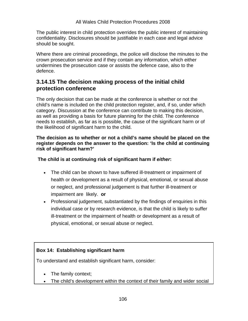The public interest in child protection overrides the public interest of maintaining confidentiality. Disclosures should be justifiable in each case and legal advice should be sought.

Where there are criminal proceedings, the police will disclose the minutes to the crown prosecution service and if they contain any information, which either undermines the prosecution case or assists the defence case, also to the defence.

## **3.14.15 The decision making process of the initial child protection conference**

The only decision that can be made at the conference is whether or not the child's name is included on the child protection register, and, if so, under which category. Discussion at the conference can contribute to making this decision, as well as providing a basis for future planning for the child. The conference needs to establish, as far as is possible, the cause of the significant harm or of the likelihood of significant harm to the child.

#### **The decision as to whether or not a child's name should be placed on the register depends on the answer to the question: 'Is the child at continuing risk of significant harm?'**

 **The child is at continuing risk of significant harm if** *either***:** 

- The child can be shown to have suffered ill-treatment or impairment of health or development as a result of physical, emotional, or sexual abuse or neglect, and professional judgement is that further ill-treatment or impairment are likely. **or**
- Professional judgement, substantiated by the findings of enquiries in this individual case or by research evidence, is that the child is likely to suffer ill-treatment or the impairment of health or development as a result of physical, emotional, or sexual abuse or neglect.

### **Box 14: Establishing significant harm**

To understand and establish significant harm, consider:

- The family context;
- The child's development within the context of their family and wider social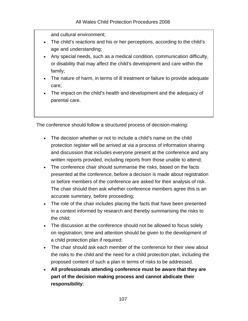and cultural environment;

- The child's reactions and his or her perceptions, according to the child's age and understanding;
- Any special needs, such as a medical condition, communication difficulty, or disability that may affect the child's development and care within the family;
- The nature of harm, in terms of ill treatment or failure to provide adequate care;
- The impact on the child's health and development and the adequacy of parental care.

The conference should follow a structured process of decision-making:

- The decision whether or not to include a child's name on the child protection register will be arrived at via a process of information sharing and discussion that includes everyone present at the conference and any written reports provided, including reports from those unable to attend;
- The conference chair should summarise the risks, based on the facts presented at the conference, before a decision is made about registration or before members of the conference are asked for their analysis of risk. The chair should then ask whether conference members agree this is an accurate summary, before proceeding;
- The role of the chair includes placing the facts that have been presented in a context informed by research and thereby summarising the risks to the child;
- The discussion at the conference should not be allowed to focus solely on registration; time and attention should be given to the development of a child protection plan if required;
- The chair should ask each member of the conference for their view about the risks to the child and the need for a child protection plan, including the proposed content of such a plan in terms of risks to be addressed.
- **All professionals attending conference must be aware that they are part of the decision making process and cannot abdicate their responsibility**;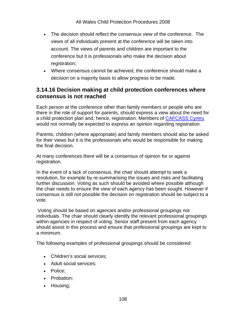- The decision should reflect the consensus view of the conference. The views of all individuals present at the conference will be taken into account. The views of parents and children are important to the conference but it is professionals who make the decision about registration;
- Where consensus cannot be achieved, the conference should make a decision on a majority basis to allow progress to be made.

### **3.14.16 Decision making at child protection conferences where consensus is not reached**

Each person at the conference other than family members or people who are there in the role of support for parents, should express a view about the need for a child protection plan and, hence, registration. Members of [CAFCASS Cymru](http://www.cafcass.gov.uk/) would not normally be expected to express an opinion regarding registration.

Parents, children (where appropriate) and family members should also be asked for their views but it is the professionals who would be responsible for making the final decision.

At many conferences there will be a consensus of opinion for or against registration.

In the event of a lack of consensus, the chair should attempt to seek a resolution, for example by re-summarising the issues and risks and facilitating further discussion. Voting as such should be avoided where possible although the chair needs to ensure the view of each agency has been sought. However if consensus is still not possible the decision on registration should be subject to a vote.

 Voting should be based on agencies and/or professional groupings not individuals. The chair should clearly identify the relevant professional groupings within agencies in respect of voting. Senior staff present from each agency should assist in this process and ensure that professional groupings are kept to a minimum.

The following examples of professional groupings should be considered:

- Children's social services;
- Adult social services;
- Police;
- Probation;
- Housing;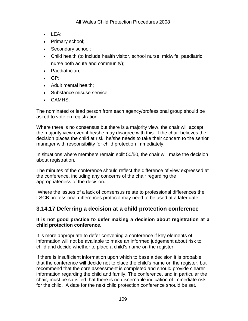- LEA;
- Primary school;
- Secondary school;
- Child health (to include health visitor, school nurse, midwife, paediatric nurse both acute and community);
- Paediatrician;
- GP;
- Adult mental health;
- Substance misuse service;
- CAMHS.

The nominated or lead person from each agency/professional group should be asked to vote on registration.

Where there is no consensus but there is a majority view, the chair will accept the majority view even if he/she may disagree with this. If the chair believes the decision places the child at risk, he/she needs to take their concern to the senior manager with responsibility for child protection immediately.

In situations where members remain split 50/50, the chair will make the decision about registration.

The minutes of the conference should reflect the difference of view expressed at the conference, including any concerns of the chair regarding the appropriateness of the decision.

 Where the issues of a lack of consensus relate to professional differences the LSCB professional differences protocol may need to be used at a later date.

## **3.14.17 Deferring a decision at a child protection conference**

#### **It is not good practice to defer making a decision about registration at a child protection conference.**

It is more appropriate to defer convening a conference if key elements of information will not be available to make an informed judgement about risk to child and decide whether to place a child's name on the register.

If there is insufficient information upon which to base a decision it is probable that the conference will decide not to place the child's name on the register, but recommend that the core assessment is completed and should provide clearer information regarding the child and family. The conference, and in particular the chair, must be satisfied that there is no discernable indication of immediate risk for the child. A date for the next child protection conference should be set.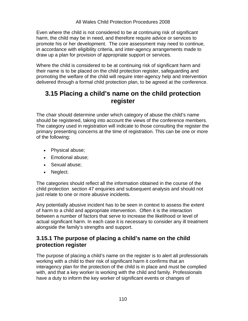Even where the child is not considered to be at continuing risk of significant harm, the child may be in need, and therefore require advice or services to promote his or her development. The core assessment may need to continue, in accordance with eligibility criteria, and inter-agency arrangements made to draw up a plan for provision of appropriate support or services.

Where the child is considered to be at continuing risk of significant harm and their name is to be placed on the child protection register, safeguarding and promoting the welfare of the child will require inter-agency help and intervention delivered through a formal child protection plan, to be agreed at the conference.

## **3.15 Placing a child's name on the child protection register**

The chair should determine under which category of abuse the child's name should be registered, taking into account the views of the conference members. The category used in registration will indicate to those consulting the register the primary presenting concerns at the time of registration. This can be one or more of the following:

- Physical abuse:
- Emotional abuse;
- Sexual abuse;
- Neglect.

The categories should reflect all the information obtained in the course of the child protection section 47 enquiries and subsequent analysis and should not just relate to one or more abusive incidents.

Any potentially abusive incident has to be seen in context to assess the extent of harm to a child and appropriate intervention. Often it is the interaction between a number of factors that serve to increase the likelihood or level of actual significant harm. In each case it is necessary to consider any ill treatment alongside the family's strengths and support.

### **3.15.1 The purpose of placing a child's name on the child protection register**

The purpose of placing a child's name on the register is to alert all professionals working with a child to their risk of significant harm it confirms that an interagency plan for the protection of the child is in place and must be complied with, and that a key worker is working with the child and family. Professionals have a duty to inform the key worker of significant events or changes of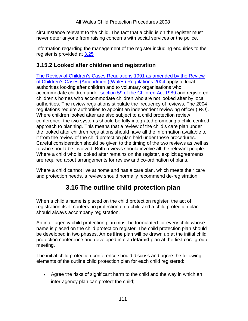circumstance relevant to the child. The fact that a child is on the register must never deter anyone from raising concerns with social services or the police.

Information regarding the management of the register including enquiries to the register is provided at 3.25

### **3.15.2 Looked after children and registration**

[The Review of Children's Cases Regulations 1991 as amended by the Review](http://www.opsi.gov.uk/legislation/wales/wsi2004/20041449e.htm) of Children's Cases (Amendment)(Wales) Regulations 2004 apply to local authorities looking after children and to voluntary organisations who accommodate children under [section 59 of the Children Act 1989](http://www.opsi.gov.uk/acts/acts2004/ukpga_20040031_en_6) and registered children's homes who accommodate children who are not looked after by local authorities. The review regulations stipulate the frequency of reviews. The 2004 regulations require authorities to appoint an independent reviewing officer (IRO). Where children looked after are also subject to a child protection review conference, the two systems should be fully integrated promoting a child centred approach to planning. This means that a review of the child's care plan under the looked after children regulations should have all the information available to it from the review of the child protection plan held under these procedures. Careful consideration should be given to the timing of the two reviews as well as to who should be involved. Both reviews should involve all the relevant people. Where a child who is looked after remains on the register, explicit agreements are required about arrangements for review and co-ordination of plans.

Where a child cannot live at home and has a care plan, which meets their care and protection needs, a review should normally recommend de-registration.

## **3.16 The outline child protection plan**

When a child's name is placed on the child protection register, the act of registration itself confers no protection on a child and a child protection plan should always accompany registration.

An inter-agency child protection plan must be formulated for every child whose name is placed on the child protection register. The child protection plan should be developed in two phases. An **outline** plan will be drawn up at the initial child protection conference and developed into a **detailed** plan at the first core group meeting.

The initial child protection conference should discuss and agree the following elements of the outline child protection plan for each child registered:

• Agree the risks of significant harm to the child and the way in which an inter-agency plan can protect the child;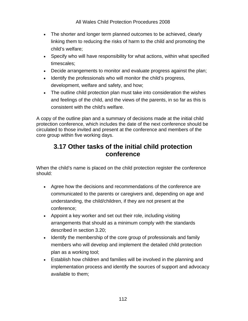- The shorter and longer term planned outcomes to be achieved, clearly linking them to reducing the risks of harm to the child and promoting the child's welfare;
- Specify who will have responsibility for what actions, within what specified timescales;
- Decide arrangements to monitor and evaluate progress against the plan;
- Identify the professionals who will monitor the child's progress, development, welfare and safety, and how;
- The outline child protection plan must take into consideration the wishes and feelings of the child, and the views of the parents, in so far as this is consistent with the child's welfare.

A copy of the outline plan and a summary of decisions made at the initial child protection conference, which includes the date of the next conference should be circulated to those invited and present at the conference and members of the core group within five working days.

## **3.17 Other tasks of the initial child protection conference**

When the child's name is placed on the child protection register the conference should:

- Agree how the decisions and recommendations of the conference are communicated to the parents or caregivers and, depending on age and understanding, the child/children, if they are not present at the conference;
- Appoint a key worker and set out their role, including visiting arrangements that should as a minimum comply with the standards described in section 3.20;
- Identify the membership of the core group of professionals and family members who will develop and implement the detailed child protection plan as a working tool;
- Establish how children and families will be involved in the planning and implementation process and identify the sources of support and advocacy available to them;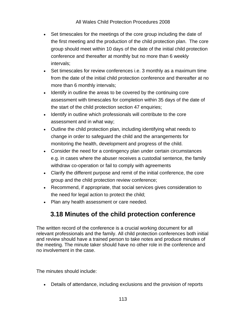- Set timescales for the meetings of the core group including the date of the first meeting and the production of the child protection plan. The core group should meet within 10 days of the date of the initial child protection conference and thereafter at monthly but no more than 6 weekly intervals;
- Set timescales for review conferences i.e. 3 monthly as a maximum time from the date of the initial child protection conference and thereafter at no more than 6 monthly intervals;
- Identify in outline the areas to be covered by the continuing core assessment with timescales for completion within 35 days of the date of the start of the child protection section 47 enquiries;
- Identify in outline which professionals will contribute to the core assessment and in what way;
- Outline the child protection plan, including identifying what needs to change in order to safeguard the child and the arrangements for monitoring the health, development and progress of the child.
- Consider the need for a contingency plan under certain circumstances e.g. in cases where the abuser receives a custodial sentence, the family withdraw co-operation or fail to comply with agreements
- Clarify the different purpose and remit of the initial conference, the core group and the child protection review conference;
- Recommend, if appropriate, that social services gives consideration to the need for legal action to protect the child;
- Plan any health assessment or care needed.

## **3.18 Minutes of the child protection conference**

The written record of the conference is a crucial working document for all relevant professionals and the family. All child protection conferences both initial and review should have a trained person to take notes and produce minutes of the meeting. The minute taker should have no other role in the conference and no involvement in the case.

The minutes should include:

• Details of attendance, including exclusions and the provision of reports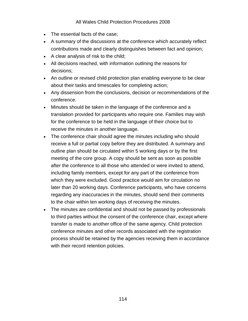- The essential facts of the case;
- A summary of the discussions at the conference which accurately reflect contributions made and clearly distinguishes between fact and opinion;
- A clear analysis of risk to the child;
- All decisions reached, with information outlining the reasons for decisions;
- An outline or revised child protection plan enabling everyone to be clear about their tasks and timescales for completing action;
- Any dissension from the conclusions, decision or recommendations of the conference.
- Minutes should be taken in the language of the conference and a translation provided for participants who require one. Families may wish for the conference to be held in the language of their choice but to receive the minutes in another language.
- The conference chair should agree the minutes including who should receive a full or partial copy before they are distributed. A summary and outline plan should be circulated within 5 working days or by the first meeting of the core group. A copy should be sent as soon as possible after the conference to all those who attended or were invited to attend, including family members, except for any part of the conference from which they were excluded. Good practice would aim for circulation no later than 20 working days. Conference participants, who have concerns regarding any inaccuracies in the minutes, should send their comments to the chair within ten working days of receiving the minutes.
- The minutes are confidential and should not be passed by professionals to third parties without the consent of the conference chair, except where transfer is made to another office of the same agency. Child protection conference minutes and other records associated with the registration process should be retained by the agencies receiving them in accordance with their record retention policies.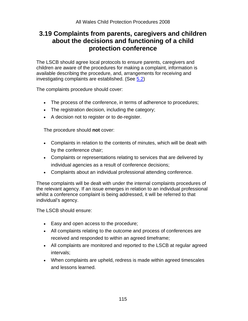## **3.19 Complaints from parents, caregivers and children about the decisions and functioning of a child protection conference**

The LSCB should agree local protocols to ensure parents, caregivers and children are aware of the procedures for making a complaint, information is available describing the procedure, and, arrangements for receiving and investigating complaints are established. (See 5.2)

The complaints procedure should cover:

- The process of the conference, in terms of adherence to procedures;
- The registration decision, including the category;
- A decision not to register or to de-register.

The procedure should **not** cover:

- Complaints in relation to the contents of minutes, which will be dealt with by the conference chair;
- Complaints or representations relating to services that are delivered by individual agencies as a result of conference decisions;
- Complaints about an individual professional attending conference.

These complaints will be dealt with under the internal complaints procedures of the relevant agency. If an issue emerges in relation to an individual professional whilst a conference complaint is being addressed, it will be referred to that individual's agency.

The LSCB should ensure:

- Easy and open access to the procedure;
- All complaints relating to the outcome and process of conferences are received and responded to within an agreed timeframe;
- All complaints are monitored and reported to the LSCB at regular agreed intervals;
- When complaints are upheld, redress is made within agreed timescales and lessons learned.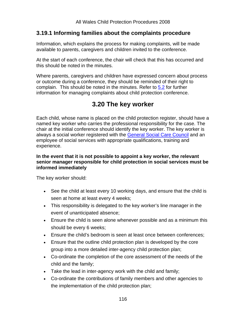#### **3.19.1 Informing families about the complaints procedure**

Information, which explains the process for making complaints, will be made available to parents, caregivers and children invited to the conference.

At the start of each conference, the chair will check that this has occurred and this should be noted in the minutes.

Where parents, caregivers and children have expressed concern about process or outcome during a conference, they should be reminded of their right to complain. This should be noted in the minutes. Refer to 5.2 for further information for managing complaints about child protection conference.

## **3.20 The key worker**

Each child, whose name is placed on the child protection register, should have a named key worker who carries the professional responsibility for the case. The chair at the initial conference should identify the key worker. The key worker is always a social worker registered with the [General Social Care Council](http://www.ccwales.org.uk/) and an employee of social services with appropriate qualifications, training and experience.

#### **In the event that it is not possible to appoint a key worker, the relevant senior manager responsible for child protection in social services must be informed immediately**

The key worker should:

- See the child at least every 10 working days, and ensure that the child is seen at home at least every 4 weeks;
- This responsibility is delegated to the key worker's line manager in the event of unanticipated absence;
- Ensure the child is seen alone whenever possible and as a minimum this should be every 6 weeks;
- Ensure the child's bedroom is seen at least once between conferences;
- Ensure that the outline child protection plan is developed by the core group into a more detailed inter-agency child protection plan;
- Co-ordinate the completion of the core assessment of the needs of the child and the family;
- Take the lead in inter-agency work with the child and family;
- Co-ordinate the contributions of family members and other agencies to the implementation of the child protection plan;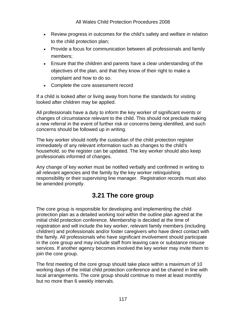- Review progress in outcomes for the child's safety and welfare in relation to the child protection plan;
- Provide a focus for communication between all professionals and family members;
- Ensure that the children and parents have a clear understanding of the objectives of the plan, and that they know of their right to make a complaint and how to do so.
- Complete the core assessment record

If a child is looked after or living away from home the standards for visiting looked after children may be applied.

All professionals have a duty to inform the key worker of significant events or changes of circumstance relevant to the child. This should not preclude making a new referral in the event of further risk or concerns being identified, and such concerns should be followed up in writing.

The key worker should notify the custodian of the child protection register immediately of any relevant information such as changes to the child's household, so the register can be updated. The key worker should also keep professionals informed of changes.

Any change of key worker must be notified verbally and confirmed in writing to all relevant agencies and the family by the key worker relinquishing responsibility or their supervising line manager. Registration records must also be amended promptly.

## **3.21 The core group**

The core group is responsible for developing and implementing the child protection plan as a detailed working tool within the outline plan agreed at the initial child protection conference. Membership is decided at the time of registration and will include the key worker, relevant family members (including children) and professionals and/or foster caregivers who have direct contact with the family. All professionals who have significant involvement should participate in the core group and may include staff from leaving care or substance misuse services. If another agency becomes involved the key worker may invite them to join the core group.

The first meeting of the core group should take place within a maximum of 10 working days of the initial child protection conference and be chaired in line with local arrangements. The core group should continue to meet at least monthly but no more than 6 weekly intervals.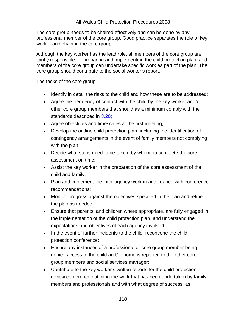The core group needs to be chaired effectively and can be done by any professional member of the core group. Good practice separates the role of key worker and chairing the core group.

Although the key worker has the lead role, all members of the core group are jointly responsible for preparing and implementing the child protection plan, and members of the core group can undertake specific work as part of the plan. The core group should contribute to the social worker's report.

The tasks of the core group:

- Identify in detail the risks to the child and how these are to be addressed;
- Agree the frequency of contact with the child by the key worker and/or other core group members that should as a minimum comply with the standards described in 3.20;
- Agree objectives and timescales at the first meeting;
- Develop the outline child protection plan, including the identification of contingency arrangements in the event of family members not complying with the plan;
- Decide what steps need to be taken, by whom, to complete the core assessment on time;
- Assist the key worker in the preparation of the core assessment of the child and family;
- Plan and implement the inter-agency work in accordance with conference recommendations;
- Monitor progress against the objectives specified in the plan and refine the plan as needed;
- Ensure that parents, and children where appropriate, are fully engaged in the implementation of the child protection plan, and understand the expectations and objectives of each agency involved;
- In the event of further incidents to the child, reconvene the child protection conference;
- Ensure any instances of a professional or core group member being denied access to the child and/or home is reported to the other core group members and social services manager;
- Contribute to the key worker's written reports for the child protection review conference outlining the work that has been undertaken by family members and professionals and with what degree of success, as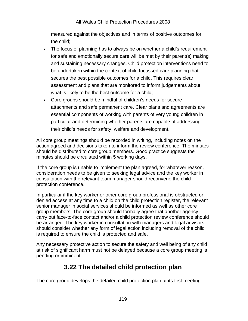measured against the objectives and in terms of positive outcomes for the child;

- The focus of planning has to always be on whether a child's requirement for safe and emotionally secure care will be met by their parent(s) making and sustaining necessary changes. Child protection interventions need to be undertaken within the context of child focussed care planning that secures the best possible outcomes for a child. This requires clear assessment and plans that are monitored to inform judgements about what is likely to be the best outcome for a child;
- Core groups should be mindful of children's needs for secure attachments and safe permanent care. Clear plans and agreements are essential components of working with parents of very young children in particular and determining whether parents are capable of addressing their child's needs for safety, welfare and development.

All core group meetings should be recorded in writing, including notes on the action agreed and decisions taken to inform the review conference. The minutes should be distributed to core group members. Good practice suggests the minutes should be circulated within 5 working days.

If the core group is unable to implement the plan agreed, for whatever reason, consideration needs to be given to seeking legal advice and the key worker in consultation with the relevant team manager should reconvene the child protection conference.

In particular if the key worker or other core group professional is obstructed or denied access at any time to a child on the child protection register, the relevant senior manager in social services should be informed as well as other core group members. The core group should formally agree that another agency carry out face-to-face contact and/or a child protection review conference should be arranged. The key worker in consultation with managers and legal advisors should consider whether any form of legal action including removal of the child is required to ensure the child is protected and safe.

Any necessary protective action to secure the safety and well being of any child at risk of significant harm must not be delayed because a core group meeting is pending or imminent.

## **3.22 The detailed child protection plan**

The core group develops the detailed child protection plan at its first meeting.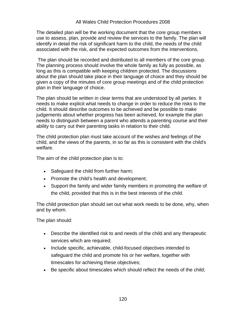The detailed plan will be the working document that the core group members use to assess, plan, provide and review the services to the family. The plan will identify in detail the risk of significant harm to the child, the needs of the child associated with the risk, and the expected outcomes from the interventions.

 The plan should be recorded and distributed to all members of the core group. The planning process should involve the whole family as fully as possible, as long as this is compatible with keeping children protected. The discussions about the plan should take place in their language of choice and they should be given a copy of the minutes of core group meetings and of the child protection plan in their language of choice.

The plan should be written in clear terms that are understood by all parties. It needs to make explicit what needs to change in order to reduce the risks to the child. It should describe outcomes to be achieved and be possible to make judgements about whether progress has been achieved, for example the plan needs to distinguish between a parent who attends a parenting course and their ability to carry out their parenting tasks in relation to their child.

The child protection plan must take account of the wishes and feelings of the child, and the views of the parents, in so far as this is consistent with the child's welfare.

The aim of the child protection plan is to:

- Safeguard the child from further harm;
- Promote the child's health and development;
- Support the family and wider family members in promoting the welfare of the child, provided that this is in the best interests of the child.

The child protection plan should set out what work needs to be done, why, when and by whom.

The plan should:

- Describe the identified risk to and needs of the child and any therapeutic services which are required;
- Include specific, achievable, child-focused objectives intended to safeguard the child and promote his or her welfare, together with timescales for achieving these objectives;
- Be specific about timescales which should reflect the needs of the child;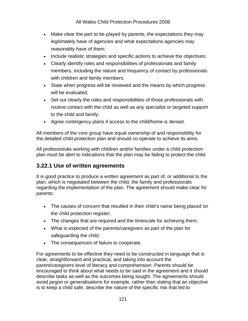- Make clear the part to be played by parents, the expectations they may legitimately have of agencies and what expectations agencies may reasonably have of them;
- Include realistic strategies and specific actions to achieve the objectives;
- Clearly identify roles and responsibilities of professionals and family members, including the nature and frequency of contact by professionals with children and family members;
- State when progress will be reviewed and the means by which progress will be evaluated;
- Set out clearly the roles and responsibilities of those professionals with routine contact with the child as well as any specialist or targeted support to the child and family;
- Agree contingency plans if access to the child/home is denied.

All members of the core group have equal ownership of and responsibility for the detailed child protection plan and should co-operate to achieve its aims.

All professionals working with children and/or families under a child protection plan must be alert to indications that the plan may be failing to protect the child.

## **3.22.1 Use of written agreements**

It is good practice to produce a written agreement as part of, or additional to the plan, which is negotiated between the child, the family and professionals regarding the implementation of the plan. The agreement should make clear for parents:

- The causes of concern that resulted in their child's name being placed on the child protection register;
- The changes that are required and the timescale for achieving them;
- What is expected of the parents/caregivers as part of the plan for safeguarding the child;
- The consequences of failure to cooperate.

For agreements to be effective they need to be constructed in language that is clear, straightforward and practical, and taking into account the parent/caregivers level of literacy and comprehension. Parents should be encouraged to think about what needs to be said in the agreement and it should describe tasks as well as the outcomes being sought. The agreements should avoid jargon or generalisations for example, rather than stating that an objective is to keep a child safe, describe the nature of the specific risk that led to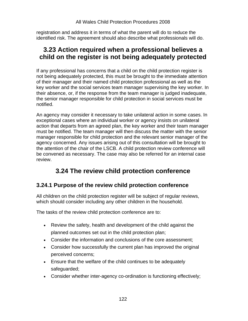registration and address it in terms of what the parent will do to reduce the identified risk. The agreement should also describe what professionals will do.

## **3.23 Action required when a professional believes a child on the register is not being adequately protected**

If any professional has concerns that a child on the child protection register is not being adequately protected, this must be brought to the immediate attention of their manager and their named child protection professional as well as the key worker and the social services team manager supervising the key worker. In their absence, or, if the response from the team manager is judged inadequate, the senior manager responsible for child protection in social services must be notified.

An agency may consider it necessary to take unilateral action in some cases. In exceptional cases where an individual worker or agency insists on unilateral action that departs from an agreed plan, the key worker and their team manager must be notified. The team manager will then discuss the matter with the senior manager responsible for child protection and the relevant senior manager of the agency concerned. Any issues arising out of this consultation will be brought to the attention of the chair of the LSCB. A child protection review conference will be convened as necessary. The case may also be referred for an internal case review.

## **3.24 The review child protection conference**

## **3.24.1 Purpose of the review child protection conference**

All children on the child protection register will be subject of regular reviews, which should consider including any other children in the household.

The tasks of the review child protection conference are to:

- Review the safety, health and development of the child against the planned outcomes set out in the child protection plan;
- Consider the information and conclusions of the core assessment;
- Consider how successfully the current plan has improved the original perceived concerns;
- Ensure that the welfare of the child continues to be adequately safeguarded;
- Consider whether inter-agency co-ordination is functioning effectively;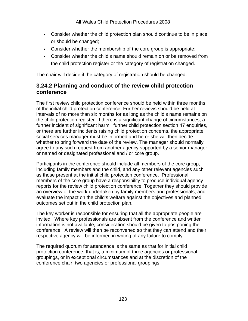- Consider whether the child protection plan should continue to be in place or should be changed;
- Consider whether the membership of the core group is appropriate;
- Consider whether the child's name should remain on or be removed from the child protection register or the category of registration changed.

The chair will decide if the category of registration should be changed.

### **3.24.2 Planning and conduct of the review child protection conference**

The first review child protection conference should be held within three months of the initial child protection conference. Further reviews should be held at intervals of no more than six months for as long as the child's name remains on the child protection register. If there is a significant change of circumstances, a further incident of significant harm, further child protection section 47 enquiries, or there are further incidents raising child protection concerns, the appropriate social services manager must be informed and he or she will then decide whether to bring forward the date of the review. The manager should normally agree to any such request from another agency supported by a senior manager or named or designated professional and / or core group.

Participants in the conference should include all members of the core group, including family members and the child, and any other relevant agencies such as those present at the initial child protection conference. Professional members of the core group have a responsibility to produce individual agency reports for the review child protection conference. Together they should provide an overview of the work undertaken by family members and professionals, and evaluate the impact on the child's welfare against the objectives and planned outcomes set out in the child protection plan.

The key worker is responsible for ensuring that all the appropriate people are invited. Where key professionals are absent from the conference and written information is not available, consideration should be given to postponing the conference. A review will then be reconvened so that they can attend and their respective agency will be informed in writing of any failure to comply.

The required quorum for attendance is the same as that for initial child protection conference, that is, a minimum of three agencies or professional groupings, or in exceptional circumstances and at the discretion of the conference chair, two agencies or professional groupings.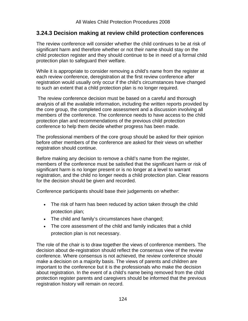#### **3.24.3 Decision making at review child protection conferences**

The review conference will consider whether the child continues to be at risk of significant harm and therefore whether or not their name should stay on the child protection register and they should continue to be in need of a formal child protection plan to safeguard their welfare.

While it is appropriate to consider removing a child's name from the register at each review conference, deregistration at the first review conference after registration would usually only occur if the child's circumstances have changed to such an extent that a child protection plan is no longer required.

 The review conference decision must be based on a careful and thorough analysis of all the available information, including the written reports provided by the core group, the completed core assessment and a discussion involving all members of the conference. The conference needs to have access to the child protection plan and recommendations of the previous child protection conference to help them decide whether progress has been made.

The professional members of the core group should be asked for their opinion before other members of the conference are asked for their views on whether registration should continue.

Before making any decision to remove a child's name from the register, members of the conference must be satisfied that the significant harm or risk of significant harm is no longer present or is no longer at a level to warrant registration, and the child no longer needs a child protection plan. Clear reasons for the decision should be given and recorded.

Conference participants should base their judgements on whether:

- The risk of harm has been reduced by action taken through the child protection plan;
- The child and family's circumstances have changed;
- The core assessment of the child and family indicates that a child protection plan is not necessary.

The role of the chair is to draw together the views of conference members. The decision about de-registration should reflect the consensus view of the review conference. Where consensus is not achieved, the review conference should make a decision on a majority basis. The views of parents and children are important to the conference but it is the professionals who make the decision about registration. In the event of a child's name being removed from the child protection register parents and caregivers should be informed that the previous registration history will remain on record.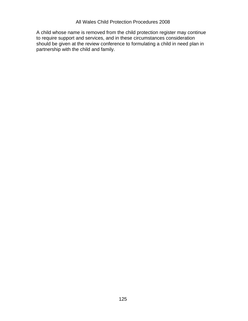A child whose name is removed from the child protection register may continue to require support and services, and in these circumstances consideration should be given at the review conference to formulating a child in need plan in partnership with the child and family.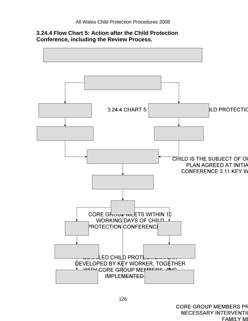## **3.24.4 Flow Chart 5: Action after the Child Protection Conference, including the Review Process.**

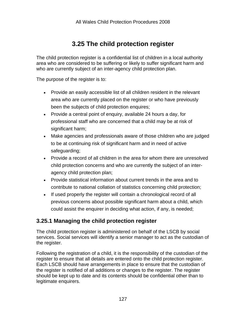## **3.25 The child protection register**

The child protection register is a confidential list of children in a local authority area who are considered to be suffering or likely to suffer significant harm and who are currently subject of an inter-agency child protection plan.

The purpose of the register is to:

- Provide an easily accessible list of all children resident in the relevant area who are currently placed on the register or who have previously been the subjects of child protection enquires;
- Provide a central point of enquiry, available 24 hours a day, for professional staff who are concerned that a child may be at risk of significant harm;
- Make agencies and professionals aware of those children who are judged to be at continuing risk of significant harm and in need of active safeguarding;
- Provide a record of all children in the area for whom there are unresolved child protection concerns and who are currently the subject of an interagency child protection plan;
- Provide statistical information about current trends in the area and to contribute to national collation of statistics concerning child protection;
- If used properly the register will contain a chronological record of all previous concerns about possible significant harm about a child, which could assist the enquirer in deciding what action, if any, is needed;

### **3.25.1 Managing the child protection register**

The child protection register is administered on behalf of the LSCB by social services. Social services will identify a senior manager to act as the custodian of the register.

Following the registration of a child, it is the responsibility of the custodian of the register to ensure that all details are entered onto the child protection register. Each LSCB should have arrangements in place to ensure that the custodian of the register is notified of all additions or changes to the register. The register should be kept up to date and its contents should be confidential other than to legitimate enquirers.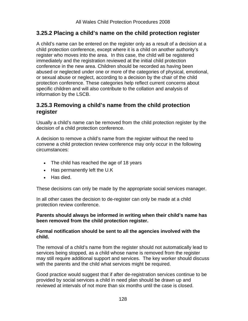### **3.25.2 Placing a child's name on the child protection register**

A child's name can be entered on the register only as a result of a decision at a child protection conference, except where it is a child on another authority's register who moves into the area. In this case, the child will be registered immediately and the registration reviewed at the initial child protection conference in the new area. Children should be recorded as having been abused or neglected under one or more of the categories of physical, emotional, or sexual abuse or neglect, according to a decision by the chair of the child protection conference. These categories help reflect current concerns about specific children and will also contribute to the collation and analysis of information by the LSCB.

#### **3.25.3 Removing a child's name from the child protection register**

Usually a child's name can be removed from the child protection register by the decision of a child protection conference.

A decision to remove a child's name from the register without the need to convene a child protection review conference may only occur in the following circumstances:

- The child has reached the age of 18 years
- Has permanently left the U.K
- Has died.

These decisions can only be made by the appropriate social services manager.

In all other cases the decision to de-register can only be made at a child protection review conference.

**Parents should always be informed in writing when their child's name has been removed from the child protection register.** 

#### **Formal notification should be sent to all the agencies involved with the child.**

The removal of a child's name from the register should not automatically lead to services being stopped, as a child whose name is removed from the register may still require additional support and services. The key worker should discuss with the parents and the child what services might be required.

Good practice would suggest that if after de-registration services continue to be provided by social services a child in need plan should be drawn up and reviewed at intervals of not more than six months until the case is closed.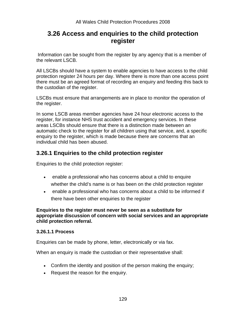## **3.26 Access and enquiries to the child protection register**

 Information can be sought from the register by any agency that is a member of the relevant LSCB.

All LSCBs should have a system to enable agencies to have access to the child protection register 24 hours per day. Where there is more than one access point there must be an agreed format of recording an enquiry and feeding this back to the custodian of the register.

LSCBs must ensure that arrangements are in place to monitor the operation of the register.

In some LSCB areas member agencies have 24 hour electronic access to the register, for instance NHS trust accident and emergency services. In these areas LSCBs should ensure that there is a distinction made between an automatic check to the register for all children using that service, and, a specific enquiry to the register, which is made because there are concerns that an individual child has been abused.

### **3.26.1 Enquiries to the child protection register**

Enquiries to the child protection register:

- enable a professional who has concerns about a child to enquire whether the child's name is or has been on the child protection register
- enable a professional who has concerns about a child to be informed if there have been other enquiries to the register

**Enquiries to the register must never be seen as a substitute for appropriate discussion of concern with social services and an appropriate child protection referral.** 

#### **3.26.1.1 Process**

Enquiries can be made by phone, letter, electronically or via fax.

When an enquiry is made the custodian or their representative shall:

- Confirm the identity and position of the person making the enquiry;
- Request the reason for the enquiry.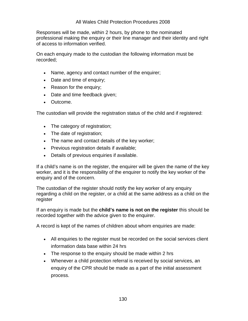Responses will be made, within 2 hours, by phone to the nominated professional making the enquiry or their line manager and their identity and right of access to information verified.

On each enquiry made to the custodian the following information must be recorded;

- Name, agency and contact number of the enquirer;
- Date and time of enquiry;
- Reason for the enquiry;
- Date and time feedback given;
- Outcome.

The custodian will provide the registration status of the child and if registered:

- The category of registration;
- The date of registration;
- The name and contact details of the key worker;
- Previous registration details if available;
- Details of previous enquiries if available.

If a child's name is on the register, the enquirer will be given the name of the key worker, and it is the responsibility of the enquirer to notify the key worker of the enquiry and of the concern.

The custodian of the register should notify the key worker of any enquiry regarding a child on the register, or a child at the same address as a child on the register

If an enquiry is made but the **child's name is not on the register** this should be recorded together with the advice given to the enquirer.

A record is kept of the names of children about whom enquiries are made:

- All enquiries to the register must be recorded on the social services client information data base within 24 hrs
- The response to the enquiry should be made within 2 hrs
- Whenever a child protection referral is received by social services, an enquiry of the CPR should be made as a part of the initial assessment process.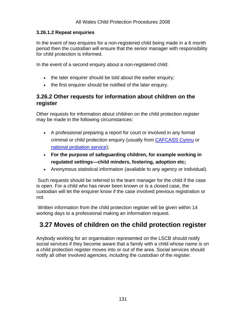#### **3.26.1.2 Repeat enquiries**

In the event of two enquires for a non-registered child being made in a 6 month period then the custodian will ensure that the senior manager with responsibility for child protection is informed.

In the event of a second enquiry about a non-registered child:

- the later enquirer should be told about the earlier enquiry;
- the first enquirer should be notified of the later enquiry.

### **3.26.2 Other requests for information about children on the register**

Other requests for information about children on the child protection register may be made in the following circumstances:

- A professional preparing a report for court or involved in any formal criminal or child protection enquiry (usually from [CAFCASS Cymru](http://wales.gov.uk/cafcasscymru/home/?lang=en) or [national probation service\);](http://www.probation.homeoffice.gov.uk/output/Page1.asp)
- **For the purpose of safeguarding children, for example working in regulated settings—child minders, fostering, adoption etc;**
- Anonymous statistical information (available to any agency or individual).

 Such requests should be referred to the team manager for the child if the case is open. For a child who has never been known or is a closed case, the custodian will let the enquirer know if the case involved previous registration or not.

 Written information from the child protection register will be given within 14 working days to a professional making an information request.

## **3.27 Moves of children on the child protection register**

Anybody working for an organisation represented on the LSCB should notify social services if they become aware that a family with a child whose name is on a child protection register moves into or out of the area. Social services should notify all other involved agencies, including the custodian of the register.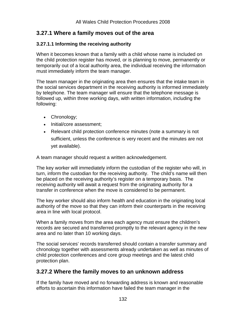### **3.27.1 Where a family moves out of the area**

#### **3.27.1.1 Informing the receiving authority**

When it becomes known that a family with a child whose name is included on the child protection register has moved, or is planning to move, permanently or temporarily out of a local authority area, the individual receiving the information must immediately inform the team manager.

The team manager in the originating area then ensures that the intake team in the social services department in the receiving authority is informed immediately by telephone. The team manager will ensure that the telephone message is followed up, within three working days, with written information, including the following:

- Chronology;
- Initial/core assessment;
- Relevant child protection conference minutes (note a summary is not sufficient, unless the conference is very recent and the minutes are not yet available).

A team manager should request a written acknowledgement.

The key worker will immediately inform the custodian of the register who will, in turn, inform the custodian for the receiving authority. The child's name will then be placed on the receiving authority's register on a temporary basis. The receiving authority will await a request from the originating authority for a transfer in conference when the move is considered to be permanent.

The key worker should also inform health and education in the originating local authority of the move so that they can inform their counterparts in the receiving area in line with local protocol.

When a family moves from the area each agency must ensure the children's records are secured and transferred promptly to the relevant agency in the new area and no later than 10 working days.

The social services' records transferred should contain a transfer summary and chronology together with assessments already undertaken as well as minutes of child protection conferences and core group meetings and the latest child protection plan.

### **3.27.2 Where the family moves to an unknown address**

If the family have moved and no forwarding address is known and reasonable efforts to ascertain this information have failed the team manager in the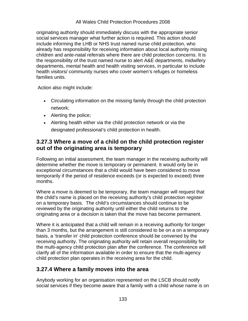originating authority should immediately discuss with the appropriate senior social services manager what further action is required. This action should include informing the LHB or NHS trust named nurse child protection, who already has responsibility for receiving information about local authority missing children and ante-natal referrals where there are child protection concerns. It is the responsibility of the trust named nurse to alert A&E departments, midwifery departments, mental health and health visiting services, in particular to include health visitors/ community nurses who cover women's refuges or homeless families units.

Action also might include:

- Circulating information on the missing family through the child protection network;
- Alerting the police;
- Alerting health either via the child protection network or via the designated professional's child protection in health.

### **3.27.3 Where a move of a child on the child protection register out of the originating area is temporary**

Following an initial assessment, the team manager in the receiving authority will determine whether the move is temporary or permanent. It would only be in exceptional circumstances that a child would have been considered to move temporarily if the period of residence exceeds (or is expected to exceed) three months.

Where a move is deemed to be temporary, the team manager will request that the child's name is placed on the receiving authority's child protection register on a temporary basis. The child's circumstances should continue to be reviewed by the originating authority until either the child returns to the originating area or a decision is taken that the move has become permanent.

Where it is anticipated that a child will remain in a receiving authority for longer than 3 months, but the arrangement is still considered to be on a on a temporary basis, a 'transfer in' child protection conference should be convened by the receiving authority. The originating authority will retain overall responsibility for the multi-agency child protection plan after the conference. The conference will clarify all of the information available in order to ensure that the multi-agency child protection plan operates in the receiving area for the child.

### **3.27.4 Where a family moves into the area**

Anybody working for an organisation represented on the LSCB should notify social services if they become aware that a family with a child whose name is on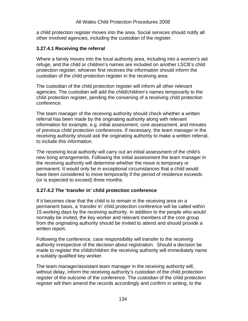a child protection register moves into the area. Social services should notify all other involved agencies, including the custodian of the register.

#### **3.27.4.1 Receiving the referral**

Where a family moves into the local authority area, including into a women's aid refuge, and the child or children's names are included on another LSCB's child protection register, whoever first receives the information should inform the custodian of the child protection register in the receiving area.

The custodian of the child protection register will inform all other relevant agencies. The custodian will add the child/children's names temporarily to the child protection register, pending the convening of a receiving child protection conference.

The team manager of the receiving authority should check whether a written referral has been made by the originating authority along with relevant information for example, e.g. initial assessment, core assessment, and minutes of previous child protection conferences. If necessary, the team manager in the receiving authority should ask the originating authority to make a written referral, to include this information.

The receiving local authority will carry out an initial assessment of the child's new living arrangements. Following the initial assessment the team manager in the receiving authority will determine whether the move is temporary or permanent. It would only be in exceptional circumstances that a child would have been considered to move temporarily if the period of residence exceeds (or is expected to exceed) three months.

#### **3.27.4.2 The 'transfer in' child protection conference**

If it becomes clear that the child is to remain in the receiving area on a permanent basis, a 'transfer in' child protection conference will be called within 15 working days by the receiving authority. In addition to the people who would normally be invited, the key worker and relevant members of the core group from the originating authority should be invited to attend and should provide a written report.

Following the conference, case responsibility will transfer to the receiving authority irrespective of the decision about registration. Should a decision be made to register the child/children the receiving authority will immediately name a suitably qualified key worker.

The team manager/assistant team manager in the receiving authority will, without delay, inform the receiving authority's custodian of the child protection register of the outcome of the conference. The custodian of the child protection register will then amend the records accordingly and confirm in writing, to the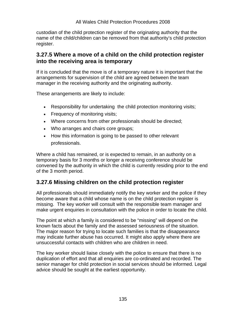custodian of the child protection register of the originating authority that the name of the child/children can be removed from that authority's child protection register.

### **3.27.5 Where a move of a child on the child protection register into the receiving area is temporary**

If it is concluded that the move is of a temporary nature it is important that the arrangements for supervision of the child are agreed between the team manager in the receiving authority and the originating authority.

These arrangements are likely to include:

- Responsibility for undertaking the child protection monitoring visits;
- Frequency of monitoring visits;
- Where concerns from other professionals should be directed;
- Who arranges and chairs core groups;
- How this information is going to be passed to other relevant professionals.

Where a child has remained, or is expected to remain, in an authority on a temporary basis for 3 months or longer a receiving conference should be convened by the authority in which the child is currently residing prior to the end of the 3 month period.

## **3.27.6 Missing children on the child protection register**

All professionals should immediately notify the key worker and the police if they become aware that a child whose name is on the child protection register is missing. The key worker will consult with the responsible team manager and make urgent enquiries in consultation with the police in order to locate the child.

The point at which a family is considered to be "missing" will depend on the known facts about the family and the assessed seriousness of the situation. The major reason for trying to locate such families is that the disappearance may indicate further abuse has occurred. It might also apply where there are unsuccessful contacts with children who are children in need.

The key worker should liaise closely with the police to ensure that there is no duplication of effort and that all enquiries are co-ordinated and recorded. The senior manager for child protection in social services should be informed. Legal advice should be sought at the earliest opportunity.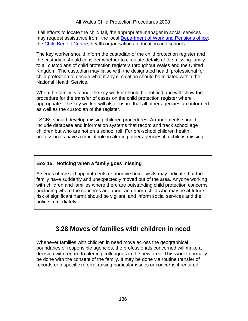If all efforts to locate the child fail, the appropriate manager in social services may request assistance from: the local [Department of Work and Pensions office;](http://www.dwp.gov.uk/)  the [Child Benefit Centre;](http://www.hmrc.gov.uk/childbenefit/index.htm) health organisations, education and schools.

The key worker should inform the custodian of the child protection register and the custodian should consider whether to circulate details of the missing family to all custodians of child protection registers throughout Wales and the United Kingdom. The custodian may liaise with the designated health professional for child protection to decide what if any circulation should be initiated within the National Health Service.

When the family is found, the key worker should be notified and will follow the procedure for the transfer of cases on the child protection register where appropriate. The key worker will also ensure that all other agencies are informed as well as the custodian of the register.

LSCBs should develop missing children procedures. Arrangements should include database and information systems that record and track school age children but who are not on a school roll. For pre-school children health professionals have a crucial role in alerting other agencies if a child is missing.

#### **Box 15: Noticing when a family goes missing**

A series of missed appointments or abortive home visits may indicate that the family have suddenly and unexpectedly moved out of the area. Anyone working with children and families where there are outstanding child protection concerns (including where the concerns are about an unborn child who may be at future risk of significant harm) should be vigilant, and inform social services and the police immediately.

## **3.28 Moves of families with children in need**

Whenever families with children in need move across the geographical boundaries of responsible agencies, the professionals concerned will make a decision with regard to alerting colleagues in the new area. This would normally be done with the consent of the family. It may be done via routine transfer of records or a specific referral raising particular issues or concerns if required.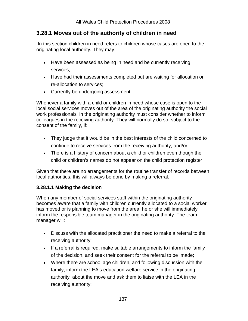### **3.28.1 Moves out of the authority of children in need**

 In this section children in need refers to children whose cases are open to the originating local authority. They may:

- Have been assessed as being in need and be currently receiving services;
- Have had their assessments completed but are waiting for allocation or re-allocation to services;
- Currently be undergoing assessment.

Whenever a family with a child or children in need whose case is open to the local social services moves out of the area of the originating authority the social work professionals in the originating authority must consider whether to inform colleagues in the receiving authority. They will normally do so, subject to the consent of the family, if:

- They judge that it would be in the best interests of the child concerned to continue to receive services from the receiving authority; and/or,
- There is a history of concern about a child or children even though the child or children's names do not appear on the child protection register.

Given that there are no arrangements for the routine transfer of records between local authorities, this will always be done by making a referral.

#### **3.28.1.1 Making the decision**

When any member of social services staff within the originating authority becomes aware that a family with children currently allocated to a social worker has moved or is planning to move from the area, he or she will immediately inform the responsible team manager in the originating authority. The team manager will:

- Discuss with the allocated practitioner the need to make a referral to the receiving authority;
- If a referral is required, make suitable arrangements to inform the family of the decision, and seek their consent for the referral to be made;
- Where there are school age children, and following discussion with the family, inform the LEA's education welfare service in the originating authority about the move and ask them to liaise with the LEA in the receiving authority;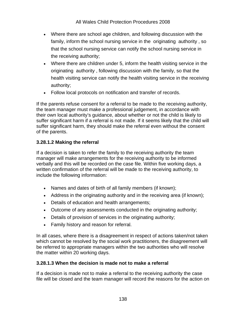- Where there are school age children, and following discussion with the family, inform the school nursing service in the originating authority , so that the school nursing service can notify the school nursing service in the receiving authority;
- Where there are children under 5, inform the health visiting service in the originating authority , following discussion with the family, so that the health visiting service can notify the health visiting service in the receiving authority;
- Follow local protocols on notification and transfer of records.

If the parents refuse consent for a referral to be made to the receiving authority, the team manager must make a professional judgement, in accordance with their own local authority's guidance, about whether or not the child is likely to suffer significant harm if a referral is not made. If it seems likely that the child will suffer significant harm, they should make the referral even without the consent of the parents.

#### **3.28.1.2 Making the referral**

If a decision is taken to refer the family to the receiving authority the team manager will make arrangements for the receiving authority to be informed verbally and this will be recorded on the case file. Within five working days, a written confirmation of the referral will be made to the receiving authority, to include the following information:

- Names and dates of birth of all family members (if known);
- Address in the originating authority and in the receiving area (if known);
- Details of education and health arrangements;
- Outcome of any assessments conducted in the originating authority;
- Details of provision of services in the originating authority;
- Family history and reason for referral.

In all cases, where there is a disagreement in respect of actions taken/not taken which cannot be resolved by the social work practitioners, the disagreement will be referred to appropriate managers within the two authorities who will resolve the matter within 20 working days.

#### **3.28.1.3 When the decision is made not to make a referral**

If a decision is made not to make a referral to the receiving authority the case file will be closed and the team manager will record the reasons for the action on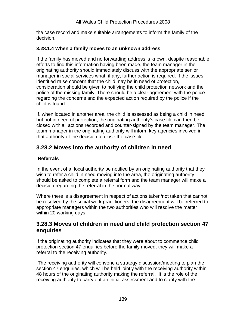the case record and make suitable arrangements to inform the family of the decision.

#### **3.28.1.4 When a family moves to an unknown address**

If the family has moved and no forwarding address is known, despite reasonable efforts to find this information having been made, the team manager in the originating authority should immediately discuss with the appropriate senior manager in social services what, if any, further action is required. If the issues identified raise concern that the child may be in need of protection, consideration should be given to notifying the child protection network and the police of the missing family. There should be a clear agreement with the police regarding the concerns and the expected action required by the police if the child is found.

If, when located in another area, the child is assessed as being a child in need but not in need of protection, the originating authority's case file can then be closed with all actions recorded and counter-signed by the team manager. The team manager in the originating authority will inform key agencies involved in that authority of the decision to close the case file.

### **3.28.2 Moves into the authority of children in need**

#### **Referrals**

In the event of a local authority be notified by an originating authority that they wish to refer a child in need moving into the area, the originating authority should be asked to complete a referral form and the team manager will make a decision regarding the referral in the normal way.

Where there is a disagreement in respect of actions taken/not taken that cannot be resolved by the social work practitioners, the disagreement will be referred to appropriate managers within the two authorities who will resolve the matter within 20 working days.

### **3.28.3 Moves of children in need and child protection section 47 enquiries**

If the originating authority indicates that they were about to commence child protection section 47 enquiries before the family moved, they will make a referral to the receiving authority.

 The receiving authority will convene a strategy discussion/meeting to plan the section 47 enquiries, which will be held jointly with the receiving authority within 48 hours of the originating authority making the referral. It is the role of the receiving authority to carry out an initial assessment and to clarify with the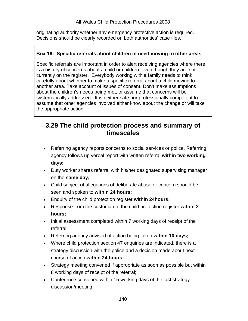originating authority whether any emergency protective action is required. Decisions should be clearly recorded on both authorities' case files.

#### **Box 16: Specific referrals about children in need moving to other areas**

Specific referrals are important in order to alert receiving agencies where there is a history of concerns about a child or children, even though they are not currently on the register. Everybody working with a family needs to think carefully about whether to make a specific referral about a child moving to another area. Take account of issues of consent. Don't make assumptions about the children's needs being met, or assume that concerns will be systematically addressed. It is neither safe nor professionally competent to assume that other agencies involved either know about the change or will take the appropriate action.

## **3.29 The child protection process and summary of timescales**

- Referring agency reports concerns to social services or police. Referring agency follows up verbal report with written referral **within two working days;**
- Duty worker shares referral with his/her designated supervising manager on the **same day;**
- Child subject of allegations of deliberate abuse or concern should be seen and spoken to **within 24 hours;**
- Enquiry of the child protection register **within 24hours;**
- Response from the custodian of the child protection register **within 2 hours;**
- Initial assessment completed within 7 working days of receipt of the referral;
- Referring agency advised of action being taken **within 10 days;**
- Where child protection section 47 enquiries are indicated, there is a strategy discussion with the police and a decision made about next course of action **within 24 hours;**
- Strategy meeting convened if appropriate as soon as possible but within 8 working days of receipt of the referral;
- Conference convened within 15 working days of the last strategy discussion/meeting;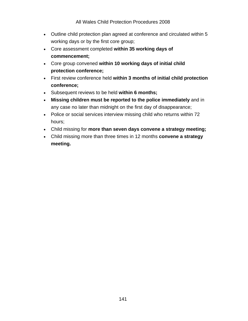- Outline child protection plan agreed at conference and circulated within 5 working days or by the first core group;
- Core assessment completed **within 35 working days of commencement;**
- Core group convened **within 10 working days of initial child protection conference;**
- First review conference held **within 3 months of initial child protection conference;**
- Subsequent reviews to be held **within 6 months;**
- **Missing children must be reported to the police immediately** and in any case no later than midnight on the first day of disappearance;
- Police or social services interview missing child who returns within 72 hours;
- Child missing for **more than seven days convene a strategy meeting;**
- Child missing more than three times in 12 months **convene a strategy meeting.**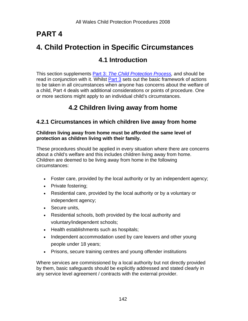## **PART 4**

# **4. Child Protection in Specific Circumstances**

## **4.1 Introduction**

This section supplements Part 3: *The Child Protection Process,* and should be read in conjunction with it. Whilst Part 3 sets out the basic framework of actions to be taken in all circumstances when anyone has concerns about the welfare of a child, Part 4 deals with additional considerations or points of procedure. One or more sections might apply to an individual child's circumstances.

## **4.2 Children living away from home**

## **4.2.1 Circumstances in which children live away from home**

#### **Children living away from home must be afforded the same level of protection as children living with their family.**

These procedures should be applied in every situation where there are concerns about a child's welfare and this includes children living away from home. Children are deemed to be living away from home in the following circumstances:

- Foster care, provided by the local authority or by an independent agency;
- Private fostering;
- Residential care, provided by the local authority or by a voluntary or independent agency;
- Secure units,
- Residential schools, both provided by the local authority and voluntary/independent schools;
- Health establishments such as hospitals;
- Independent accommodation used by care leavers and other young people under 18 years;
- Prisons, secure training centres and young offender institutions

Where services are commissioned by a local authority but not directly provided by them, basic safeguards should be explicitly addressed and stated clearly in any service level agreement / contracts with the external provider.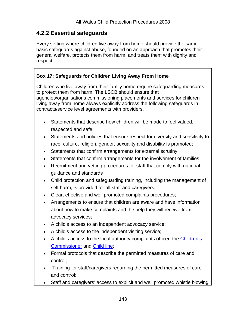### **4.2.2 Essential safeguards**

Every setting where children live away from home should provide the same basic safeguards against abuse, founded on an approach that promotes their general welfare, protects them from harm, and treats them with dignity and respect.

#### **Box 17: Safeguards for Children Living Away From Home**

Children who live away from their family home require safeguarding measures to protect them from harm. The LSCB should ensure that agencies/organisations commissioning placements and services for children living away from home always explicitly address the following safeguards in contracts/service level agreements with providers.

- Statements that describe how children will be made to feel valued, respected and safe;
- Statements and policies that ensure respect for diversity and sensitivity to race, culture, religion, gender, sexuality and disability is promoted;
- Statements that confirm arrangements for external scrutiny;
- Statements that confirm arrangements for the involvement of families;
- Recruitment and vetting procedures for staff that comply with national guidance and standards
- Child protection and safeguarding training, including the management of self harm, is provided for all staff and caregivers;
- Clear, effective and well promoted complaints procedures;
- Arrangements to ensure that children are aware and have information about how to make complaints and the help they will receive from advocacy services;
- A child's access to an independent advocacy service;
- A child's access to the independent visiting service;
- [A child's access to the local authority complaints officer, the Children's](http://www.childcom.org.uk/)  Commissioner and [Child line;](http://www.childline.org.uk/pages/home.aspx)
- Formal protocols that describe the permitted measures of care and control;
- Training for staff/caregivers regarding the permitted measures of care and control;
- Staff and caregivers' access to explicit and well promoted whistle blowing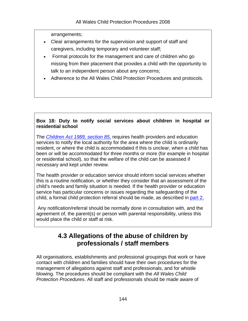arrangements;

- Clear arrangements for the supervision and support of staff and caregivers, including temporary and volunteer staff;
- Formal protocols for the management and care of children who go missing from their placement that provides a child with the opportunity to talk to an independent person about any concerns;
- Adherence to the All Wales Child Protection Procedures and protocols.

#### **Box 18: Duty to notify social services about children in hospital or residential school**

The *[Children Act 1989, section 85](http://www.opsi.gov.uk/Acts/acts1989/ukpga_19890041_en_12)*, requires health providers and education services to notify the local authority for the area where the child is ordinarily resident, or where the child is accommodated if this is unclear, when a child has been or will be accommodated for three months or more (for example in hospital or residential school), so that the welfare of the child can be assessed if necessary and kept under review.

The health provider or education service should inform social services whether this is a routine notification, or whether they consider that an assessment of the child's needs and family situation is needed. If the health provider or education service has particular concerns or issues regarding the safeguarding of the child, a formal child protection referral should be made, as described in part 2.

 Any notification/referral should be normally done in consultation with, and the agreement of, the parent(s) or person with parental responsibility, unless this would place the child or staff at risk.

## **4.3 Allegations of the abuse of children by professionals / staff members**

All organisations, establishments and professional groupings that work or have contact with children and families should have their own procedures for the management of allegations against staff and professionals, and for whistle blowing. The procedures should be compliant with the *All Wales Child Protection Procedures*. All staff and professionals should be made aware of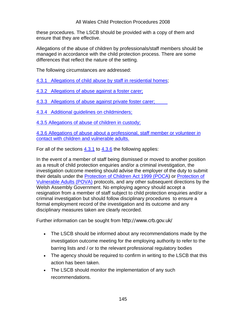these procedures. The LSCB should be provided with a copy of them and ensure that they are effective.

Allegations of the abuse of children by professionals/staff members should be managed in accordance with the child protection process. There are some differences that reflect the nature of the setting.

The following circumstances are addressed:

4.3.1 Allegations of child abuse by staff in residential homes;

4.3.2 Allegations of abuse against a foster carer;

4.3.3 Allegations of abuse against private foster carer;

4.3.4 Additional guidelines on childminders;

4.3.5 Allegations of abuse of children in custody;

4.3.6 Allegations of abuse about a professional, staff member or volunteer in contact with children and vulnerable adults.

For all of the sections  $4.3.1$  to  $4.3.6$  the following applies:

In the event of a member of staff being dismissed or moved to another position as a result of child protection enquiries and/or a criminal investigation, the investigation outcome meeting should advise the employer of the duty to submit [their details under the P](http://www.dh.gov.uk/en/Publicationsandstatistics/Publications/PublicationsPolicyAndGuidance/DH_4085855)[rotection of Children Act 1999 \(POCA](http://www.opsi.gov.uk/Acts/acts1999/en/ukpgaen_19990014_en_1)[\) or Protection of](http://www.dh.gov.uk/en/Publicationsandstatistics/Publications/PublicationsPolicyAndGuidance/DH_4085855)  Vulnerable Adults (POVA) protocols, and any other subsequent directions by the Welsh Assembly Government. No employing agency should accept a resignation from a member of staff subject to child protection enquiries and/or a criminal investigation but should follow disciplinary procedures to ensure a formal employment record of the investigation and its outcome and any disciplinary measures taken are clearly recorded.

Further information can be sought from http://www.crb.gov.uk/

- The LSCB should be informed about any recommendations made by the investigation outcome meeting for the employing authority to refer to the barring lists and / or to the relevant professional regulatory bodies
- The agency should be required to confirm in writing to the LSCB that this action has been taken.
- The LSCB should monitor the implementation of any such recommendations.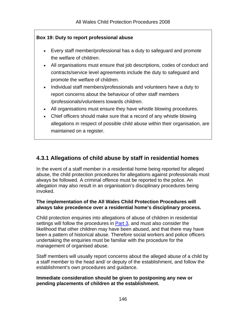### **Box 19: Duty to report professional abuse**

- Every staff member/professional has a duty to safeguard and promote the welfare of children.
- All organisations must ensure that job descriptions, codes of conduct and contracts/service level agreements include the duty to safeguard and promote the welfare of children.
- Individual staff members/professionals and volunteers have a duty to report concerns about the behaviour of other staff members /professionals/volunteers towards children.
- All organisations must ensure they have whistle blowing procedures.
- Chief officers should make sure that a record of any whistle blowing allegations in respect of possible child abuse within their organisation, are maintained on a register.

## **4.3.1 Allegations of child abuse by staff in residential homes**

In the event of a staff member in a residential home being reported for alleged abuse, the child protection procedures for allegations against professionals must always be followed. A criminal offence must be reported to the police. An allegation may also result in an organisation's disciplinary procedures being invoked.

#### **The implementation of the All Wales Child Protection Procedures will always take precedence over a residential home's disciplinary process.**

Child protection enquiries into allegations of abuse of children in residential settings will follow the procedures in Part 3, and must also consider the likelihood that other children may have been abused, and that there may have been a pattern of historical abuse. Therefore social workers and police officers undertaking the enquiries must be familiar with the procedure for the management of organised abuse.

Staff members will usually report concerns about the alleged abuse of a child by a staff member to the head and/ or deputy of the establishment, and follow the establishment's own procedures and guidance.

#### **Immediate consideration should be given to postponing any new or pending placements of children at the establishment.**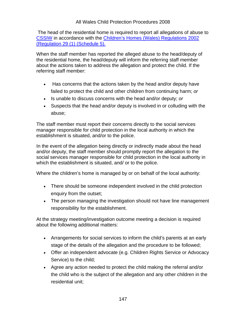The head of the residential home is required to report all allegations of abuse to [CSSIW in accordance with the Children's Homes \(Wales\) Regulations 2002](http://www.opsi.gov.uk/legislation/wales/wsi2002/20020327e.htm) (Regulation 29 (1) (Schedule 5).

When the staff member has reported the alleged abuse to the head/deputy of the residential home, the head/deputy will inform the referring staff member about the actions taken to address the allegation and protect the child. If the referring staff member:

- Has concerns that the actions taken by the head and/or deputy have failed to protect the child and other children from continuing harm; *or*
- Is unable to discuss concerns with the head and/or deputy; *or*
- Suspects that the head and/or deputy is involved in or colluding with the abuse;

The staff member must report their concerns directly to the social services manager responsible for child protection in the local authority in which the establishment is situated, and/or to the police.

In the event of the allegation being directly or indirectly made about the head and/or deputy, the staff member should promptly report the allegation to the social services manager responsible for child protection in the local authority in which the establishment is situated, and/ or to the police.

Where the children's home is managed by or on behalf of the local authority:

- There should be someone independent involved in the child protection enquiry from the outset;
- The person managing the investigation should not have line management responsibility for the establishment.

At the strategy meeting/investigation outcome meeting a decision is required about the following additional matters:

- Arrangements for social services to inform the child's parents at an early stage of the details of the allegation and the procedure to be followed;
- Offer an independent advocate (e.g. Children Rights Service or Advocacy Service) to the child;
- Agree any action needed to protect the child making the referral and/or the child who is the subject of the allegation and any other children in the residential unit;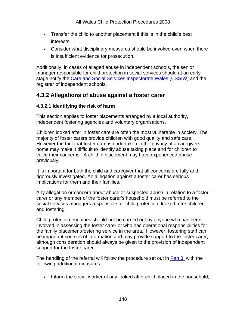- Transfer the child to another placement if this is in the child's best interests;
- Consider what disciplinary measures should be invoked even when there is insufficient evidence for prosecution.

Additionally, in cases of alleged abuse in independent schools, the senior manager responsible for child protection in social services should at an early stage notify the [Care and Social Services Inspectorate Wales \(CSSIW\)](http://wales.gov.uk/cssiwsubsite/newcssiw/?lang=en) and the registrar of independent schools.

## **4.3.2 Allegations of abuse against a foster carer**

### **4.3.2.1 Identifying the risk of harm**

This section applies to foster placements arranged by a local authority, independent fostering agencies and voluntary organisations.

Children looked after in foster care are often the most vulnerable in society. The majority of foster carers provide children with good quality and safe care. However the fact that foster care is undertaken in the privacy of a caregivers home may make it difficult to identify abuse taking place and for children to voice their concerns. A child in placement may have experienced abuse previously.

It is important for both the child and caregiver that all concerns are fully and rigorously investigated. An allegation against a foster carer has serious implications for them and their families.

Any allegation or concern about abuse or suspected abuse in relation to a foster carer or any member of the foster carer's household must be referred to the social services managers responsible for child protection, looked after children and fostering.

Child protection enquiries should not be carried out by anyone who has been involved in assessing the foster carer or who has operational responsibilities for the family placement/fostering service in the area. However, fostering staff can be important sources of information and may provide support to the foster carer, although consideration should always be given to the provision of independent support for the foster carer.

The handling of the referral will follow the procedure set out in **Part 3**, with the following additional measures:

• Inform the social worker of any looked after child placed in the household;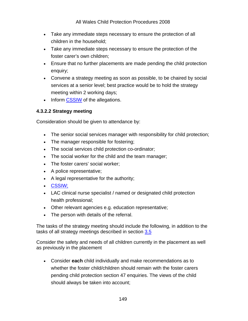- Take any immediate steps necessary to ensure the protection of all children in the household;
- Take any immediate steps necessary to ensure the protection of the foster carer's own children;
- Ensure that no further placements are made pending the child protection enquiry;
- Convene a strategy meeting as soon as possible, to be chaired by social services at a senior level; best practice would be to hold the strategy meeting within 2 working days;
- Inform [CSSIW](http://wales.gov.uk/cssiwsubsite/newcssiw/?lang=en) of the allegations.

### **4.3.2.2 Strategy meeting**

Consideration should be given to attendance by:

- The senior social services manager with responsibility for child protection;
- The manager responsible for fostering;
- The social services child protection co-ordinator;
- The social worker for the child and the team manager;
- The foster carers' social worker:
- A police representative;
- A legal representative for the authority;
- [CSSIW](http://wales.gov.uk/cssiwsubsite/newcssiw/?lang=en);
- LAC clinical nurse specialist / named or designated child protection health professional;
- Other relevant agencies e.g. education representative;
- The person with details of the referral.

The tasks of the strategy meeting should include the following, in addition to the tasks of all strategy meetings described in section 3.5

Consider the safety and needs of all children currently in the placement as well as previously in the placement

• Consider **each** child individually and make recommendations as to whether the foster child/children should remain with the foster carers pending child protection section 47 enquiries. The views of the child should always be taken into account;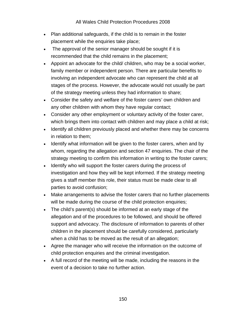- Plan additional safeguards, if the child is to remain in the foster placement while the enquiries take place;
- The approval of the senior manager should be sought if it is recommended that the child remains in the placement;
- Appoint an advocate for the child/ children, who may be a social worker, family member or independent person. There are particular benefits to involving an independent advocate who can represent the child at all stages of the process. However, the advocate would not usually be part of the strategy meeting unless they had information to share;
- Consider the safety and welfare of the foster carers' own children and any other children with whom they have regular contact;
- Consider any other employment or voluntary activity of the foster carer, which brings them into contact with children and may place a child at risk;
- Identify all children previously placed and whether there may be concerns in relation to them;
- Identify what information will be given to the foster carers, when and by whom, regarding the allegation and section 47 enquiries. The chair of the strategy meeting to confirm this information in writing to the foster carers;
- Identify who will support the foster carers during the process of investigation and how they will be kept informed. If the strategy meeting gives a staff member this role, their status must be made clear to all parties to avoid confusion;
- Make arrangements to advise the foster carers that no further placements will be made during the course of the child protection enquiries;
- The child's parent(s) should be informed at an early stage of the allegation and of the procedures to be followed, and should be offered support and advocacy. The disclosure of information to parents of other children in the placement should be carefully considered, particularly when a child has to be moved as the result of an allegation;
- Agree the manager who will receive the information on the outcome of child protection enquiries and the criminal investigation.
- A full record of the meeting will be made, including the reasons in the event of a decision to take no further action.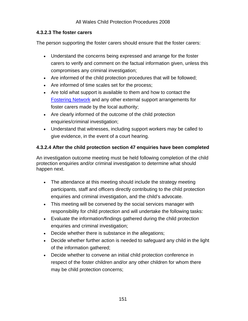### **4.3.2.3 The foster carers**

The person supporting the foster carers should ensure that the foster carers:

- Understand the concerns being expressed and arrange for the foster carers to verify and comment on the factual information given, unless this compromises any criminal investigation;
- Are informed of the child protection procedures that will be followed;
- Are informed of time scales set for the process;
- Are told what support is available to them and how to contact the **[Fostering Network](http://www.fostering.net/)** and any other external support arrangements for foster carers made by the local authority;
- Are clearly informed of the outcome of the child protection enquiries/criminal investigation;
- Understand that witnesses, including support workers may be called to give evidence, in the event of a court hearing.

### **4.3.2.4 After the child protection section 47 enquiries have been completed**

An investigation outcome meeting must be held following completion of the child protection enquiries and/or criminal investigation to determine what should happen next.

- The attendance at this meeting should include the strategy meeting participants, staff and officers directly contributing to the child protection enquiries and criminal investigation, and the child's advocate.
- This meeting will be convened by the social services manager with responsibility for child protection and will undertake the following tasks:
- Evaluate the information/findings gathered during the child protection enquiries and criminal investigation;
- Decide whether there is substance in the allegations;
- Decide whether further action is needed to safeguard any child in the light of the information gathered;
- Decide whether to convene an initial child protection conference in respect of the foster children and/or any other children for whom there may be child protection concerns;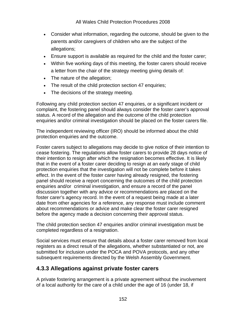- Consider what information, regarding the outcome, should be given to the parents and/or caregivers of children who are the subject of the allegations;
- Ensure support is available as required for the child and the foster carer;
- Within five working days of this meeting, the foster carers should receive a letter from the chair of the strategy meeting giving details of:
- The nature of the allegation;
- The result of the child protection section 47 enquiries;
- The decisions of the strategy meeting.

Following any child protection section 47 enquiries, or a significant incident or complaint, the fostering panel should always consider the foster carer's approval status. A record of the allegation and the outcome of the child protection enquiries and/or criminal investigation should be placed on the foster carers file.

The independent reviewing officer (IRO) should be informed about the child protection enquiries and the outcome.

Foster carers subject to allegations may decide to give notice of their intention to cease fostering. The regulations allow foster carers to provide 28 days notice of their intention to resign after which the resignation becomes effective. It is likely that in the event of a foster carer deciding to resign at an early stage of child protection enquiries that the investigation will not be complete before it takes effect. In the event of the foster carer having already resigned, the fostering panel should receive a report concerning the outcomes of the child protection enquiries and/or criminal investigation, and ensure a record of the panel discussion together with any advice or recommendations are placed on the foster carer's agency record. In the event of a request being made at a later date from other agencies for a reference, any response must include comment about recommendations or advice and make clear the foster carer resigned before the agency made a decision concerning their approval status.

The child protection section 47 enquiries and/or criminal investigation must be completed regardless of a resignation.

Social services must ensure that details about a foster carer removed from local registers as a direct result of the allegations, whether substantiated or not, are submitted for inclusion under the POCA and POVA protocols, and any other subsequent requirements directed by the Welsh Assembly Government.

### **4.3.3 Allegations against private foster carers**

A private fostering arrangement is a private agreement without the involvement of a local authority for the care of a child under the age of 16 (under 18, if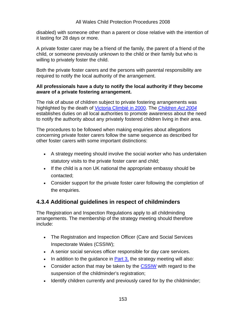disabled) with someone other than a parent or close relative with the intention of it lasting for 28 days or more.

A private foster carer may be a friend of the family, the parent of a friend of the child, or someone previously unknown to the child or their family but who is willing to privately foster the child.

Both the private foster carers and the persons with parental responsibility are required to notify the local authority of the arrangement.

#### **All professionals have a duty to notify the local authority if they become aware of a private fostering arrangement.**

The risk of abuse of children subject to private fostering arrangements was highlighted by the death of [Victoria Climbié in 2000.](http://www.publications.parliament.uk/pa/cm200203/cmselect/cmhealth/570/570.pdf) The *[Children Act 2004](http://www.opsi.gov.uk/acts/acts2004/ukpga_20040031_en_1)* establishes duties on all local authorities to promote awareness about the need to notify the authority about any privately fostered children living in their area.

The procedures to be followed when making enquiries about allegations concerning private foster carers follow the same sequence as described for other foster carers with some important distinctions:

- A strategy meeting should involve the social worker who has undertaken statutory visits to the private foster carer and child;
- If the child is a non UK national the appropriate embassy should be contacted;
- Consider support for the private foster carer following the completion of the enquiries.

# **4.3.4 Additional guidelines in respect of childminders**

The Registration and Inspection Regulations apply to all childminding arrangements. The membership of the strategy meeting should therefore include:

- The Registration and Inspection Officer (Care and Social Services Inspectorate Wales (CSSIW);
- A senior social services officer responsible for day care services.
- In addition to the quidance in Part 3, the strategy meeting will also:
- Consider action that may be taken by the [CSSIW](http://wales.gov.uk/cssiwsubsite/newcssiw/?lang=en) with regard to the suspension of the childminder's registration;
- Identify children currently and previously cared for by the childminder;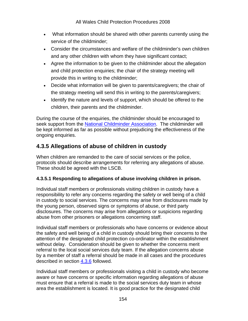- What information should be shared with other parents currently using the service of the childminder;
- Consider the circumstances and welfare of the childminder's own children and any other children with whom they have significant contact;
- Agree the information to be given to the childminder about the allegation and child protection enquiries; the chair of the strategy meeting will provide this in writing to the childminder;
- Decide what information will be given to parents/caregivers; the chair of the strategy meeting will send this in writing to the parents/caregivers;
- Identify the nature and levels of support, which should be offered to the children, their parents and the childminder.

During the course of the enquiries, the childminder should be encouraged to seek support from the [National Childminder Association.](http://www.ncma.org.uk/) The childminder will be kept informed as far as possible without prejudicing the effectiveness of the ongoing enquiries.

# **4.3.5 Allegations of abuse of children in custody**

When children are remanded to the care of social services or the police, protocols should describe arrangements for referring any allegations of abuse. These should be agreed with the LSCB.

### **4.3.5.1 Responding to allegations of abuse involving children in prison.**

Individual staff members or professionals visiting children in custody have a responsibility to refer any concerns regarding the safety or well being of a child in custody to social services. The concerns may arise from disclosures made by the young person, observed signs or symptoms of abuse, or third party disclosures. The concerns may arise from allegations or suspicions regarding abuse from other prisoners or allegations concerning staff.

Individual staff members or professionals who have concerns or evidence about the safety and well being of a child in custody should bring their concerns to the attention of the designated child protection co-ordinator within the establishment without delay. Consideration should be given to whether the concerns merit referral to the local social services duty team. If the allegation concerns abuse by a member of staff a referral should be made in all cases and the procedures described in section 4.3.6 followed.

Individual staff members or professionals visiting a child in custody who become aware or have concerns or specific information regarding allegations of abuse must ensure that a referral is made to the social services duty team in whose area the establishment is located. It is good practice for the designated child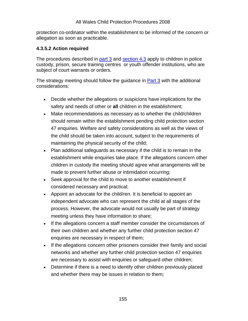protection co-ordinator within the establishment to be informed of the concern or allegation as soon as practicable.

#### **4.3.5.2 Action required**

The procedures described in part 3 and section 4.3 apply to children in police custody, prison, secure training centres or youth offender institutions, who are subject of court warrants or orders.

The strategy meeting should follow the guidance in Part 3 with the additional considerations:

- Decide whether the allegations or suspicions have implications for the safety and needs of other or **all** children in the establishment;
- Make recommendations as necessary as to whether the child/children should remain within the establishment pending child protection section 47 enquiries. Welfare and safety considerations as well as the views of the child should be taken into account, subject to the requirements of maintaining the physical security of the child;
- Plan additional safeguards as necessary if the child is to remain in the establishment while enquiries take place. If the allegations concern other children in custody the meeting should agree what arrangements will be made to prevent further abuse or intimidation occurring;
- Seek approval for the child to move to another establishment if considered necessary and practical;
- Appoint an advocate for the child/ren. It is beneficial to appoint an independent advocate who can represent the child at all stages of the process. However, the advocate would not usually be part of strategy meeting unless they have information to share;
- If the allegations concern a staff member consider the circumstances of their own children and whether any further child protection section 47 enquiries are necessary in respect of them;
- If the allegations concern other prisoners consider their family and social networks and whether any further child protection section 47 enquiries are necessary to assist with enquiries or safeguard other children;
- Determine if there is a need to identify other children previously placed and whether there may be issues in relation to them;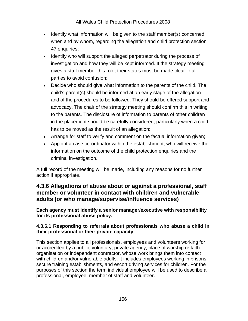- Identify what information will be given to the staff member(s) concerned, when and by whom, regarding the allegation and child protection section 47 enquiries;
- Identify who will support the alleged perpetrator during the process of investigation and how they will be kept informed. If the strategy meeting gives a staff member this role, their status must be made clear to all parties to avoid confusion;
- Decide who should give what information to the parents of the child. The child's parent(s) should be informed at an early stage of the allegation and of the procedures to be followed. They should be offered support and advocacy. The chair of the strategy meeting should confirm this in writing to the parents. The disclosure of information to parents of other children in the placement should be carefully considered, particularly when a child has to be moved as the result of an allegation;
- Arrange for staff to verify and comment on the factual information given;
- Appoint a case co-ordinator within the establishment, who will receive the information on the outcome of the child protection enquiries and the criminal investigation.

A full record of the meeting will be made, including any reasons for no further action if appropriate.

### **4.3.6 Allegations of abuse about or against a professional, staff member or volunteer in contact with children and vulnerable adults (or who manage/supervise/influence services)**

**Each agency must identify a senior manager/executive with responsibility for its professional abuse policy.** 

### **4.3.6.1 Responding to referrals about professionals who abuse a child in their professional or their private capacity**

This section applies to all professionals, employees and volunteers working for or accredited by a public, voluntary, private agency, place of worship or faith organisation or independent contractor, whose work brings them into contact with children and/or vulnerable adults. It includes employees working in prisons, secure training establishments, and escort driving services for children. For the purposes of this section the term individual employee will be used to describe a professional, employee, member of staff and volunteer.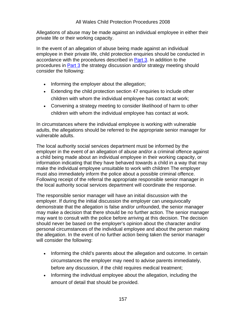Allegations of abuse may be made against an individual employee in either their private life or their working capacity.

In the event of an allegation of abuse being made against an individual employee in their private life, child protection enquiries should be conducted in accordance with the procedures described in Part 3. In addition to the procedures in Part 3 the strategy discussion and/or strategy meeting should consider the following:

- Informing the employer about the allegation;
- Extending the child protection section 47 enquiries to include other children with whom the individual employee has contact at work;
- Convening a strategy meeting to consider likelihood of harm to other children with whom the individual employee has contact at work.

In circumstances where the individual employee is working with vulnerable adults, the allegations should be referred to the appropriate senior manager for vulnerable adults.

The local authority social services department must be informed by the employer in the event of an allegation of abuse and/or a criminal offence against a child being made about an individual employee in their working capacity, or information indicating that they have behaved towards a child in a way that may make the individual employee unsuitable to work with children The employer must also immediately inform the police about a possible criminal offence. Following receipt of the referral the appropriate responsible senior manager in the local authority social services department will coordinate the response.

The responsible senior manager will have an initial discussion with the employer. If during the initial discussion the employer can unequivocally demonstrate that the allegation is false and/or unfounded, the senior manager may make a decision that there should be no further action. The senior manager may want to consult with the police before arriving at this decision. The decision should never be based on the employer's opinion about the character and/or personal circumstances of the individual employee and about the person making the allegation. In the event of no further action being taken the senior manager will consider the following:

- Informing the child's parents about the allegation and outcome. In certain circumstances the employer may need to advise parents immediately, before any discussion, if the child requires medical treatment;
- Informing the individual employee about the allegation, including the amount of detail that should be provided.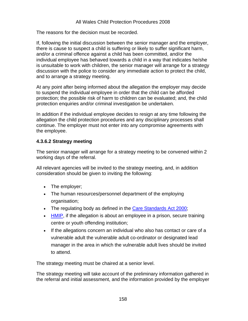The reasons for the decision must be recorded.

If, following the initial discussion between the senior manager and the employer, there is cause to suspect a child is suffering or likely to suffer significant harm, and/or a criminal offence against a child has been committed, and/or the individual employee has behaved towards a child in a way that indicates he/she is unsuitable to work with children, the senior manager will arrange for a strategy discussion with the police to consider any immediate action to protect the child, and to arrange a strategy meeting.

At any point after being informed about the allegation the employer may decide to suspend the individual employee in order that the child can be afforded protection; the possible risk of harm to children can be evaluated; and, the child protection enquiries and/or criminal investigation be undertaken.

In addition if the individual employee decides to resign at any time following the allegation the child protection procedures and any disciplinary processes shall continue. The employer must not enter into any compromise agreements with the employee.

### **4.3.6.2 Strategy meeting**

The senior manager will arrange for a strategy meeting to be convened within 2 working days of the referral.

All relevant agencies will be invited to the strategy meeting, and, in addition consideration should be given to inviting the following:

- The employer;
- The human resources/personnel department of the employing organisation;
- The regulating body as defined in the Care Standards Act 2000;
- [HMIP,](http://www.justice.gov.uk/inspectorates/hmi-prisons/) if the allegation is about an employee in a prison, secure training centre or youth offending institution;
- If the allegations concern an individual who also has contact or care of a vulnerable adult the vulnerable adult co-ordinator or designated lead manager in the area in which the vulnerable adult lives should be invited to attend.

The strategy meeting must be chaired at a senior level.

The strategy meeting will take account of the preliminary information gathered in the referral and initial assessment, and the information provided by the employer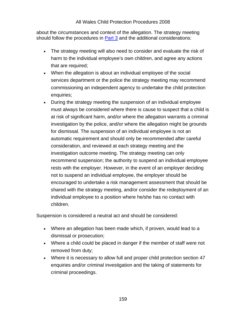about the circumstances and context of the allegation. The strategy meeting should follow the procedures in **Part 3** and the additional considerations:

- The strategy meeting will also need to consider and evaluate the risk of harm to the individual employee's own children, and agree any actions that are required;
- When the allegation is about an individual employee of the social services department or the police the strategy meeting may recommend commissioning an independent agency to undertake the child protection enquiries;
- During the strategy meeting the suspension of an individual employee must always be considered where there is cause to suspect that a child is at risk of significant harm, and/or where the allegation warrants a criminal investigation by the police, and/or where the allegation might be grounds for dismissal. The suspension of an individual employee is not an automatic requirement and should only be recommended after careful consideration, and reviewed at each strategy meeting and the investigation outcome meeting. The strategy meeting can only recommend suspension; the authority to suspend an individual employee rests with the employer. However, in the event of an employer deciding not to suspend an individual employee, the employer should be encouraged to undertake a risk management assessment that should be shared with the strategy meeting, and/or consider the redeployment of an individual employee to a position where he/she has no contact with children.

Suspension is considered a neutral act and should be considered:

- Where an allegation has been made which, if proven, would lead to a dismissal or prosecution;
- Where a child could be placed in danger if the member of staff were not removed from duty;
- Where it is necessary to allow full and proper child protection section 47 enquiries and/or criminal investigation and the taking of statements for criminal proceedings.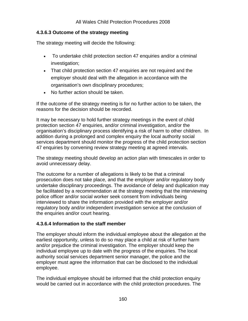### **4.3.6.3 Outcome of the strategy meeting**

The strategy meeting will decide the following:

- To undertake child protection section 47 enquiries and/or a criminal investigation;
- That child protection section 47 enquiries are not required and the employer should deal with the allegation in accordance with the organisation's own disciplinary procedures;
- No further action should be taken.

If the outcome of the strategy meeting is for no further action to be taken, the reasons for the decision should be recorded.

It may be necessary to hold further strategy meetings in the event of child protection section 47 enquiries, and/or criminal investigation, and/or the organisation's disciplinary process identifying a risk of harm to other children. In addition during a prolonged and complex enquiry the local authority social services department should monitor the progress of the child protection section 47 enquiries by convening review strategy meeting at agreed intervals.

The strategy meeting should develop an action plan with timescales in order to avoid unnecessary delay.

The outcome for a number of allegations is likely to be that a criminal prosecution does not take place, and that the employer and/or regulatory body undertake disciplinary proceedings. The avoidance of delay and duplication may be facilitated by a recommendation at the strategy meeting that the interviewing police officer and/or social worker seek consent from individuals being interviewed to share the information provided with the employer and/or regulatory body and/or independent investigation service at the conclusion of the enquiries and/or court hearing.

### **4.3.6.4 Information to the staff member**

The employer should inform the individual employee about the allegation at the earliest opportunity, unless to do so may place a child at risk of further harm and/or prejudice the criminal investigation. The employer should keep the individual employee up to date with the progress of the enquiries. The local authority social services department senior manager, the police and the employer must agree the information that can be disclosed to the individual employee.

The individual employee should be informed that the child protection enquiry would be carried out in accordance with the child protection procedures. The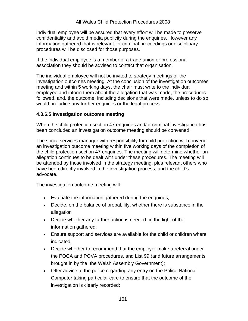individual employee will be assured that every effort will be made to preserve confidentiality and avoid media publicity during the enquiries. However any information gathered that is relevant for criminal proceedings or disciplinary procedures will be disclosed for those purposes.

If the individual employee is a member of a trade union or professional association they should be advised to contact that organisation.

The individual employee will not be invited to strategy meetings or the investigation outcomes meeting. At the conclusion of the investigation outcomes meeting and within 5 working days, the chair must write to the individual employee and inform them about the allegation that was made, the procedures followed, and, the outcome, including decisions that were made, unless to do so would prejudice any further enquiries or the legal process.

#### **4.3.6.5 Investigation outcome meeting**

When the child protection section 47 enquiries and/or criminal investigation has been concluded an investigation outcome meeting should be convened.

The social services manager with responsibility for child protection will convene an investigation outcome meeting within five working days of the completion of the child protection section 47 enquiries. The meeting will determine whether an allegation continues to be dealt with under these procedures. The meeting will be attended by those involved in the strategy meeting, plus relevant others who have been directly involved in the investigation process, and the child's advocate.

The investigation outcome meeting will:

- Evaluate the information gathered during the enquiries;
- Decide, on the balance of probability, whether there is substance in the allegation
- Decide whether any further action is needed, in the light of the information gathered;
- Ensure support and services are available for the child or children where indicated;
- Decide whether to recommend that the employer make a referral under the POCA and POVA procedures, and List 99 (and future arrangements brought in by the the Welsh Assembly Government);
- Offer advice to the police regarding any entry on the Police National Computer taking particular care to ensure that the outcome of the investigation is clearly recorded;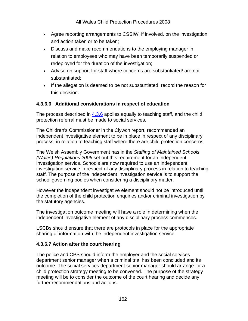- Agree reporting arrangements to CSSIW, if involved, on the investigation and action taken or to be taken;
- Discuss and make recommendations to the employing manager in relation to employees who may have been temporarily suspended or redeployed for the duration of the investigation;
- Advise on support for staff where concerns are substantiated/ are not substantiated;
- If the allegation is deemed to be not substantiated, record the reason for this decision.

### **4.3.6.6 Additional considerations in respect of education**

The process described in 4.3.6 applies equally to teaching staff, and the child protection referral must be made to social services.

The Children's Commissioner in the Clywch report, recommended an independent investigative element to be in place in respect of any disciplinary process, in relation to teaching staff where there are child protection concerns.

The Welsh Assembly Government has in the *Staffing of Maintained Schools (Wales) Regulations 2006* set out this requirement for an independent investigation service. Schools are now required to use an independent investigation service in respect of any disciplinary process in relation to teaching staff. The purpose of the independent investigation service is to support the school governing bodies when considering a disciplinary matter.

However the independent investigative element should not be introduced until the completion of the child protection enquiries and/or criminal investigation by the statutory agencies.

The investigation outcome meeting will have a role in determining when the independent investigative element of any disciplinary process commences.

LSCBs should ensure that there are protocols in place for the appropriate sharing of information with the independent investigation service.

### **4.3.6.7 Action after the court hearing**

The police and CPS should inform the employer and the social services department senior manager when a criminal trial has been concluded and its outcome. The social services department senior manager should arrange for a child protection strategy meeting to be convened. The purpose of the strategy meeting will be to consider the outcome of the court hearing and decide any further recommendations and actions.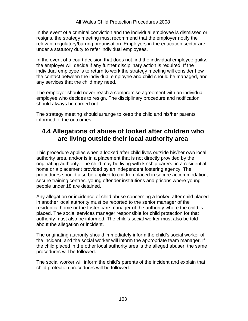In the event of a criminal conviction and the individual employee is dismissed or resigns, the strategy meeting must recommend that the employer notify the relevant regulatory/barring organisation. Employers in the education sector are under a statutory duty to refer individual employees.

In the event of a court decision that does not find the individual employee guilty, the employer will decide if any further disciplinary action is required. If the individual employee is to return to work the strategy meeting will consider how the contact between the individual employee and child should be managed, and any services that the child may need.

The employer should never reach a compromise agreement with an individual employee who decides to resign. The disciplinary procedure and notification should always be carried out.

The strategy meeting should arrange to keep the child and his/her parents informed of the outcomes.

# **4.4 Allegations of abuse of looked after children who are living outside their local authority area**

This procedure applies when a looked after child lives outside his/her own local authority area, and/or is in a placement that is not directly provided by the originating authority. The child may be living with kinship carers, in a residential home or a placement provided by an independent fostering agency. The procedures should also be applied to children placed in secure accommodation, secure training centres, young offender institutions and prisons where young people under 18 are detained.

Any allegation or incidence of child abuse concerning a looked after child placed in another local authority must be reported to the senior manager of the residential home or the foster care manager of the authority where the child is placed. The social services manager responsible for child protection for that authority must also be informed. The child's social worker must also be told about the allegation or incident.

The originating authority should immediately inform the child's social worker of the incident, and the social worker will inform the appropriate team manager. If the child placed in the other local authority area is the alleged abuser, the same procedures will be followed.

The social worker will inform the child's parents of the incident and explain that child protection procedures will be followed.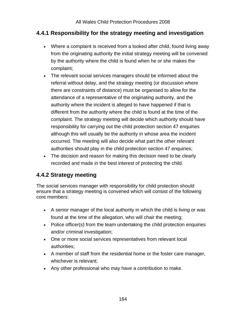# **4.4.1 Responsibility for the strategy meeting and investigation**

- Where a complaint is received from a looked after child, found living away from the originating authority the initial strategy meeting will be convened by the authority where the child is found when he or she makes the complaint;
- The relevant social services managers should be informed about the referral without delay, and the strategy meeting (or discussion where there are constraints of distance) must be organised to allow for the attendance of a representative of the originating authority, and the authority where the incident is alleged to have happened if that is different from the authority where the child is found at the time of the complaint. The strategy meeting will decide which authority should have responsibility for carrying out the child protection section 47 enquiries although this will usually be the authority in whose area the incident occurred. The meeting will also decide what part the other relevant authorities should play in the child protection section 47 enquiries;
- The decision and reason for making this decision need to be clearly recorded and made in the best interest of protecting the child.

# **4.4.2 Strategy meeting**

The social services manager with responsibility for child protection should ensure that a strategy meeting is convened which will consist of the following core members:

- A senior manager of the local authority in which the child is living or was found at the time of the allegation, who will chair the meeting;
- Police officer(s) from the team undertaking the child protection enquiries and/or criminal investigation;
- One or more social services representatives from relevant local authorities;
- A member of staff from the residential home or the foster care manager, whichever is relevant;
- Any other professional who may have a contribution to make.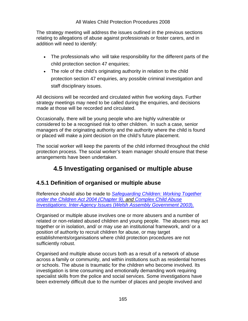The strategy meeting will address the issues outlined in the previous sections relating to allegations of abuse against professionals or foster carers, and in addition will need to identify:

- The professionals who will take responsibility for the different parts of the child protection section 47 enquiries;
- The role of the child's originating authority in relation to the child protection section 47 enquiries, any possible criminal investigation and staff disciplinary issues.

All decisions will be recorded and circulated within five working days. Further strategy meetings may need to be called during the enquiries, and decisions made at those will be recorded and circulated.

Occasionally, there will be young people who are highly vulnerable or considered to be a recognised risk to other children. In such a case, senior managers of the originating authority and the authority where the child is found or placed will make a joint decision on the child's future placement.

The social worker will keep the parents of the child informed throughout the child protection process. The social worker's team manager should ensure that these arrangements have been undertaken.

# **4.5 Investigating organised or multiple abuse**

### **4.5.1 Definition of organised or multiple abuse**

Reference should also be made to *Safeguarding Children: Working Together [under the Children Act 2004 \(Chapter 9\), and Complex Child Abuse](http://wales.gov.uk/topics/childrenyoungpeople/publications/safeguardingunder2004act;jsessionid=RJvCKydbY6xdtL6pb4KGwkc7lx8Bm0htDstlL42PqT3KyF023WYb!-826231897?lang=en)  Investigations: Inter-Agency Issues* (*Welsh Assembly Government 2003*).

Organised or multiple abuse involves one or more abusers and a number of related or non-related abused children and young people. The abusers may act together or in isolation, and/ or may use an institutional framework, and/ or a position of authority to recruit children for abuse, or may target establishments/organisations where child protection procedures are not sufficiently robust.

Organised and multiple abuse occurs both as a result of a network of abuse across a family or community, and within institutions such as residential homes or schools. The abuse is traumatic for the children who become involved. Its investigation is time consuming and emotionally demanding work requiring specialist skills from the police and social services. Some investigations have been extremely difficult due to the number of places and people involved and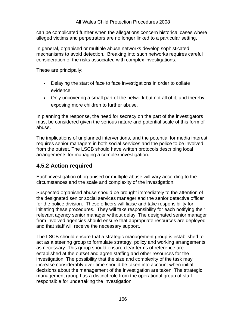can be complicated further when the allegations concern historical cases where alleged victims and perpetrators are no longer linked to a particular setting.

In general, organised or multiple abuse networks develop sophisticated mechanisms to avoid detection. Breaking into such networks requires careful consideration of the risks associated with complex investigations.

These are principally:

- Delaying the start of face to face investigations in order to collate evidence;
- Only uncovering a small part of the network but not all of it, and thereby exposing more children to further abuse.

In planning the response, the need for secrecy on the part of the investigators must be considered given the serious nature and potential scale of this form of abuse.

The implications of unplanned interventions, and the potential for media interest requires senior managers in both social services and the police to be involved from the outset. The LSCB should have written protocols describing local arrangements for managing a complex investigation.

# **4.5.2 Action required**

Each investigation of organised or multiple abuse will vary according to the circumstances and the scale and complexity of the investigation.

Suspected organised abuse should be brought immediately to the attention of the designated senior social services manager and the senior detective officer for the police division. These officers will liaise and take responsibility for initiating these procedures. They will take responsibility for each notifying their relevant agency senior manager without delay. The designated senior manager from involved agencies should ensure that appropriate resources are deployed and that staff will receive the necessary support.

The LSCB should ensure that a strategic management group is established to act as a steering group to formulate strategy, policy and working arrangements as necessary. This group should ensure clear terms of reference are established at the outset and agree staffing and other resources for the investigation. The possibility that the size and complexity of the task may increase considerably over time should be taken into account when initial decisions about the management of the investigation are taken. The strategic management group has a distinct role from the operational group of staff responsible for undertaking the investigation.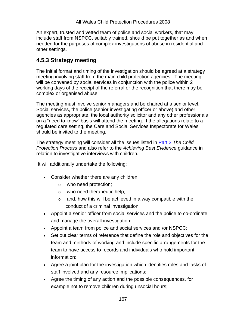An expert, trusted and vetted team of police and social workers, that may include staff from NSPCC, suitably trained, should be put together as and when needed for the purposes of complex investigations of abuse in residential and other settings.

# **4.5.3 Strategy meeting**

The initial format and timing of the investigation should be agreed at a strategy meeting involving staff from the main child protection agencies. The meeting will be convened by social services in conjunction with the police within 2 working days of the receipt of the referral or the recognition that there may be complex or organised abuse.

The meeting must involve senior managers and be chaired at a senior level. Social services, the police (senior investigating officer or above) and other agencies as appropriate, the local authority solicitor and any other professionals on a "need to know" basis will attend the meeting. If the allegations relate to a regulated care setting, the Care and Social Services Inspectorate for Wales should be invited to the meeting.

The strategy meeting will consider all the issues listed in Part 3 *The Child Protection Process* and also refer to the *Achieving Best Evidence* guidance in relation to investigative interviews with children.

It will additionally undertake the following:

- Consider whether there are any children
	- o who need protection;
	- o who need therapeutic help;
	- $\circ$  and, how this will be achieved in a way compatible with the conduct of a criminal investigation.
- Appoint a senior officer from social services and the police to co-ordinate and manage the overall investigation;
- Appoint a team from police and social services and /or NSPCC;
- Set out clear terms of reference that define the role and objectives for the team and methods of working and include specific arrangements for the team to have access to records and individuals who hold important information;
- Agree a joint plan for the investigation which identifies roles and tasks of staff involved and any resource implications;
- Agree the timing of any action and the possible consequences, for example not to remove children during unsocial hours;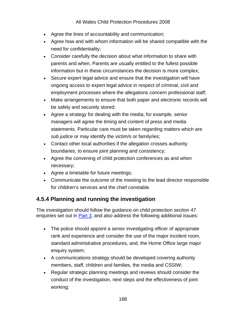- Agree the lines of accountability and communication;
- Agree how and with whom information will be shared compatible with the need for confidentiality;
- Consider carefully the decision about what information to share with parents and when. Parents are usually entitled to the fullest possible information but in these circumstances the decision is more complex;
- Secure expert legal advice and ensure that the investigation will have ongoing access to expert legal advice in respect of criminal, civil and employment processes where the allegations concern professional staff;
- Make arrangements to ensure that both paper and electronic records will be safely and securely stored;
- Agree a strategy for dealing with the media; for example, senior managers will agree the timing and content of press and media statements. Particular care must be taken regarding matters which are *sub judice* or may identify the victim/s or family/ies;
- Contact other local authorities if the allegation crosses authority boundaries, to ensure joint planning and consistency;
- Agree the convening of child protection conferences as and when necessary;
- Agree a timetable for future meetings;
- Communicate the outcome of the meeting to the lead director responsible for children's services and the chief constable.

# **4.5.4 Planning and running the investigation**

The investigation should follow the guidance on child protection section 47 enquiries set out in **Part 3**, and also address the following additional issues:

- The police should appoint a senior investigating officer of appropriate rank and experience and consider the use of the major incident room, standard administrative procedures, and, the Home Office large major enquiry system;
- A communications strategy should be developed covering authority members, staff, children and families, the media and CSSIW;
- Regular strategic planning meetings and reviews should consider the conduct of the investigation, next steps and the effectiveness of joint working;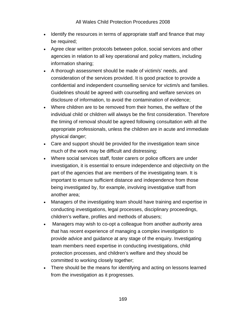- Identify the resources in terms of appropriate staff and finance that may be required;
- Agree clear written protocols between police, social services and other agencies in relation to all key operational and policy matters, including information sharing;
- A thorough assessment should be made of victim/s' needs, and consideration of the services provided. It is good practice to provide a confidential and independent counselling service for victim/s and families. Guidelines should be agreed with counselling and welfare services on disclosure of information, to avoid the contamination of evidence;
- Where children are to be removed from their homes, the welfare of the individual child or children will always be the first consideration. Therefore the timing of removal should be agreed following consultation with all the appropriate professionals, unless the children are in acute and immediate physical danger;
- Care and support should be provided for the investigation team since much of the work may be difficult and distressing;
- Where social services staff, foster carers or police officers are under investigation, it is essential to ensure independence and objectivity on the part of the agencies that are members of the investigating team. It is important to ensure sufficient distance and independence from those being investigated by, for example, involving investigative staff from another area;
- Managers of the investigating team should have training and expertise in conducting investigations, legal processes, disciplinary proceedings, children's welfare, profiles and methods of abusers;
- Managers may wish to co-opt a colleague from another authority area that has recent experience of managing a complex investigation to provide advice and guidance at any stage of the enquiry. Investigating team members need expertise in conducting investigations, child protection processes, and children's welfare and they should be committed to working closely together;
- There should be the means for identifying and acting on lessons learned from the investigation as it progresses.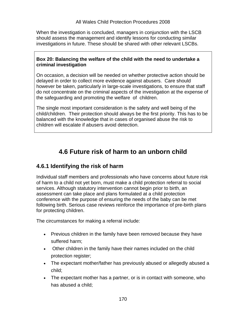When the investigation is concluded, managers in conjunction with the LSCB should assess the management and identify lessons for conducting similar investigations in future. These should be shared with other relevant LSCBs.

### **Box 20: Balancing the welfare of the child with the need to undertake a criminal investigation**

On occasion, a decision will be needed on whether protective action should be delayed in order to collect more evidence against abusers. Care should however be taken, particularly in large-scale investigations, to ensure that staff do not concentrate on the criminal aspects of the investigation at the expense of the safeguarding and promoting the welfare of children.

The single most important consideration is the safety and well being of the child/children. Their protection should always be the first priority. This has to be balanced with the knowledge that in cases of organised abuse the risk to children will escalate if abusers avoid detection.

# **4.6 Future risk of harm to an unborn child**

# **4.6.1 Identifying the risk of harm**

Individual staff members and professionals who have concerns about future risk of harm to a child not yet born, must make a child protection referral to social services. Although statutory intervention cannot begin prior to birth, an assessment can take place and plans formulated at a child protection conference with the purpose of ensuring the needs of the baby can be met following birth. Serious case reviews reinforce the importance of pre-birth plans for protecting children.

The circumstances for making a referral include:

- Previous children in the family have been removed because they have suffered harm;
- Other children in the family have their names included on the child protection register;
- The expectant mother/father has previously abused or allegedly abused a child;
- The expectant mother has a partner, or is in contact with someone, who has abused a child;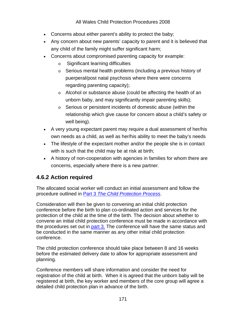- Concerns about either parent's ability to protect the baby;
- Any concern about new parents' capacity to parent and it is believed that any child of the family might suffer significant harm;
- Concerns about compromised parenting capacity for example:
	- o Significant learning difficulties
	- o Serious mental health problems (including a previous history of puerperal/post natal psychosis where there were concerns regarding parenting capacity);
	- o Alcohol or substance abuse (could be affecting the health of an unborn baby, and may significantly impair parenting skills);
	- o Serious or persistent incidents of domestic abuse (within the relationship which give cause for concern about a child's safety or well being).
- A very young expectant parent may require a dual assessment of her/his own needs as a child, as well as her/his ability to meet the baby's needs
- The lifestyle of the expectant mother and/or the people she is in contact with is such that the child may be at risk at birth;
- A history of non-cooperation with agencies in families for whom there are concerns, especially where there is a new partner.

# **4.6.2 Action required**

The allocated social worker will conduct an initial assessment and follow the procedure outlined in Part 3 *The Child Protection Process*.

Consideration will then be given to convening an initial child protection conference before the birth to plan co-ordinated action and services for the protection of the child at the time of the birth. The decision about whether to convene an initial child protection conference must be made in accordance with the procedures set out in part 3. The conference will have the same status and be conducted in the same manner as any other initial child protection conference.

The child protection conference should take place between 8 and 16 weeks before the estimated delivery date to allow for appropriate assessment and planning.

Conference members will share information and consider the need for registration of the child at birth. When it is agreed that the unborn baby will be registered at birth, the key worker and members of the core group will agree a detailed child protection plan in advance of the birth.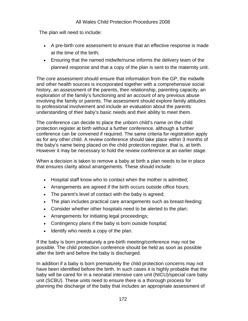The plan will need to include:

- A pre-birth core assessment to ensure that an effective response is made at the time of the birth;
- Ensuring that the named midwife/nurse informs the delivery team of the planned response and that a copy of the plan is sent to the maternity unit.

The core assessment should ensure that information from the GP, the midwife and other health sources is incorporated together with a comprehensive social history, an assessment of the parents, their relationship, parenting capacity, an exploration of the family's functioning and an account of any previous abuse involving the family or parents. The assessment should explore family attitudes to professional involvement and include an evaluation about the parents understanding of their baby's basic needs and their ability to meet them.

The conference can decide to place the unborn child's name on the child protection register at birth without a further conference, although a further conference can be convened if required. The same criteria for registration apply as for any other child. A review conference should take place within 3 months of the baby's name being placed on the child protection register, that is, at birth. However it may be necessary to hold the review conference at an earlier stage.

When a decision is taken to remove a baby at birth a plan needs to be in place that ensures clarity about arrangements. These should include:

- Hospital staff know who to contact when the mother is admitted;
- Arrangements are agreed if the birth occurs outside office hours;
- The parent's level of contact with the baby is agreed;
- The plan includes practical care arrangements such as breast-feeding;
- Consider whether other hospitals need to be alerted to the plan;
- Arrangements for initiating legal proceedings;
- Contingency plans if the baby is born outside hospital;
- Identify who needs a copy of the plan.

If the baby is born prematurely a pre-birth meeting/conference may not be possible. The child protection conference should be held as soon as possible after the birth and before the baby is discharged.

In addition if a baby is born prematurely the child protection concerns may not have been identified before the birth. In such cases it is highly probable that the baby will be cared for in a neonatal intensive care unit (NICU)/special care baby unit (SCBU). These units need to ensure there is a thorough process for planning the discharge of the baby that includes an appropriate assessment of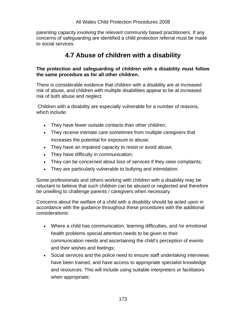parenting capacity involving the relevant community based practitioners. If any concerns of safeguarding are identified a child protection referral must be made to social services.

# **4.7 Abuse of children with a disability**

### **The protection and safeguarding of children with a disability must follow the same procedure as for all other children.**

There is considerable evidence that children with a disability are at increased risk of abuse, and children with multiple disabilities appear to be at increased risk of both abuse and neglect.

 Children with a disability are especially vulnerable for a number of reasons, which include:

- They have fewer outside contacts than other children;
- They receive intimate care sometimes from multiple caregivers that increases the potential for exposure to abuse;
- They have an impaired capacity to resist or avoid abuse;
- They have difficulty in communication;
- They can be concerned about loss of services if they raise complaints;
- They are particularly vulnerable to bullying and intimidation.

Some professionals and others working with children with a disability may be reluctant to believe that such children can be abused or neglected and therefore be unwilling to challenge parents / caregivers when necessary.

Concerns about the welfare of a child with a disability should be acted upon in accordance with the guidance throughout these procedures with the additional considerations:

- Where a child has communication, learning difficulties, and /or emotional health problems special attention needs to be given to their communication needs and ascertaining the child's perception of events and their wishes and feelings;
- Social services and the police need to ensure staff undertaking interviews have been trained, and have access to appropriate specialist knowledge and resources. This will include using suitable interpreters or facilitators when appropriate;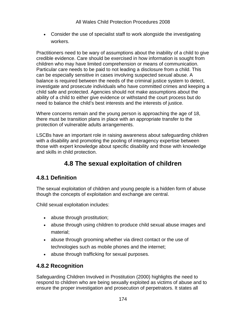• Consider the use of specialist staff to work alongside the investigating workers.

Practitioners need to be wary of assumptions about the inability of a child to give credible evidence. Care should be exercised in how information is sought from children who may have limited comprehension or means of communication. Particular care needs to be paid to not leading a disclosure from a child. This can be especially sensitive in cases involving suspected sexual abuse. A balance is required between the needs of the criminal justice system to detect, investigate and prosecute individuals who have committed crimes and keeping a child safe and protected. Agencies should not make assumptions about the ability of a child to either give evidence or withstand the court process but do need to balance the child's best interests and the interests of justice.

Where concerns remain and the young person is approaching the age of 18, there must be transition plans in place with an appropriate transfer to the protection of vulnerable adults arrangements.

LSCBs have an important role in raising awareness about safeguarding children with a disability and promoting the pooling of interagency expertise between those with expert knowledge about specific disability and those with knowledge and skills in child protection.

# **4.8 The sexual exploitation of children**

# **4.8.1 Definition**

The sexual exploitation of children and young people is a hidden form of abuse though the concepts of exploitation and exchange are central.

Child sexual exploitation includes:

- abuse through prostitution;
- abuse through using children to produce child sexual abuse images and material;
- abuse through grooming whether via direct contact or the use of technologies such as mobile phones and the internet;
- abuse through trafficking for sexual purposes.

# **4.8.2 Recognition**

Safeguarding Children Involved in Prostitution (2000) highlights the need to respond to children who are being sexually exploited as victims of abuse and to ensure the proper investigation and prosecution of perpetrators. It states all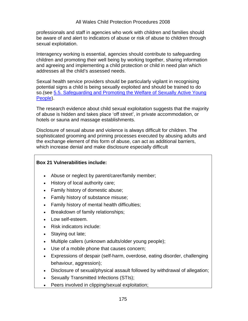professionals and staff in agencies who work with children and families should be aware of and alert to indicators of abuse or risk of abuse to children through sexual exploitation.

Interagency working is essential, agencies should contribute to safeguarding children and promoting their well being by working together, sharing information and agreeing and implementing a child protection or child in need plan which addresses all the child's assessed needs.

Sexual health service providers should be particularly vigilant in recognising potential signs a child is being sexually exploited and should be trained to do so.(see 5.5. Safeguarding and Promoting the Welfare of Sexually Active Young People).

The research evidence about child sexual exploitation suggests that the majority of abuse is hidden and takes place 'off street', in private accommodation, or hotels or sauna and massage establishments.

Disclosure of sexual abuse and violence is always difficult for children. The sophisticated grooming and priming processes executed by abusing adults and the exchange element of this form of abuse, can act as additional barriers, which increase denial and make disclosure especially difficult

### **Box 21 Vulnerabilities include:**

- Abuse or neglect by parent/carer/family member;
- History of local authority care;
- Family history of domestic abuse;
- Family history of substance misuse;
- Family history of mental health difficulties;
- Breakdown of family relationships;
- Low self-esteem.
- Risk indicators include:
- Staying out late;
- Multiple callers (unknown adults/older young people);
- Use of a mobile phone that causes concern;
- Expressions of despair (self-harm, overdose, eating disorder, challenging behaviour, aggression);
- Disclosure of sexual/physical assault followed by withdrawal of allegation;
- Sexually Transmitted Infections (STIs);
- Peers involved in clipping/sexual exploitation;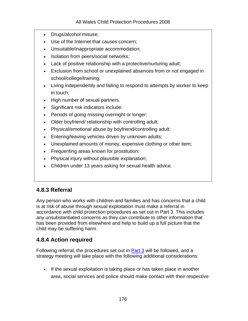- Drugs/alcohol misuse;
- Use of the Internet that causes concern;
- Unsuitable/inappropriate accommodation;
- Isolation from peers/social networks;
- Lack of positive relationship with a protective/nurturing adult;
- Exclusion from school or unexplained absences from or not engaged in school/college/training;
- Living independently and failing to respond to attempts by worker to keep in touch;
- High number of sexual partners.
- Significant risk indicators include:
- Periods of going missing overnight or longer;
- Older boyfriend/ relationship with controlling adult;
- Physical/emotional abuse by boyfriend/controlling adult;
- Entering/leaving vehicles driven by unknown adults;
- Unexplained amounts of money, expensive clothing or other item;
- Frequenting areas known for prostitution;
- Physical injury without plausible explanation;
- Children under 13 years asking for sexual health advice.

# **4.8.3 Referral**

Any person who works with children and families and has concerns that a child is at risk of abuse through sexual exploitation must make a referral in accordance with child protection procedures as set out in Part 3. This includes any unsubstantiated concerns as they can contribute to other information that has been provided from elsewhere and help to build up a full picture that the child may be suffering harm.

# **4.8.4 Action required**

Following referral, the procedures set out in Part 3 will be followed, and a strategy meeting will take place with the following additional considerations:

• If the sexual exploitation is taking place or has taken place in another area, social services and police should make contact with their respective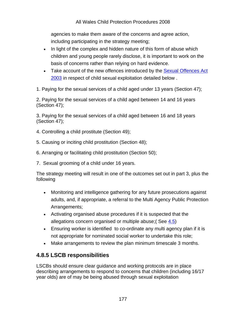agencies to make them aware of the concerns and agree action, including participating in the strategy meeting;

- In light of the complex and hidden nature of this form of abuse which children and young people rarely disclose, it is important to work on the basis of concerns rather than relying on hard evidence.
- [Take account of the new offences introduced by the Sexual Offences Act](http://www.opsi.gov.uk/acts/acts2003/ukpga_20030042_en_1)  2003 in respect of child sexual exploitation detailed below .
- 1. Paying for the sexual services of a child aged under 13 years (Section 47);

2. Paying for the sexual services of a child aged between 14 and 16 years (Section 47);

3. Paying for the sexual services of a child aged between 16 and 18 years (Section 47);

- 4. Controlling a child prostitute (Section 49);
- 5. Causing or inciting child prostitution (Section 48);
- 6. Arranging or facilitating child prostitution (Section 50);
- 7. Sexual grooming of a child under 16 years.

The strategy meeting will result in one of the outcomes set out in part 3, plus the following

- Monitoring and intelligence gathering for any future prosecutions against adults, and, if appropriate, a referral to the Multi Agency Public Protection Arrangements;
- Activating organised abuse procedures if it is suspected that the allegations concern organised or multiple abuse;( See 4.5)
- Ensuring worker is identified to co-ordinate any multi agency plan if it is not appropriate for nominated social worker to undertake this role;
- Make arrangements to review the plan minimum timescale 3 months.

# **4.8.5 LSCB responsibilities**

LSCBs should ensure clear guidance and working protocols are in place describing arrangements to respond to concerns that children (including 16/17 year olds) are of may be being abused through sexual exploitation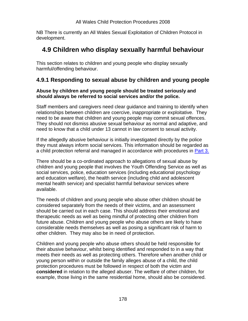NB There is currently an All Wales Sexual Exploitation of Children Protocol in development.

# **4.9 Children who display sexually harmful behaviour**

This section relates to children and young people who display sexually harmful/offending behaviour.

## **4.9.1 Responding to sexual abuse by children and young people**

### **Abuse by children and young people should be treated seriously and should always be referred to social services and/or the police.**

Staff members and caregivers need clear guidance and training to identify when relationships between children are coercive, inappropriate or exploitative. They need to be aware that children and young people may commit sexual offences. They should not dismiss abusive sexual behaviour as normal and adaptive, and need to know that a child under 13 cannot in law consent to sexual activity.

If the allegedly abusive behaviour is initially investigated directly by the police they must always inform social services. This information should be regarded as a child protection referral and managed in accordance with procedures in Part 3.

There should be a co-ordinated approach to allegations of sexual abuse by children and young people that involves the Youth Offending Service as well as social services, police, education services (including educational psychology and education welfare), the health service (including child and adolescent mental health service) and specialist harmful behaviour services where available.

The needs of children and young people who abuse other children should be considered separately from the needs of their victims, and an assessment should be carried out in each case. This should address their emotional and therapeutic needs as well as being mindful of protecting other children from future abuse. Children and young people who abuse others are likely to have considerable needs themselves as well as posing a significant risk of harm to other children. They may also be in need of protection.

Children and young people who abuse others should be held responsible for their abusive behaviour, whilst being identified and responded to in a way that meets their needs as well as protecting others. Therefore when another child or young person within or outside the family alleges abuse of a child, the child protection procedures must be followed in respect of both the victim and **considered** in relation to the alleged abuser. The welfare of other children, for example, those living in the same residential home, should also be considered.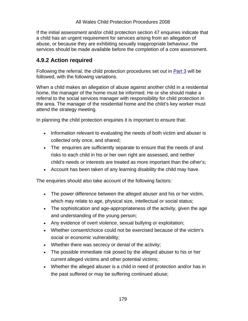If the initial assessment and/or child protection section 47 enquiries indicate that a child has an urgent requirement for services arising from an allegation of abuse, or because they are exhibiting sexually inappropriate behaviour, the services should be made available before the completion of a core assessment.

## **4.9.2 Action required**

Following the referral, the child protection procedures set out in **Part 3** will be followed, with the following variations.

When a child makes an allegation of abuse against another child in a residential home, the manager of the home must be informed. He or she should make a referral to the social services manager with responsibility for child protection in the area. The manager of the residential home and the child's key worker must attend the strategy meeting.

In planning the child protection enquiries it is important to ensure that:

- Information relevant to evaluating the needs of both victim and abuser is collected only once, and shared;
- The enquiries are sufficiently separate to ensure that the needs of and risks to each child in his or her own right are assessed, and neither child's needs or interests are treated as more important than the other's;
- Account has been taken of any learning disability the child may have.

The enquiries should also take account of the following factors:

- The power difference between the alleged abuser and his or her victim, which may relate to age, physical size, intellectual or social status;
- The sophistication and age-appropriateness of the activity, given the age and understanding of the young person;
- Any evidence of overt violence, sexual bullying or exploitation;
- Whether consent/choice could not be exercised because of the victim's social or economic vulnerability;
- Whether there was secrecy or denial of the activity;
- The possible immediate risk posed by the alleged abuser to his or her current alleged victims and other potential victims;
- Whether the alleged abuser is a child in need of protection and/or has in the past suffered or may be suffering continued abuse;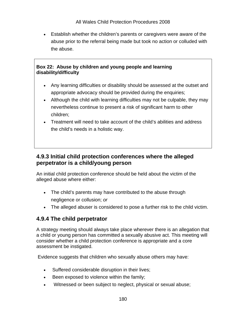• Establish whether the children's parents or caregivers were aware of the abuse prior to the referral being made but took no action or colluded with the abuse.

### **Box 22: Abuse by children and young people and learning disability/difficulty**

- Any learning difficulties or disability should be assessed at the outset and appropriate advocacy should be provided during the enquiries;
- Although the child with learning difficulties may not be culpable, they may nevertheless continue to present a risk of significant harm to other children;
- Treatment will need to take account of the child's abilities and address the child's needs in a holistic way.

## **4.9.3 Initial child protection conferences where the alleged perpetrator is a child/young person**

An initial child protection conference should be held about the victim of the alleged abuse where either:

- The child's parents may have contributed to the abuse through negligence or collusion; *or*
- The alleged abuser is considered to pose a further risk to the child victim.

# **4.9.4 The child perpetrator**

A strategy meeting should always take place wherever there is an allegation that a child or young person has committed a sexually abusive act. This meeting will consider whether a child protection conference is appropriate and a core assessment be instigated.

Evidence suggests that children who sexually abuse others may have:

- Suffered considerable disruption in their lives;
- Been exposed to violence within the family;
- Witnessed or been subject to neglect, physical or sexual abuse;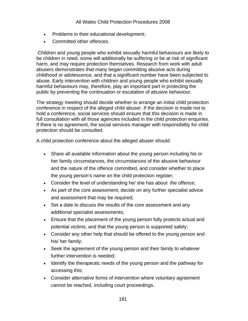- Problems in their educational development;
- Committed other offences.

 Children and young people who exhibit sexually harmful behaviours are likely to be children in need, some will additionally be suffering or be at risk of significant harm, and may require protection themselves. Research from work with adult abusers demonstrates that many began committing abusive acts during childhood or adolescence, and that a significant number have been subjected to abuse. Early intervention with children and young people who exhibit sexually harmful behaviours may, therefore, play an important part in protecting the public by preventing the continuation or escalation of abusive behaviour.

The strategy meeting should decide whether to arrange an initial child protection conference in respect of the alleged child abuser. If the decision is made not to hold a conference, social services should ensure that this decision is made in full consultation with all those agencies included in the child protection enquiries. If there is no agreement, the social services manager with responsibility for child protection should be consulted.

A child protection conference about the alleged abuser should:

- Share all available information about the young person including his or her family circumstances, the circumstances of the abusive behaviour and the nature of the offence committed, and consider whether to place the young person's name on the child protection register;
- Consider the level of understanding he/ she has about the offence;
- As part of the core assessment, decide on any further specialist advice and assessment that may be required;
- Set a date to discuss the results of the core assessment and any additional specialist assessments;
- Ensure that the placement of the young person fully protects actual and potential victims, and that the young person is supported safely;
- Consider any other help that should be offered to the young person and his/ her family;
- Seek the agreement of the young person and their family to whatever further intervention is needed;
- Identify the therapeutic needs of the young person and the pathway for accessing this;
- Consider alternative forms of intervention where voluntary agreement cannot be reached, including court proceedings.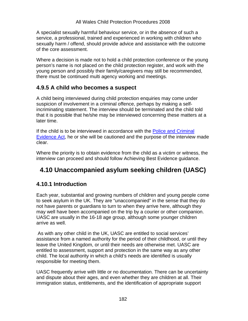A specialist sexually harmful behaviour service, or in the absence of such a service, a professional, trained and experienced in working with children who sexually harm / offend, should provide advice and assistance with the outcome of the core assessment.

Where a decision is made not to hold a child protection conference or the young person's name is not placed on the child protection register, and work with the young person and possibly their family/caregivers may still be recommended, there must be continued multi agency working and meetings.

### **4.9.5 A child who becomes a suspect**

A child being interviewed during child protection enquiries may come under suspicion of involvement in a criminal offence, perhaps by making a selfincriminating statement. The interview should be terminated and the child told that it is possible that he/she may be interviewed concerning these matters at a later time.

[If the child is to be interviewed in accordance with the Police and Criminal](http://police.homeoffice.gov.uk/operational-policing/powers-pace-codes/pace-code-intro/) Evidence Act, he or she will be cautioned and the purpose of the interview made clear.

Where the priority is to obtain evidence from the child as a victim or witness, the interview can proceed and should follow Achieving Best Evidence guidance.

# **4.10 Unaccompanied asylum seeking children (UASC)**

### **4.10.1 Introduction**

Each year, substantial and growing numbers of children and young people come to seek asylum in the UK. They are "unaccompanied" in the sense that they do not have parents or guardians to turn to when they arrive here, although they may well have been accompanied on the trip by a courier or other companion. UASC are usually in the 16-18 age group, although some younger children arrive as well.

 As with any other child in the UK, UASC are entitled to social services' assistance from a named authority for the period of their childhood, or until they leave the United Kingdom, or until their needs are otherwise met. UASC are entitled to assessment, support and protection in the same way as any other child. The local authority in which a child's needs are identified is usually responsible for meeting them.

UASC frequently arrive with little or no documentation. There can be uncertainty and dispute about their ages, and even whether they are children at all. Their immigration status, entitlements, and the identification of appropriate support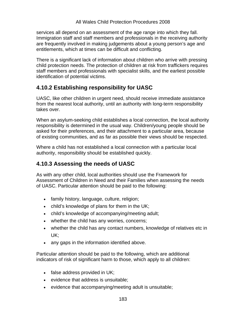services all depend on an assessment of the age range into which they fall. Immigration staff and staff members and professionals in the receiving authority are frequently involved in making judgements about a young person's age and entitlements, which at times can be difficult and conflicting.

There is a significant lack of information about children who arrive with pressing child protection needs. The protection of children at risk from traffickers requires staff members and professionals with specialist skills, and the earliest possible identification of potential victims.

# **4.10.2 Establishing responsibility for UASC**

UASC, like other children in urgent need, should receive immediate assistance from the nearest local authority, until an authority with long-term responsibility takes over.

When an asylum-seeking child establishes a local connection, the local authority responsibility is determined in the usual way. Children/young people should be asked for their preferences, and their attachment to a particular area, because of existing communities, and as far as possible their views should be respected.

Where a child has not established a local connection with a particular local authority, responsibility should be established quickly.

# **4.10.3 Assessing the needs of UASC**

As with any other child, local authorities should use the Framework for Assessment of Children in Need and their Families when assessing the needs of UASC. Particular attention should be paid to the following:

- family history, language, culture, religion;
- child's knowledge of plans for them in the UK;
- child's knowledge of accompanying/meeting adult;
- whether the child has any worries, concerns;
- whether the child has any contact numbers, knowledge of relatives etc in UK;
- any gaps in the information identified above.

Particular attention should be paid to the following, which are additional indicators of risk of significant harm to those, which apply to all children:

- false address provided in UK;
- evidence that address is unsuitable;
- evidence that accompanying/meeting adult is unsuitable;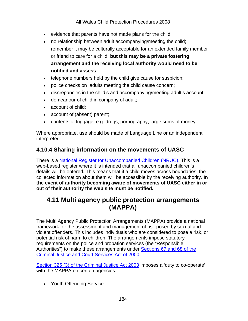- evidence that parents have not made plans for the child;
- no relationship between adult accompanying/meeting the child; remember it may be culturally acceptable for an extended family member or friend to care for a child; **but this may be a private fostering arrangement and the receiving local authority would need to be notified and assess**;
- telephone numbers held by the child give cause for suspicion;
- police checks on adults meeting the child cause concern;
- discrepancies in the child's and accompanying/meeting adult's account;
- demeanour of child in company of adult;
- account of child;
- account of (absent) parent;
- contents of luggage, e.g. drugs, pornography, large sums of money.

Where appropriate, use should be made of Language Line or an independent interpreter.

# **4.10.4 Sharing information on the movements of UASC**

There is a [National Register for Unaccompanied Children \(NRUC\).](http://www.nruc.gov.uk/index.html) This is a web-based register where it is intended that all unaccompanied children's details will be entered. This means that if a child moves across boundaries, the collected information about them will be accessible by the receiving authority. **In the event of authority becoming aware of movements of UASC either in or out of their authority the web site must be notified.** 

# **4.11 Multi agency public protection arrangements (MAPPA)**

The Multi Agency Public Protection Arrangements (MAPPA) provide a national framework for the assessment and management of risk posed by sexual and violent offenders. This includes individuals who are considered to pose a risk, or potential risk of harm to children. The arrangements impose statutory requirements on the police and probation services (the "Responsible [Authorities"\) to make these arrangements under Sections 67 and 68 of the](http://www.opsi.gov.uk/Acts/acts2000/en/ukpgaen_20000043_en_1) Criminal Justice and Court Services Act of 2000.

[Section 325 \(3\) of the Criminal Justice Act 2003](http://www.opsi.gov.uk/acts/acts2003/ukpga_20030044_en_1) imposes a 'duty to co-operate' with the MAPPA on certain agencies:

• Youth Offending Service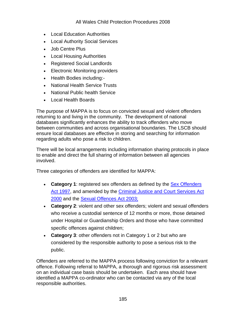- Local Education Authorities
- Local Authority Social Services
- Job Centre Plus
- Local Housing Authorities
- Registered Social Landlords
- Electronic Monitoring providers
- Health Bodies including:-
- National Health Service Trusts
- National Public health Service
- Local Health Boards

The purpose of MAPPA is to focus on convicted sexual and violent offenders returning to and living in the community. The development of national databases significantly enhances the ability to track offenders who move between communities and across organisational boundaries. The LSCB should ensure local databases are effective in storing and searching for information regarding adults who pose a risk to children.

There will be local arrangements including information sharing protocols in place to enable and direct the full sharing of information between all agencies involved.

Three categories of offenders are identified for MAPPA:

- **Category 1**: registered sex offenders as defined by the Sex Offenders [Act 1997, and amended by the Criminal Justice and Court Services A](http://www.opsi.gov.uk/acts/acts2003/ukpga_20030042_en_1)[ct](http://www.opsi.gov.uk/Acts/acts2000/en/ukpgaen_20000043_en_1) 2000 and the [Sexual Offences Act 2003;](http://www.opsi.gov.uk/acts/acts2003/ukpga_20030042_en_1)
- **Category 2**: violent and other sex offenders; violent and sexual offenders who receive a custodial sentence of 12 months or more, those detained under Hospital or Guardianship Orders and those who have committed specific offences against children;
- **Category 3**: other offenders not in Category 1 or 2 but who are considered by the responsible authority to pose a serious risk to the public.

Offenders are referred to the MAPPA process following conviction for a relevant offence. Following referral to MAPPA, a thorough and rigorous risk assessment on an individual case basis should be undertaken. Each area should have identified a MAPPA co-ordinator who can be contacted via any of the local responsible authorities.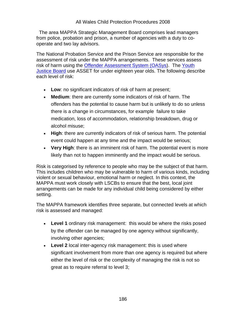The area MAPPA Strategic Management Board comprises lead managers from police, probation and prison, a number of agencies with a duty to cooperate and two lay advisors.

The National Probation Service and the Prison Service are responsible for the assessment of risk under the MAPPA arrangements. These services assess [risk of harm using the O](http://www.yjb.gov.uk/en-gb/)[ffender Assessment System \(OASys\).](http://www.probation.homeoffice.gov.uk/files/pdf/Info%20for%20sentencers%203.pdf) [The Youth](http://www.yjb.gov.uk/en-gb/)  **Justice Board use ASSET for under eighteen year olds. The following describe** each level of risk:

- **Low**: no significant indicators of risk of harm at present;
- **Medium**: there are currently some indicators of risk of harm. The offenders has the potential to cause harm but is unlikely to do so unless there is a change in circumstances, for example failure to take medication, loss of accommodation, relationship breakdown, drug or alcohol misuse;
- **High**: there are currently indicators of risk of serious harm. The potential event could happen at any time and the impact would be serious;
- **Very High**: there is an imminent risk of harm. The potential event is more likely than not to happen imminently and the impact would be serious.

Risk is categorised by reference to people who may be the subject of that harm. This includes children who may be vulnerable to harm of various kinds, including violent or sexual behaviour, emotional harm or neglect. In this context, the MAPPA must work closely with LSCBs to ensure that the best, local joint arrangements can be made for any individual child being considered by either setting.

The MAPPA framework identifies three separate, but connected levels at which risk is assessed and managed:

- **Level 1** ordinary risk management: this would be where the risks posed by the offender can be managed by one agency without significantly, involving other agencies;
- **Level 2** local inter-agency risk management: this is used where significant involvement from more than one agency is required but where either the level of risk or the complexity of managing the risk is not so great as to require referral to level 3;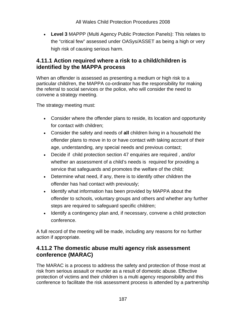• **Level 3** MAPPP (Multi Agency Public Protection Panels): This relates to the "critical few" assessed under OASys/ASSET as being a high or very high risk of causing serious harm.

### **4.11.1 Action required where a risk to a child/children is identified by the MAPPA process**

When an offender is assessed as presenting a medium or high risk to a particular child/ren, the MAPPA co-ordinator has the responsibility for making the referral to social services or the police, who will consider the need to convene a strategy meeting.

The strategy meeting must:

- Consider where the offender plans to reside, its location and opportunity for contact with children;
- Consider the safety and needs of **all** children living in a household the offender plans to move in to or have contact with taking account of their age, understanding, any special needs and previous contact;
- Decide if child protection section 47 enquiries are required , and/or whether an assessment of a child's needs is required for providing a service that safeguards and promotes the welfare of the child;
- Determine what need, if any, there is to identify other children the offender has had contact with previously;
- Identify what information has been provided by MAPPA about the offender to schools, voluntary groups and others and whether any further steps are required to safeguard specific children;
- Identify a contingency plan and, if necessary, convene a child protection conference.

A full record of the meeting will be made, including any reasons for no further action if appropriate.

### **4.11.2 The domestic abuse multi agency risk assessment conference (MARAC)**

The MARAC is a process to address the safety and protection of those most at risk from serious assault or murder as a result of domestic abuse. Effective protection of victims and their children is a multi agency responsibility and this conference to facilitate the risk assessment process is attended by a partnership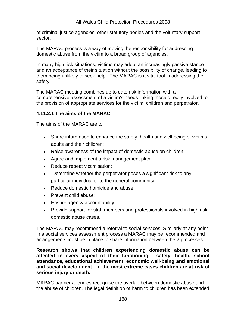of criminal justice agencies, other statutory bodies and the voluntary support sector.

The MARAC process is a way of moving the responsibility for addressing domestic abuse from the victim to a broad group of agencies.

In many high risk situations, victims may adopt an increasingly passive stance and an acceptance of their situation without the possibility of change, leading to them being unlikely to seek help. The MARAC is a vital tool in addressing their safety.

The MARAC meeting combines up to date risk information with a comprehensive assessment of a victim's needs linking those directly involved to the provision of appropriate services for the victim, children and perpetrator.

#### **4.11.2.1 The aims of the MARAC.**

The aims of the MARAC are to:

- Share information to enhance the safety, health and well being of victims, adults and their children;
- Raise awareness of the impact of domestic abuse on children;
- Agree and implement a risk management plan;
- Reduce repeat victimisation;
- Determine whether the perpetrator poses a significant risk to any particular individual or to the general community;
- Reduce domestic homicide and abuse;
- Prevent child abuse;
- Ensure agency accountability;
- Provide support for staff members and professionals involved in high risk domestic abuse cases.

The MARAC may recommend a referral to social services. Similarly at any point in a social services assessment process a MARAC may be recommended and arrangements must be in place to share information between the 2 processes.

**Research shows that children experiencing domestic abuse can be affected in every aspect of their functioning - safety, health, school attendance, educational achievement, economic well-being and emotional and social development. In the most extreme cases children are at risk of serious injury or death.** 

MARAC partner agencies recognise the overlap between domestic abuse and the abuse of children. The legal definition of harm to children has been extended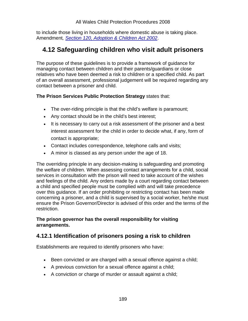to include those living in households where domestic abuse is taking place. Amendment*, [Section 120, Adoption & Children Act 2002](http://www.opsi.gov.uk/acts/acts2002/en/ukpgaen_20020038_en_1.htm)*.

# **4.12 Safeguarding children who visit adult prisoners**

The purpose of these guidelines is to provide a framework of guidance for managing contact between children and their parents/guardians or close relatives who have been deemed a risk to children or a specified child. As part of an overall assessment, professional judgement will be required regarding any contact between a prisoner and child.

#### **The Prison Services Public Protection Strategy** states that:

- The over-riding principle is that the child's welfare is paramount;
- Any contact should be in the child's best interest;
- It is necessary to carry out a risk assessment of the prisoner and a best interest assessment for the child in order to decide what, if any, form of contact is appropriate;
- Contact includes correspondence, telephone calls and visits;
- A minor is classed as any person under the age of 18.

The overriding principle in any decision-making is safeguarding and promoting the welfare of children. When assessing contact arrangements for a child, social services in consultation with the prison will need to take account of the wishes and feelings of the child. Any orders made by a court regarding contact between a child and specified people must be complied with and will take precedence over this guidance. If an order prohibiting or restricting contact has been made concerning a prisoner, and a child is supervised by a social worker, he/she must ensure the Prison Governor/Director is advised of this order and the terms of the restriction.

#### **The prison governor has the overall responsibility for visiting arrangements.**

# **4.12.1 Identification of prisoners posing a risk to children**

Establishments are required to identify prisoners who have:

- Been convicted or are charged with a sexual offence against a child;
- A previous conviction for a sexual offence against a child;
- A conviction or charge of murder or assault against a child;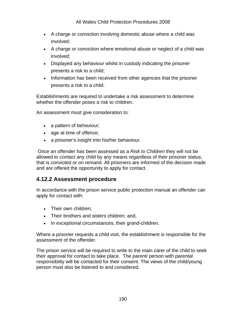- A charge or conviction involving domestic abuse where a child was involved;
- A charge or conviction where emotional abuse or neglect of a child was involved;
- Displayed any behaviour whilst in custody indicating the prisoner presents a risk to a child;
- Information has been received from other agencies that the prisoner presents a risk to a child.

Establishments are required to undertake a risk assessment to determine whether the offender poses a risk to children.

An assessment must give consideration to:

- a pattern of behaviour;
- age at time of offence;
- a prisoner's insight into his/her behaviour.

 Once an offender has been assessed as a *Risk to Children* they will not be allowed to contact any child by any means regardless of their prisoner status, that is convicted or on remand. All prisoners are informed of the decision made and are offered the opportunity to apply for contact.

#### **4.12.2 Assessment procedure**

In accordance with the prison service public protection manual an offender can apply for contact with:

- Their own children:
- Their brothers and sisters children; and,
- In exceptional circumstances, their grand-children.

Where a prisoner requests a child visit, the establishment is responsible for the assessment of the offender.

The prison service will be required to write to the main carer of the child to seek their approval for contact to take place. The parent/ person with parental responsibility will be contacted for their consent. The views of the child/young person must also be listened to and considered.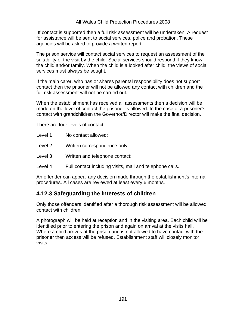If contact is supported then a full risk assessment will be undertaken. A request for assistance will be sent to social services, police and probation. These agencies will be asked to provide a written report.

The prison service will contact social services to request an assessment of the suitability of the visit by the child. Social services should respond if they know the child and/or family. When the child is a looked after child, the views of social services must always be sought.

If the main carer, who has or shares parental responsibility does not support contact then the prisoner will not be allowed any contact with children and the full risk assessment will not be carried out.

When the establishment has received all assessments then a decision will be made on the level of contact the prisoner is allowed. In the case of a prisoner's contact with grandchildren the Governor/Director will make the final decision.

There are four levels of contact:

- Level 1 No contact allowed;
- Level 2 Written correspondence only;
- Level 3 Written and telephone contact;
- Level 4 Full contact including visits, mail and telephone calls.

An offender can appeal any decision made through the establishment's internal procedures. All cases are reviewed at least every 6 months.

### **4.12.3 Safeguarding the interests of children**

Only those offenders identified after a thorough risk assessment will be allowed contact with children.

A photograph will be held at reception and in the visiting area. Each child will be identified prior to entering the prison and again on arrival at the visits hall. Where a child arrives at the prison and is not allowed to have contact with the prisoner then access will be refused. Establishment staff will closely monitor visits.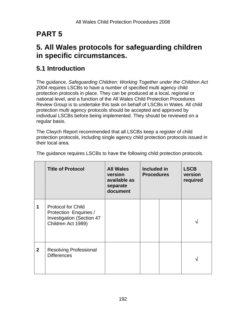# **PART 5**

# **5. All Wales protocols for safeguarding children in specific circumstances.**

# **5.1 Introduction**

The guidance, *[Safeguarding Children: Working Together under the Children Act](http://wales.gov.uk/topics/childrenyoungpeople/publications/safeguardingunder2004act;jsessionid=RJvCKydbY6xdtL6pb4KGwkc7lx8Bm0htDstlL42PqT3KyF023WYb!-826231897?lang=en)  2004 r*equires LSCBs to have a number of specified multi agency child protection protocols in place. They can be produced at a local, regional or national level, and a function of the All Wales Child Protection Procedures Review Group is to undertake this task on behalf of LSCBs in Wales. All child protection multi agency protocols should be accepted and approved by individual LSCBs before being implemented. They should be reviewed on a regular basis.

The Clwych Report recommended that all LSCBs keep a register of child protection protocols, including single agency child protection protocols issued in their local area.

|                | <b>Title of Protocol</b>                                                                                      | <b>All Wales</b><br>version<br>available as<br>separate<br>document | Included in<br><b>Procedures</b> | <b>LSCB</b><br>version<br>required |
|----------------|---------------------------------------------------------------------------------------------------------------|---------------------------------------------------------------------|----------------------------------|------------------------------------|
| 1              | <b>Protocol for Child</b><br>Protection Enquiries /<br><b>Investigation (Section 47</b><br>Children Act 1989) |                                                                     |                                  | N                                  |
| $\overline{2}$ | <b>Resolving Professional</b><br><b>Differences</b>                                                           |                                                                     |                                  | N                                  |

The guidance requires LSCBs to have the following child protection protocols.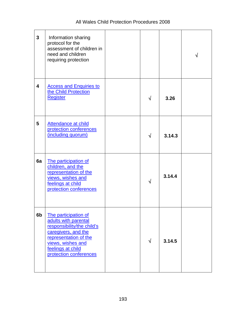| $\mathbf{3}$            | Information sharing<br>protocol for the<br>assessment of children in<br>need and children<br>requiring protection                                                                              |            |        | √ |
|-------------------------|------------------------------------------------------------------------------------------------------------------------------------------------------------------------------------------------|------------|--------|---|
| $\overline{\mathbf{4}}$ | <b>Access and Enquiries to</b><br>the Child Protection<br><b>Register</b>                                                                                                                      | $\sqrt{ }$ | 3.26   |   |
| 5                       | Attendance at child<br>protection conferences<br>(including quorum)                                                                                                                            | $\sqrt{ }$ | 3.14.3 |   |
| 6a                      | The participation of<br>children, and the<br>representation of the<br>views, wishes and<br>feelings at child<br>protection conferences                                                         | √          | 3.14.4 |   |
| 6b                      | The participation of<br>adults with parental<br>responsibility/the child's<br>caregivers, and the<br>representation of the<br>views, wishes and<br>feelings at child<br>protection conferences | $\sqrt{ }$ | 3.14.5 |   |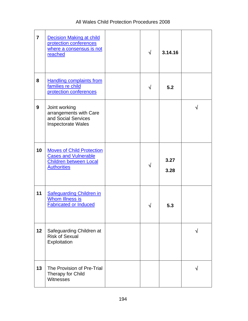| $\overline{7}$ | <b>Decision Making at child</b><br>protection conferences<br>where a consensus is not<br>reached                       | $\sqrt{ }$ | 3.14.16      |    |
|----------------|------------------------------------------------------------------------------------------------------------------------|------------|--------------|----|
| 8              | <b>Handling complaints from</b><br>families re child<br>protection conferences                                         | √          | 5.2          |    |
| 9              | Joint working<br>arrangements with Care<br>and Social Services<br>Inspectorate Wales                                   |            |              | √  |
| 10             | <b>Moves of Child Protection</b><br><b>Cases and Vulnerable</b><br><b>Children between Local</b><br><b>Authorities</b> | √          | 3.27<br>3.28 |    |
| 11             | <b>Safeguarding Children in</b><br><b>Whom Illness is</b><br><b>Fabricated or Induced</b>                              |            | 5.3          |    |
| 12             | Safeguarding Children at<br><b>Risk of Sexual</b><br>Exploitation                                                      |            |              | √  |
| 13             | The Provision of Pre-Trial<br>Therapy for Child<br>Witnesses                                                           |            |              | ٦J |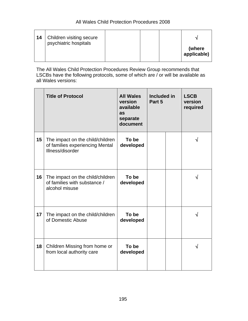| 14 | Children visiting secure<br>psychiatric hospitals |  | $\bullet$             |
|----|---------------------------------------------------|--|-----------------------|
|    |                                                   |  | (where<br>applicable) |

The All Wales Child Protection Procedures Review Group recommends that LSCBs have the following protocols, some of which are / or will be available as all Wales versions:

|    | <b>Title of Protocol</b>                                                                | <b>All Wales</b><br>version<br>available<br>as<br>separate<br>document | Included in<br>Part 5 |  | <b>LSCB</b><br>version<br>required |
|----|-----------------------------------------------------------------------------------------|------------------------------------------------------------------------|-----------------------|--|------------------------------------|
| 15 | The impact on the child/children<br>of families experiencing Mental<br>Illness/disorder | To be<br>developed                                                     |                       |  | ٦J                                 |
| 16 | The impact on the child/children<br>of families with substance /<br>alcohol misuse      | To be<br>developed                                                     |                       |  | √                                  |
| 17 | The impact on the child/children<br>of Domestic Abuse                                   | To be<br>developed                                                     |                       |  | $\sqrt{}$                          |
| 18 | Children Missing from home or<br>from local authority care                              | To be<br>developed                                                     |                       |  | ٦J                                 |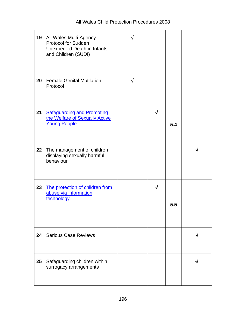| 19 | All Wales Multi-Agency<br><b>Protocol for Sudden</b><br>Unexpected Death in Infants<br>and Children (SUDI) |           |     |    |
|----|------------------------------------------------------------------------------------------------------------|-----------|-----|----|
| 20 | <b>Female Genital Mutilation</b><br>Protocol                                                               |           |     |    |
| 21 | <b>Safeguarding and Promoting</b><br>the Welfare of Sexually Active<br><b>Young People</b>                 | $\sqrt{}$ | 5.4 |    |
| 22 | The management of children<br>displaying sexually harmful<br>behaviour                                     |           |     | N  |
| 23 | The protection of children from<br>abuse via information<br>technology                                     |           | 5.5 |    |
| 24 | <b>Serious Case Reviews</b>                                                                                |           |     | ٦J |
| 25 | Safeguarding children within<br>surrogacy arrangements                                                     |           |     |    |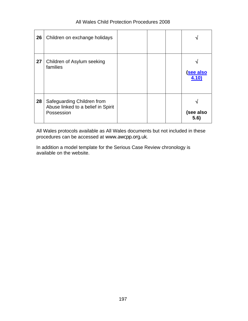| 26 | Children on exchange holidays                                                  |  | ٩.                |
|----|--------------------------------------------------------------------------------|--|-------------------|
| 27 | Children of Asylum seeking<br>families                                         |  | see also<br>4.10) |
| 28 | Safeguarding Children from<br>Abuse linked to a belief in Spirit<br>Possession |  | (see also<br>5.6) |

All Wales protocols available as All Wales documents but not included in these procedures can be accessed at www.awcpp.org.uk.

In addition a model template for the Serious Case Review chronology is available on the website.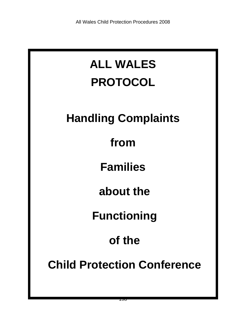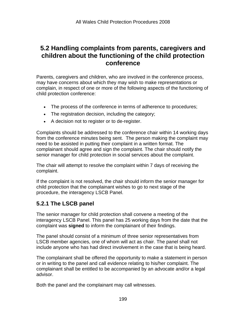# **5.2 Handling complaints from parents, caregivers and children about the functioning of the child protection conference**

Parents, caregivers and children, who are involved in the conference process, may have concerns about which they may wish to make representations or complain, in respect of one or more of the following aspects of the functioning of child protection conference:

- The process of the conference in terms of adherence to procedures;
- The registration decision, including the category;
- A decision not to register or to de-register.

Complaints should be addressed to the conference chair within 14 working days from the conference minutes being sent. The person making the complaint may need to be assisted in putting their complaint in a written format. The complainant should agree and sign the complaint. The chair should notify the senior manager for child protection in social services about the complaint.

The chair will attempt to resolve the complaint within 7 days of receiving the complaint.

If the complaint is not resolved, the chair should inform the senior manager for child protection that the complainant wishes to go to next stage of the procedure, the interagency LSCB Panel.

# **5.2.1 The LSCB panel**

The senior manager for child protection shall convene a meeting of the interagency LSCB Panel. This panel has 25 working days from the date that the complaint was **signed** to inform the complainant of their findings.

The panel should consist of a minimum of three senior representatives from LSCB member agencies, one of whom will act as chair. The panel shall not include anyone who has had direct involvement in the case that is being heard.

The complainant shall be offered the opportunity to make a statement in person or in writing to the panel and call evidence relating to his/her complaint. The complainant shall be entitled to be accompanied by an advocate and/or a legal advisor.

Both the panel and the complainant may call witnesses.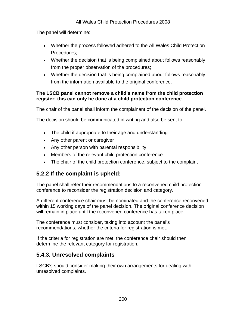The panel will determine:

- Whether the process followed adhered to the All Wales Child Protection Procedures;
- Whether the decision that is being complained about follows reasonably from the proper observation of the procedures;
- Whether the decision that is being complained about follows reasonably from the information available to the original conference.

#### **The LSCB panel cannot remove a child's name from the child protection register; this can only be done at a child protection conference**

The chair of the panel shall inform the complainant of the decision of the panel.

The decision should be communicated in writing and also be sent to:

- The child if appropriate to their age and understanding
- Any other parent or caregiver
- Any other person with parental responsibility
- Members of the relevant child protection conference
- The chair of the child protection conference, subject to the complaint

# **5.2.2 If the complaint is upheld:**

The panel shall refer their recommendations to a reconvened child protection conference to reconsider the registration decision and category.

A different conference chair must be nominated and the conference reconvened within 15 working days of the panel decision. The original conference decision will remain in place until the reconvened conference has taken place.

The conference must consider, taking into account the panel's recommendations, whether the criteria for registration is met.

If the criteria for registration are met, the conference chair should then determine the relevant category for registration.

### **5.4.3. Unresolved complaints**

LSCB's should consider making their own arrangements for dealing with unresolved complaints.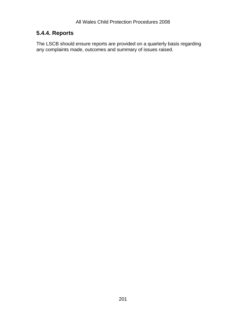# **5.4.4. Reports**

The LSCB should ensure reports are provided on a quarterly basis regarding any complaints made, outcomes and summary of issues raised.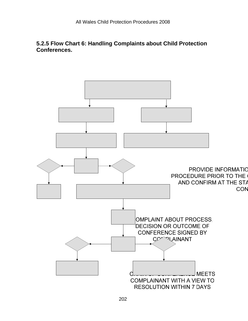### **5.2.5 Flow Chart 6: Handling Complaints about Child Protection Conferences.**

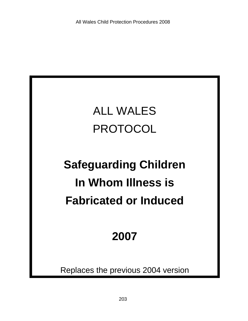

Replaces the previous 2004 version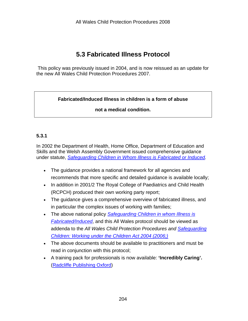# **5.3 Fabricated Illness Protocol**

 This policy was previously issued in 2004, and is now reissued as an update for the new All Wales Child Protection Procedures 2007.

#### **Fabricated/Induced Illness in children is a form of abuse**

#### **not a medical condition.**

#### **5.3.1**

In 2002 the Department of Health, Home Office, Department of Education and Skills and the Welsh Assembly Government issued comprehensive guidance under statute, *[Safeguarding Children in Whom Illness is Fabricated or Induced.](http://wales.gov.uk/topics/childrenyoungpeople/publications/illnessfabricated/;jsessionid=f1dyKDQJTdsqmy1Qy2gftyXTfGJl77DmvvN3R6gKHbGvwlbQyQQX!1555076423?lang=en)*

- The guidance provides a national framework for all agencies and recommends that more specific and detailed guidance is available locally;
- In addition in 2001/2 The Royal College of Paediatrics and Child Health (RCPCH) produced their own working party report;
- The guidance gives a comprehensive overview of fabricated illness, and in particular the complex issues of working with families;
- The above national policy *Safeguarding Children in whom Illness is Fabricated/Induced*[, and this All Wales protocol should be viewed a](http://wales.gov.uk/topics/childrenyoungpeople/publications/illnessfabricated/;jsessionid=f1dyKDQJTdsqmy1Qy2gftyXTfGJl77DmvvN3R6gKHbGvwlbQyQQX!1555076423?lang=en)s addenda to the *[All Wales Child Protection Procedures and Safeguarding](http://cymru.gov.uk/publications/circular/2007/1637402/;jsessionid=g9DpKlCZxp5lnGNsJTFYpnnYR72vVy1DFhz2NZJ6bpcHx9y4Tg17!514291769?lang=en) Children: Working under the Children Act 2004 (2006;)*
- The above documents should be available to practitioners and must be read in conjunction with this protocol;
- A training pack for professionals is now available: **'Incredibly Caring'.**  ([Radcliffe Publishing Oxford\)](http://www.radcliffe-oxford.com/)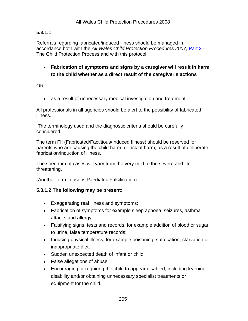#### **5.3.1.1**

Referrals regarding fabricated/induced illness should be managed in accordance both with the *All Wales Child Protection Procedures 2007*, Part 3 – The Child Protection Process and with this protocol.

• **Fabrication of symptoms and signs by a caregiver will result in harm to the child whether as a direct result of the caregiver's actions** 

OR

• as a result of unnecessary medical investigation and treatment.

All professionals in all agencies should be alert to the possibility of fabricated illness.

 The terminology used and the diagnostic criteria should be carefully considered.

The term FII (Fabricated/Factitious/Induced Illness) should be reserved for parents who are causing the child harm, or risk of harm, as a result of deliberate fabrication/induction of illness.

The spectrum of cases will vary from the very mild to the severe and life threatening.

(Another term in use is Paediatric Falsification)

#### **5.3.1.2 The following may be present:**

- Exaggerating real illness and symptoms;
- Fabrication of symptoms for example sleep apnoea, seizures, asthma attacks and allergy;
- Falsifying signs, tests and records, for example addition of blood or sugar to urine, false temperature records;
- Inducing physical illness, for example poisoning, suffocation, starvation or inappropriate diet;
- Sudden unexpected death of infant or child;
- False allegations of abuse;
- Encouraging or requiring the child to appear disabled, including learning disability and/or obtaining unnecessary specialist treatments or equipment for the child.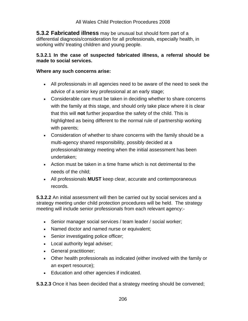**5.3.2 Fabricated illness** may be unusual but should form part of a differential diagnosis/consideration for all professionals, especially health, in working with/ treating children and young people.

#### **5.3.2.1 In the case of suspected fabricated illness, a referral should be made to social services.**

#### **Where any such concerns arise:**

- All professionals in all agencies need to be aware of the need to seek the advice of a senior key professional at an early stage;
- Considerable care must be taken in deciding whether to share concerns with the family at this stage, and should only take place where it is clear that this will **not** further jeopardise the safety of the child. This is highlighted as being different to the normal rule of partnership working with parents;
- Consideration of whether to share concerns with the family should be a multi-agency shared responsibility, possibly decided at a professional/strategy meeting when the initial assessment has been undertaken;
- Action must be taken in a time frame which is not detrimental to the needs of the child;
- All professionals **MUST** keep clear, accurate and contemporaneous records.

**5.3.2.2** An initial assessment will then be carried out by social services and a strategy meeting under child protection procedures will be held. The strategy meeting will include senior professionals from each relevant agency:-

- Senior manager social services / team leader / social worker;
- Named doctor and named nurse or equivalent;
- Senior investigating police officer;
- Local authority legal adviser;
- General practitioner;
- Other health professionals as indicated (either involved with the family or an expert resource);
- Education and other agencies if indicated.

**5.3.2.3** Once it has been decided that a strategy meeting should be convened;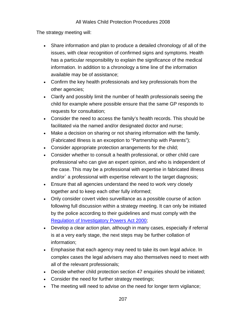The strategy meeting will:

- Share information and plan to produce a detailed chronology of all of the issues, with clear recognition of confirmed signs and symptoms. Health has a particular responsibility to explain the significance of the medical information. In addition to a chronology a time line of the information available may be of assistance;
- Confirm the key health professionals and key professionals from the other agencies;
- Clarify and possibly limit the number of health professionals seeing the child for example where possible ensure that the same GP responds to requests for consultation;
- Consider the need to access the family's health records. This should be facilitated via the named and/or designated doctor and nurse;
- Make a decision on sharing or not sharing information with the family. (Fabricated Illness is an exception to "Partnership with Parents");
- Consider appropriate protection arrangements for the child;
- Consider whether to consult a health professional, or other child care professional who can give an expert opinion, and who is independent of the case. This may be a professional with expertise in fabricated illness and/or` a professional with expertise relevant to the target diagnosis;
- Ensure that all agencies understand the need to work very closely together and to keep each other fully informed;
- Only consider covert video surveillance as a possible course of action following full discussion within a strategy meeting. It can only be initiated by the police according to their guidelines and must comply with the [Regulation of Investigatory Powers Act 2000;](http://www.opsi.gov.uk/acts/acts2000/ukpga_20000023_en_1)
- Develop a clear action plan, although in many cases, especially if referral is at a very early stage, the next steps may be further collation of information;
- Emphasise that each agency may need to take its own legal advice. In complex cases the legal advisers may also themselves need to meet with all of the relevant professionals;
- Decide whether child protection section 47 enquiries should be initiated;
- Consider the need for further strategy meetings;
- The meeting will need to advise on the need for longer term vigilance;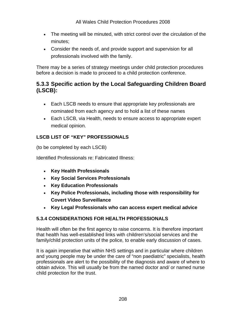- The meeting will be minuted, with strict control over the circulation of the minutes;
- Consider the needs of, and provide support and supervision for all professionals involved with the family.

There may be a series of strategy meetings under child protection procedures before a decision is made to proceed to a child protection conference.

### **5.3.3 Specific action by the Local Safeguarding Children Board (LSCB):**

- Each LSCB needs to ensure that appropriate key professionals are nominated from each agency and to hold a list of these names
- Each LSCB, via Health, needs to ensure access to appropriate expert medical opinion.

### **LSCB LIST OF "KEY" PROFESSIONALS**

(to be completed by each LSCB)

Identified Professionals re: Fabricated Illness:

- **Key Health Professionals**
- **Key Social Services Professionals**
- **Key Education Professionals**
- **Key Police Professionals, including those with responsibility for Covert Video Surveillance**
- **Key Legal Professionals who can access expert medical advice**

#### **5.3.4 CONSIDERATIONS FOR HEALTH PROFESSIONALS**

Health will often be the first agency to raise concerns. It is therefore important that health has well-established links with children's/social services and the family/child protection units of the police, to enable early discussion of cases.

It is again imperative that within NHS settings and in particular where children and young people may be under the care of "non paediatric" specialists, health professionals are alert to the possibility of the diagnosis and aware of where to obtain advice. This will usually be from the named doctor and/ or named nurse child protection for the trust.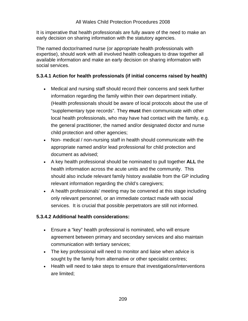It is imperative that health professionals are fully aware of the need to make an early decision on sharing information with the statutory agencies.

The named doctor/named nurse (or appropriate health professionals with expertise), should work with all involved health colleagues to draw together all available information and make an early decision on sharing information with social services.

#### **5.3.4.1 Action for health professionals (if initial concerns raised by health)**

- Medical and nursing staff should record their concerns and seek further information regarding the family within their own department initially. (Health professionals should be aware of local protocols about the use of "supplementary type records". They **must** then communicate with other local health professionals, who may have had contact with the family, e.g. the general practitioner, the named and/or designated doctor and nurse child protection and other agencies;
- Non- medical / non-nursing staff in health should communicate with the appropriate named and/or lead professional for child protection and document as advised;
- A key health professional should be nominated to pull together **ALL** the health information across the acute units and the community. This should also include relevant family history available from the GP including relevant information regarding the child's caregivers;
- A health professionals' meeting may be convened at this stage including only relevant personnel, or an immediate contact made with social services. It is crucial that possible perpetrators are still not informed.

#### **5.3.4.2 Additional health considerations:**

- Ensure a "key" health professional is nominated, who will ensure agreement between primary and secondary services and also maintain communication with tertiary services;
- The key professional will need to monitor and liaise when advice is sought by the family from alternative or other specialist centres;
- Health will need to take steps to ensure that investigations/interventions are limited;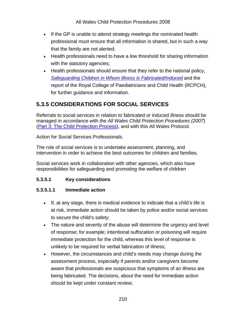- If the GP is unable to attend strategy meetings the nominated health professional must ensure that all information is shared, but in such a way that the family are not alerted;
- Health professionals need to have a low threshold for sharing information with the statutory agencies;
- Health professionals should ensure that they refer to the national policy, *[Safeguarding Children in Whom Illness is Fabricated/Induced](http://wales.gov.uk/topics/childrenyoungpeople/publications/illnessfabricated/;jsessionid=f1dyKDQJTdsqmy1Qy2gftyXTfGJl77DmvvN3R6gKHbGvwlbQyQQX!1555076423?lang=en)* and the report of the Royal College of Paediatricians and Child Health (RCPCH), for further guidance and information.

# **5.3.5 CONSIDERATIONS FOR SOCIAL SERVICES**

Referrals to social services in relation to fabricated or induced illness should be managed in accordance with *the All Wales Child Protection Procedures (2007*) (Part 3: The Child Protection Process), and with this All Wales Protocol.

Action for Social Services Professionals.

The role of social services is to undertake assessment, planning, and intervention in order to achieve the best outcomes for children and families.

Social services work in collaboration with other agencies, which also have responsibilities for safeguarding and promoting the welfare of children

#### **5.3.5.1 Key considerations**

#### **5.3.5.1.1 Immediate action**

- If, at any stage, there is medical evidence to indicate that a child's life is at risk, immediate action should be taken by police and/or social services to secure the child's safety;
- The nature and severity of the abuse will determine the urgency and level of response; for example; intentional suffocation or poisoning will require immediate protection for the child, whereas this level of response is unlikely to be required for verbal fabrication of illness;
- However, the circumstances and child's needs may change during the assessment process, especially if parents and/or caregivers become aware that professionals are suspicious that symptoms of an illness are being fabricated. The decisions, about the need for immediate action should be kept under constant review;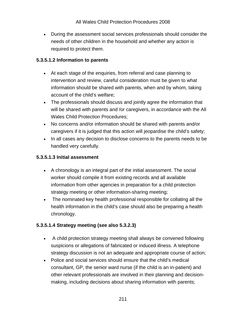• During the assessment social services professionals should consider the needs of other children in the household and whether any action is required to protect them.

#### **5.3.5.1.2 Information to parents**

- At each stage of the enquiries, from referral and case planning to intervention and review, careful consideration must be given to what information should be shared with parents, when and by whom, taking account of the child's welfare;
- The professionals should discuss and jointly agree the information that will be shared with parents and /or caregivers, in accordance with the All Wales Child Protection Procedures;
- No concerns and/or information should be shared with parents and/or caregivers if it is judged that this action will jeopardise the child's safety;
- In all cases any decision to disclose concerns to the parents needs to be handled very carefully.

#### **5.3.5.1.3 Initial assessment**

- A chronology is an integral part of the initial assessment. The social worker should compile it from existing records and all available information from other agencies in preparation for a child protection strategy meeting or other information-sharing meeting;
- The nominated key health professional responsible for collating all the health information in the child's case should also be preparing a health chronology.

#### **5.3.5.1.4 Strategy meeting (see also 5.3.2.3)**

- A child protection strategy meeting shall always be convened following suspicions or allegations of fabricated or induced illness. A telephone strategy discussion is not an adequate and appropriate course of action;
- Police and social services should ensure that the child's medical consultant, GP, the senior ward nurse (if the child is an in-patient) and other relevant professionals are involved in their planning and decisionmaking, including decisions about sharing information with parents;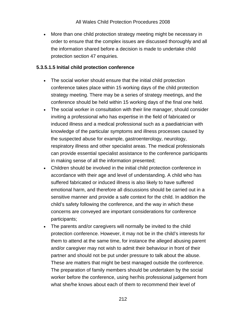• More than one child protection strategy meeting might be necessary in order to ensure that the complex issues are discussed thoroughly and all the information shared before a decision is made to undertake child protection section 47 enquiries.

#### **5.3.5.1.5 Initial child protection conference**

- The social worker should ensure that the initial child protection conference takes place within 15 working days of the child protection strategy meeting. There may be a series of strategy meetings, and the conference should be held within 15 working days of the final one held.
- The social worker in consultation with their line manager, should consider inviting a professional who has expertise in the field of fabricated or induced illness and a medical professional such as a paediatrician with knowledge of the particular symptoms and illness processes caused by the suspected abuse for example, gastroenterology, neurology, respiratory illness and other specialist areas. The medical professionals can provide essential specialist assistance to the conference participants in making sense of all the information presented;
- Children should be involved in the initial child protection conference in accordance with their age and level of understanding. A child who has suffered fabricated or induced illness is also likely to have suffered emotional harm, and therefore all discussions should be carried out in a sensitive manner and provide a safe context for the child. In addition the child's safety following the conference, and the way in which these concerns are conveyed are important considerations for conference participants;
- The parents and/or caregivers will normally be invited to the child protection conference. However, it may not be in the child's interests for them to attend at the same time, for instance the alleged abusing parent and/or caregiver may not wish to admit their behaviour in front of their partner and should not be put under pressure to talk about the abuse. These are matters that might be best managed outside the conference. The preparation of family members should be undertaken by the social worker before the conference, using her/his professional judgement from what she/he knows about each of them to recommend their level of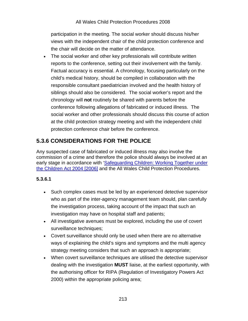participation in the meeting. The social worker should discuss his/her views with the independent chair of the child protection conference and the chair will decide on the matter of attendance.

• The social worker and other key professionals will contribute written reports to the conference, setting out their involvement with the family. Factual accuracy is essential. A chronology, focusing particularly on the child's medical history, should be compiled in collaboration with the responsible consultant paediatrician involved and the health history of siblings should also be considered. The social worker's report and the chronology will **not** routinely be shared with parents before the conference following allegations of fabricated or induced illness. The social worker and other professionals should discuss this course of action at the child protection strategy meeting and with the independent child protection conference chair before the conference.

# **5.3.6 CONSIDERATIONS FOR THE POLICE**

Any suspected case of fabricated or induced illness may also involve the commission of a crime and therefore the police should always be involved at an [early stage in accordance with 'Safeguarding Children: Working Together under](http://cymru.gov.uk/publications/circular/2007/1637402/;jsessionid=g9DpKlCZxp5lnGNsJTFYpnnYR72vVy1DFhz2NZJ6bpcHx9y4Tg17!514291769?lang=en)  the Children Act 2004 [2006] and the All Wales Child Protection Procedures.

#### **5.3.6.1**

- Such complex cases must be led by an experienced detective supervisor who as part of the inter-agency management team should, plan carefully the investigation process, taking account of the impact that such an investigation may have on hospital staff and patients;
- All investigative avenues must be explored, including the use of covert surveillance techniques;
- Covert surveillance should only be used when there are no alternative ways of explaining the child's signs and symptoms and the multi agency strategy meeting considers that such an approach is appropriate;
- When covert surveillance techniques are utilised the detective supervisor dealing with the investigation **MUST** liaise, at the earliest opportunity, with the authorising officer for RIPA (Regulation of Investigatory Powers Act 2000) within the appropriate policing area;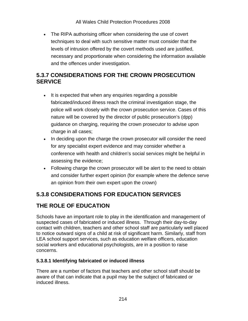• The RIPA authorising officer when considering the use of covert techniques to deal with such sensitive matter must consider that the levels of intrusion offered by the covert methods used are justified, necessary and proportionate when considering the information available and the offences under investigation.

# **5.3.7 CONSIDERATIONS FOR THE CROWN PROSECUTION SERVICE**

- It is expected that when any enquiries regarding a possible fabricated/induced illness reach the criminal investigation stage, the police will work closely with the crown prosecution service. Cases of this nature will be covered by the director of public prosecution's (dpp) guidance on charging, requiring the crown prosecutor to advise upon charge in all cases;
- In deciding upon the charge the crown prosecutor will consider the need for any specialist expert evidence and may consider whether a conference with health and children's social services might be helpful in assessing the evidence;
- Following charge the crown prosecutor will be alert to the need to obtain and consider further expert opinion (for example where the defence serve an opinion from their own expert upon the crown)

# **5.3.8 CONSIDERATIONS FOR EDUCATION SERVICES**

# **THE ROLE OF EDUCATION**

Schools have an important role to play in the identification and management of suspected cases of fabricated or induced illness. Through their day-to-day contact with children, teachers and other school staff are particularly well placed to notice outward signs of a child at risk of significant harm. Similarly, staff from LEA school support services, such as education welfare officers, education social workers and educational psychologists, are in a position to raise concerns.

#### **5.3.8.1 Identifying fabricated or induced illness**

There are a number of factors that teachers and other school staff should be aware of that can indicate that a pupil may be the subject of fabricated or induced illness.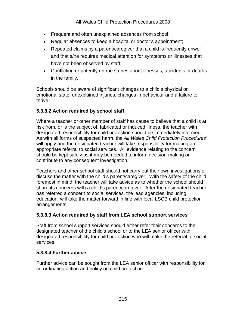- Frequent and often unexplained absences from school;
- Regular absences to keep a hospital or doctor's appointment;
- Repeated claims by a parent/caregiver that a child is frequently unwell and that s/he requires medical attention for symptoms or illnesses that have not been observed by staff;
- Conflicting or patently untrue stories about illnesses, accidents or deaths in the family.

Schools should be aware of significant changes to a child's physical or emotional state, unexplained injuries, changes in behaviour and a failure to thrive.

#### **5.3.8.2 Action required by school staff**

Where a teacher or other member of staff has cause to believe that a child is at risk from, or is the subject of, fabricated or induced illness, the teacher with designated responsibility for child protection should be immediately informed. As with all forms of suspected harm, the *All Wales Child Protection Procedures'* will apply and the designated teacher will take responsibility for making an appropriate referral to social services. All evidence relating to the concern should be kept safely as it may be needed to inform decision-making or contribute to any consequent investigation.

Teachers and other school staff should not carry out their own investigations or discuss the matter with the child's parent/caregiver. With the safety of the child foremost in mind, the teacher will take advice as to whether the school should share its concerns with a child's parent/caregiver. After the designated teacher has referred a concern to social services, the lead agencies, including education, will take the matter forward in line with local LSCB child protection arrangements.

#### **5.3.8.3 Action required by staff from LEA school support services**

Staff from school support services should either refer their concerns to the designated teacher of the child's school or to the LEA senior officer with designated responsibility for child protection who will make the referral to social services.

#### **5.3.8.4 Further advice**

Further advice can be sought from the LEA senior officer with responsibility for co-ordinating action and policy on child protection.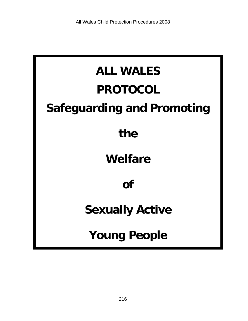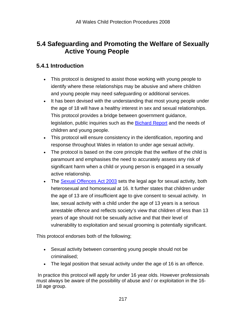# **5.4 Safeguarding and Promoting the Welfare of Sexually Active Young People**

# **5.4.1 Introduction**

- This protocol is designed to assist those working with young people to identify where these relationships may be abusive and where children and young people may need safeguarding or additional services.
- It has been devised with the understanding that most young people under the age of 18 will have a healthy interest in sex and sexual relationships. This protocol provides a bridge between government guidance, legislation, public inquiries such as the [Bichard Report](http://police.homeoffice.gov.uk/publications/operational-policing/bichard-inquiry-report?view=Binary) and the needs of children and young people.
- This protocol will ensure consistency in the identification, reporting and response throughout Wales in relation to under age sexual activity.
- The protocol is based on the core principle that the welfare of the child is paramount and emphasises the need to accurately assess any risk of significant harm when a child or young person is engaged in a sexually active relationship.
- The [Sexual Offences Act 2003](http://www.opsi.gov.uk/acts/acts2003/ukpga_20030042_en_1) sets the legal age for sexual activity, both heterosexual and homosexual at 16. It further states that children under the age of 13 are of insufficient age to give consent to sexual activity. In law, sexual activity with a child under the age of 13 years is a serious arrestable offence and reflects society's view that children of less than 13 years of age should not be sexually active and that their level of vulnerability to exploitation and sexual grooming is potentially significant.

This protocol endorses both of the following;

- Sexual activity between consenting young people should not be criminalised;
- The legal position that sexual activity under the age of 16 is an offence.

 In practice this protocol will apply for under 16 year olds. However professionals must always be aware of the possibility of abuse and / or exploitation in the 16- 18 age group.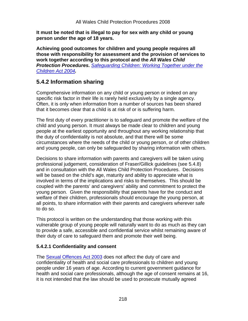**It must be noted that is illegal to pay for sex with any child or young person under the age of 18 years.** 

**Achieving good outcomes for children and young people requires all those with responsibility for assessment and the provision of services to work together according to this protocol and the** *All Wales Child Protection Procedures. [Safeguarding Children: Working Together under the](http://wales.gov.uk/topics/childrenyoungpeople/publications/safeguardingunder2004act;jsessionid=RJvCKydbY6xdtL6pb4KGwkc7lx8Bm0htDstlL42PqT3KyF023WYb!-826231897?lang=en)  Children Act 2004.* 

# **5.4.2 Information sharing**

Comprehensive information on any child or young person or indeed on any specific risk factor in their life is rarely held exclusively by a single agency. Often, it is only when information from a number of sources has been shared that it becomes clear that a child is at risk of or is suffering harm.

The first duty of every practitioner is to safeguard and promote the welfare of the child and young person. It must always be made clear to children and young people at the earliest opportunity and throughout any working relationship that the duty of confidentiality is not absolute, and that there will be some circumstances where the needs of the child or young person, or of other children and young people, can only be safeguarded by sharing information with others.

Decisions to share information with parents and caregivers will be taken using professional judgement, consideration of Fraser/Gillick guidelines (see 5.4.8) and in consultation with the All Wales Child Protection Procedures. Decisions will be based on the child's age, maturity and ability to appreciate what is involved in terms of the implications and risks to themselves. This should be coupled with the parents' and caregivers' ability and commitment to protect the young person. Given the responsibility that parents have for the conduct and welfare of their children, professionals should encourage the young person, at all points, to share information with their parents and caregivers wherever safe to do so.

This protocol is written on the understanding that those working with this vulnerable group of young people will naturally want to do as much as they can to provide a safe, accessible and confidential service whilst remaining aware of their duty of care to safeguard them and promote their well being.

#### **5.4.2.1 Confidentiality and consent**

The [Sexual Offences Act 2003](http://www.opsi.gov.uk/acts/acts2003/ukpga_20030042_en_1) does not affect the duty of care and confidentiality of health and social care professionals to children and young people under 16 years of age. According to current government guidance for health and social care professionals, although the age of consent remains at 16, it is not intended that the law should be used to prosecute mutually agreed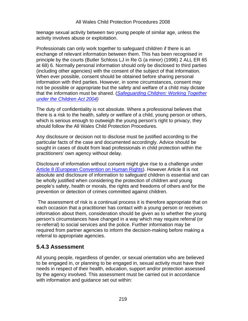teenage sexual activity between two young people of similar age, unless the activity involves abuse or exploitation.

Professionals can only work together to safeguard children if there is an exchange of relevant information between them. This has been recognised in principle by the courts (Butler Schloss LJ in Re G (a minor) (1996) 2 ALL ER 65 at 68) 6. Normally personal information should only be disclosed to third parties (including other agencies) with the consent of the subject of that information. When ever possible, consent should be obtained before sharing personal information with third parties. However, in some circumstances, consent may not be possible or appropriate but the safety and welfare of a child may dictate that the information must be shared. (*[Safeguarding Children: Working Together](http://wales.gov.uk/topics/childrenyoungpeople/publications/safeguardingunder2004act;jsessionid=RJvCKydbY6xdtL6pb4KGwkc7lx8Bm0htDstlL42PqT3KyF023WYb!-826231897?lang=en)  under the Children Act 2004)* 

The duty of confidentiality is not absolute. Where a professional believes that there is a risk to the health, safety or welfare of a child, young person or others, which is serious enough to outweigh the young person's right to privacy, they should follow the All Wales Child Protection Procedures.

Any disclosure or decision not to disclose must be justified according to the particular facts of the case and documented accordingly. Advice should be sought in cases of doubt from lead professionals in child protection within the practitioners' own agency without delay.

Disclosure of information without consent might give rise to a challenge under [Article 8 \(European Convention on Human Rights\).](http://www.opsi.gov.uk/acts/acts1998/ukpga_19980042_en_1) However Article 8 is not absolute and disclosure of information to safeguard children is essential and can be wholly justified when considering the protection of children and young people's safety, health or morals, the rights and freedoms of others and for the prevention or detection of crimes committed against children.

 The assessment of risk is a continual process it is therefore appropriate that on each occasion that a practitioner has contact with a young person or receives information about them, consideration should be given as to whether the young person's circumstances have changed in a way which may require referral (or re-referral) to social services and the police. Further information may be required from partner agencies to inform the decision-making before making a referral to appropriate agencies.

## **5.4.3 Assessment**

All young people, regardless of gender, or sexual orientation who are believed to be engaged in, or planning to be engaged in, sexual activity must have their needs in respect of their health, education, support and/or protection assessed by the agency involved. This assessment must be carried out in accordance with information and guidance set out within: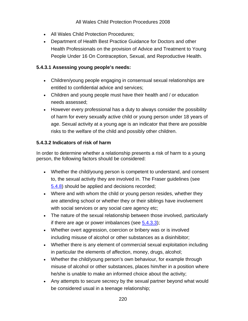#### All Wales Child Protection Procedures 2008

- All Wales Child Protection Procedures;
- Department of Health Best Practice Guidance for Doctors and other Health Professionals on the provision of Advice and Treatment to Young People Under 16 On Contraception, Sexual, and Reproductive Health.

#### **5.4.3.1 Assessing young people's needs:**

- Children/young people engaging in consensual sexual relationships are entitled to confidential advice and services;
- Children and young people must have their health and / or education needs assessed;
- However every professional has a duty to always consider the possibility of harm for every sexually active child or young person under 18 years of age. Sexual activity at a young age is an indicator that there are possible risks to the welfare of the child and possibly other children.

#### **5.4.3.2 Indicators of risk of harm**

In order to determine whether a relationship presents a risk of harm to a young person, the following factors should be considered:

- Whether the child/young person is competent to understand, and consent to, the sexual activity they are involved in. The Fraser guidelines (see 5.4.8) should be applied and decisions recorded;
- Where and with whom the child or young person resides, whether they are attending school or whether they or their siblings have involvement with social services or any social care agency etc;
- The nature of the sexual relationship between those involved, particularly if there are age or power imbalances (see 5.4.3.3);
- Whether overt aggression, coercion or bribery was or is involved including misuse of alcohol or other substances as a disinhibitor;
- Whether there is any element of commercial sexual exploitation including in particular the elements of affection, money, drugs, alcohol;
- Whether the child/young person's own behaviour, for example through misuse of alcohol or other substances, places him/her in a position where he/she is unable to make an informed choice about the activity;
- Any attempts to secure secrecy by the sexual partner beyond what would be considered usual in a teenage relationship;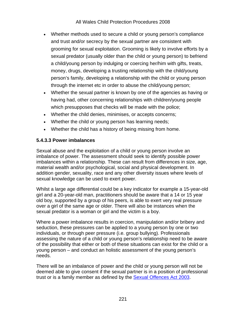#### All Wales Child Protection Procedures 2008

- Whether methods used to secure a child or young person's compliance and trust and/or secrecy by the sexual partner are consistent with grooming for sexual exploitation. Grooming is likely to involve efforts by a sexual predator (usually older than the child or young person) to befriend a child/young person by indulging or coercing her/him with gifts, treats, money, drugs, developing a trusting relationship with the child/young person's family, developing a relationship with the child or young person through the internet etc in order to abuse the child/young person;
- Whether the sexual partner is known by one of the agencies as having or having had, other concerning relationships with children/young people which presupposes that checks will be made with the police;
- Whether the child denies, minimises, or accepts concerns;
- Whether the child or young person has learning needs;
- Whether the child has a history of being missing from home.

#### **5.4.3.3 Power imbalances**

Sexual abuse and the exploitation of a child or young person involve an imbalance of power. The assessment should seek to identify possible power imbalances within a relationship. These can result from differences in size, age, material wealth and/or psychological, social and physical development. In addition gender, sexuality, race and any other diversity issues where levels of sexual knowledge can be used to exert power.

Whilst a large age differential could be a key indicator for example a 15-year-old girl and a 20-year-old man, practitioners should be aware that a 14 or 15 year old boy, supported by a group of his peers, is able to exert very real pressure over a girl of the same age or older. There will also be instances when the sexual predator is a woman or girl and the victim is a boy.

Where a power imbalance results in coercion, manipulation and/or bribery and seduction, these pressures can be applied to a young person by one or two individuals, or through peer pressure (i.e. group bullying). Professionals assessing the nature of a child or young person's relationship need to be aware of the possibility that either or both of these situations can exist for the child or a young person – and conduct an holistic assessment of the young person's needs.

There will be an imbalance of power and the child or young person will not be deemed able to give consent if the sexual partner is in a position of professional trust or is a family member as defined by the [Sexual Offences Act 2003.](http://www.opsi.gov.uk/acts/acts2003/ukpga_20030042_en_1)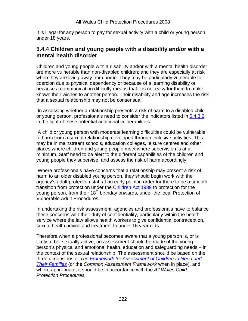It is illegal for any person to pay for sexual activity with a child or young person under 18 years.

### **5.4.4 Children and young people with a disability and/or with a mental health disorder**

Children and young people with a disability and/or with a mental health disorder are more vulnerable than non-disabled children; and they are especially at risk when they are living away from home. They may be particularly vulnerable to coercion due to physical dependency or because of a learning disability or because a communication difficulty means that it is not easy for them to make known their wishes to another person. Their disability and age increases the risk that a sexual relationship may not be consensual.

 In assessing whether a relationship presents a risk of harm to a disabled child or young person, professionals need to consider the indicators listed in 5.4.3.2 in the light of these potential additional vulnerabilities.

 A child or young person with moderate learning difficulties could be vulnerable to harm from a sexual relationship developed through inclusive activities. This may be in mainstream schools, education colleges, leisure centres and other places where children and young people meet where supervision is at a minimum. Staff need to be alert to the different capabilities of the children and young people they supervise, and assess the risk of harm accordingly.

 Where professionals have concerns that a relationship may present a risk of harm to an older disabled young person, they should begin work with the agency's adult protection staff at an early point in order for there to be a smooth transition from protection under the [Children Act 1989](http://www.opsi.gov.uk/acts/acts1989/ukpga_19890041_en_1) to protection for the young person, from their 18<sup>th</sup> birthday onwards, under the local Protection of Vulnerable Adult Procedures.

In undertaking the risk assessment, agencies and professionals have to balance these concerns with their duty of confidentiality, particularly within the health service where the law allows health workers to give confidential contraception, sexual health advice and treatment to under 16 year olds.

Therefore when a professional becomes aware that a young person is, or is likely to be, sexually active, an assessment should be made of the young person's physical and emotional health, education and safeguarding needs – in the context of the sexual relationship. The assessment should be based on the three dimensions of *[The Framework for Assessment of Children In Need and](http://www.dh.gov.uk/en/Publicationsandstatistics/Publications/PublicationsPolicyAndGuidance/DH_4003256) Their Families* (or the *Common Assessment Framework* when in place), and where appropriate, it should be in accordance with the *All Wales Child Protection Procedures.*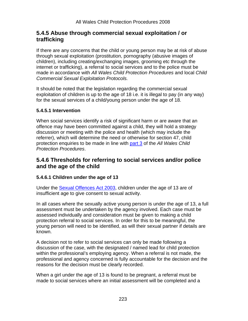# **5.4.5 Abuse through commercial sexual exploitation / or trafficking**

If there are any concerns that the child or young person may be at risk of abuse through sexual exploitation (prostitution, pornography (abusive images of children), including creating/exchanging images, grooming etc through the internet or trafficking), a referral to social services and to the police must be made in accordance with *All Wales Child Protection Procedures* and local *Child Commercial Sexual Exploitation Protocols.*

It should be noted that the legislation regarding the commercial sexual exploitation of children is up to the age of 18 i.e. it is illegal to pay (in any way) for the sexual services of a child/young person under the age of 18.

#### **5.4.5.1 Intervention**

When social services identify a risk of significant harm or are aware that an offence may have been committed against a child, they will hold a strategy discussion or meeting with the police and health (which may include the referrer), which will determine the need or otherwise for section 47, child protection enquiries to be made in line with part 3 of the *All Wales Child Protection Procedures*.

## **5.4.6 Thresholds for referring to social services and/or police and the age of the child**

#### **5.4.6.1 Children under the age of 13**

Under the [Sexual Offences Act 2003,](http://www.opsi.gov.uk/acts/acts2003/ukpga_20030042_en_1) children under the age of 13 are of insufficient age to give consent to sexual activity.

In all cases where the sexually active young person is under the age of 13, a full assessment must be undertaken by the agency involved. Each case must be assessed individually and consideration must be given to making a child protection referral to social services. In order for this to be meaningful, the young person will need to be identified, as will their sexual partner if details are known.

A decision not to refer to social services can only be made following a discussion of the case, with the designated / named lead for child protection within the professional's employing agency. When a referral is not made, the professional and agency concerned is fully accountable for the decision and the reasons for the decision must be clearly recorded.

When a girl under the age of 13 is found to be pregnant, a referral must be made to social services where an initial assessment will be completed and a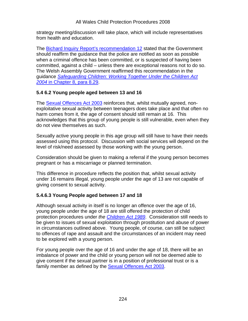strategy meeting/discussion will take place, which will include representatives from health and education.

The [Bichard Inquiry Report's recommendation 12](http://police.homeoffice.gov.uk/publications/operational-policing/bichard-inquiry-report?view=Binary) stated that the Government should reaffirm the guidance that the police are notified as soon as possible when a criminal offence has been committed, or is suspected of having been committed, against a child – unless there are exceptional reasons not to do so. The Welsh Assembly Government reaffirmed this recommendation in the guidance *[Safeguarding Children: Working Together Under the Children Act](http://wales.gov.uk/topics/childrenyoungpeople/publications/safeguardingunder2004act;jsessionid=RJvCKydbY6xdtL6pb4KGwkc7lx8Bm0htDstlL42PqT3KyF023WYb!-826231897?lang=en) 2004* in Chapter 8, para 8.29.

#### **5.4 6.2 Young people aged between 13 and 16**

The [Sexual Offences Act 2003](http://www.opsi.gov.uk/acts/acts2003/ukpga_20030042_en_1) reinforces that, whilst mutually agreed, nonexploitative sexual activity between teenagers does take place and that often no harm comes from it, the age of consent should still remain at 16. This acknowledges that this group of young people is still vulnerable, even when they do not view themselves as such.

Sexually active young people in this age group will still have to have their needs assessed using this protocol. Discussion with social services will depend on the level of risk/need assessed by those working with the young person.

Consideration should be given to making a referral if the young person becomes pregnant or has a miscarriage or planned termination.

This difference in procedure reflects the position that, whilst sexual activity under 16 remains illegal, young people under the age of 13 are not capable of giving consent to sexual activity.

#### **5.4.6.3 Young People aged between 17 and 18**

Although sexual activity in itself is no longer an offence over the age of 16, young people under the age of 18 are still offered the protection of child protection procedures under *the [Children Act 1989](http://www.opsi.gov.uk/acts/acts1989/ukpga_19890041_en_1)*. Consideration still needs to be given to issues of sexual exploitation through prostitution and abuse of power in circumstances outlined above. Young people, of course, can still be subject to offences of rape and assault and the circumstances of an incident may need to be explored with a young person.

For young people over the age of 16 and under the age of 18, there will be an imbalance of power and the child or young person will not be deemed able to give consent if the sexual partner is in a position of professional trust or is a family member as defined by the **Sexual Offences Act 2003**.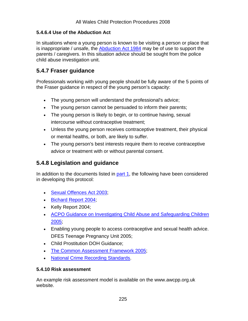#### **5.4.6.4 Use of the Abduction Act**

In situations where a young person is known to be visiting a person or place that is inappropriate / unsafe, the [Abduction Act 1984](http://www.opsi.gov.uk/RevisedStatutes/Acts/ukpga/1984/cukpga_19840037_en_1) may be of use to support the parents / caregivers. In this situation advice should be sought from the police child abuse investigation unit.

# **5.4.7 Fraser guidance**

Professionals working with young people should be fully aware of the 5 points of the Fraser guidance in respect of the young person's capacity:

- The young person will understand the professional's advice;
- The young person cannot be persuaded to inform their parents;
- The young person is likely to begin, or to continue having, sexual intercourse without contraceptive treatment;
- Unless the young person receives contraceptive treatment, their physical or mental healths, or both, are likely to suffer.
- The young person's best interests require them to receive contraceptive advice or treatment with or without parental consent.

# **5.4.8 Legislation and guidance**

In addition to the documents listed in part 1, the following have been considered in developing this protocol:

- [Sexual Offences Act 2003;](http://www.opsi.gov.uk/acts/acts2003/ukpga_20030042_en_1)
- [Bichard Report 2004;](http://police.homeoffice.gov.uk/publications/operational-policing/bichard-inquiry-report?view=Binary)
- Kelly Report 2004;
- [ACPO Guidance on Investigating Child Abuse and Safeguarding Children](http://www.acpo.police.uk/policies.asp) 2005;
- Enabling young people to access contraceptive and sexual health advice. DFES Teenage Pregnancy Unit 2005;
- Child Prostitution DOH Guidance;
- [The Common Assessment Framework 2005;](http://www.dcsf.gov.uk/everychildmatters/strategy/deliveringservices1/caf/cafframework/)
- [National Crime Recording Standards.](http://www.homeoffice.gov.uk/rds/pdfs2/rdsolr3203intro.pdf)

#### **5.4.10 Risk assessment**

An example risk assessment model is available on the www.awcpp.org.uk website.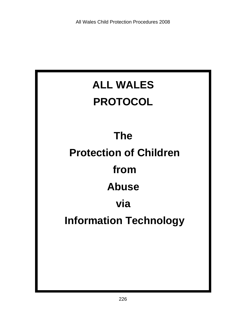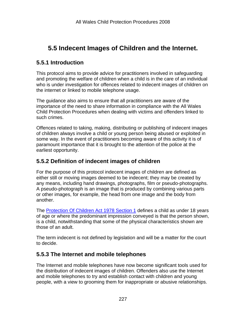# **5.5 Indecent Images of Children and the Internet.**

## **5.5.1 Introduction**

This protocol aims to provide advice for practitioners involved in safeguarding and promoting the welfare of children when a child is in the care of an individual who is under investigation for offences related to indecent images of children on the internet or linked to mobile telephone usage.

The guidance also aims to ensure that all practitioners are aware of the importance of the need to share information in compliance with the All Wales Child Protection Procedures when dealing with victims and offenders linked to such crimes.

Offences related to taking, making, distributing or publishing of indecent images of children always involve a child or young person being abused or exploited in some way. In the event of practitioners becoming aware of this activity it is of paramount importance that it is brought to the attention of the police at the earliest opportunity.

## **5.5.2 Definition of indecent images of children**

For the purpose of this protocol indecent images of children are defined as either still or moving images deemed to be indecent; they may be created by any means, including hand drawings, photographs, film or pseudo-photographs. A pseudo-photograph is an image that is produced by combining various parts or other images, for example, the head from one image and the body from another.

The [Protection Of Children Act 1978 Section 1](http://www.opsi.gov.uk/RevisedStatutes/Acts/ukpga/1978/cukpga_19780037_en_1) defines a child as under 18 years of age or where the predominant impression conveyed is that the person shown, is a child, notwithstanding that some of the physical characteristics shown are those of an adult.

The term indecent is not defined by legislation and will be a matter for the court to decide.

## **5.5.3 The Internet and mobile telephones**

The Internet and mobile telephones have now become significant tools used for the distribution of indecent images of children. Offenders also use the Internet and mobile telephones to try and establish contact with children and young people, with a view to grooming them for inappropriate or abusive relationships.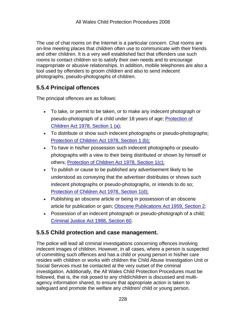The use of chat rooms on the Internet is a particular concern. Chat rooms are on-line meeting places that children often use to communicate with their friends and other children. It is a very well established fact that offenders use such rooms to contact children so to satisfy their own needs and to encourage inappropriate or abusive relationships. In addition, mobile telephones are also a tool used by offenders to groom children and also to send indecent photographs, pseudo-photographs of children.

# **5.5.4 Principal offences**

The principal offences are as follows:

- To take, or permit to be taken, or to make any indecent photograph or [pseudo-photograph of a child under 18 years of age; Protection of](http://www.opsi.gov.uk/RevisedStatutes/Acts/ukpga/1978/cukpga_19780037_en_1) Children Act 1978, Section 1 (a);
- To distribute or show such indecent photographs or pseudo-photographs; [Protection of Children Act 1978, Section 1 \(b\);](http://www.opsi.gov.uk/RevisedStatutes/Acts/ukpga/1978/cukpga_19780037_en_1)
- To have in his/her possession such indecent photographs or pseudophotographs with a view to their being distributed or shown by himself or others; [Protection of Children Act 1978, Section 1\(c\);](http://www.opsi.gov.uk/RevisedStatutes/Acts/ukpga/1978/cukpga_19780037_en_1)
- To publish or cause to be published any advertisement likely to be understood as conveying that the advertiser distributes or shows such indecent photographs or pseudo-photographs, or intends to do so; [Protection of Children Act 1978, Section 1\(d\);](http://www.opsi.gov.uk/RevisedStatutes/Acts/ukpga/1978/cukpga_19780037_en_1)
- Publishing an obscene article or being in possession of an obscene article for publication or gain; [Obscene Publications Act 1959, Section 2;](http://www.opsi.gov.uk/acts/acts1959/pdf/ukpga_19590066_en.pdf)
- Possession of an indecent photograph or pseudo-photograph of a child; [Criminal Justice Act 1988, Section 60.](http://www.opsi.gov.uk/acts/acts1994/ukpga_19940033_en_5)

# **5.5.5 Child protection and case management.**

The police will lead all criminal investigations concerning offences involving indecent images of children. However, in all cases, where a person is suspected of committing such offences and has a child or young person in his/her care resides with children or works with children the Child Abuse Investigation Unit or Social Services must be contacted at the very outset of the criminal investigation. Additionally, the All Wales Child Protection Procedures must be followed, that is, the risk posed to any child/children is discussed and multiagency information shared, to ensure that appropriate action is taken to safeguard and promote the welfare any children/ child or young person.